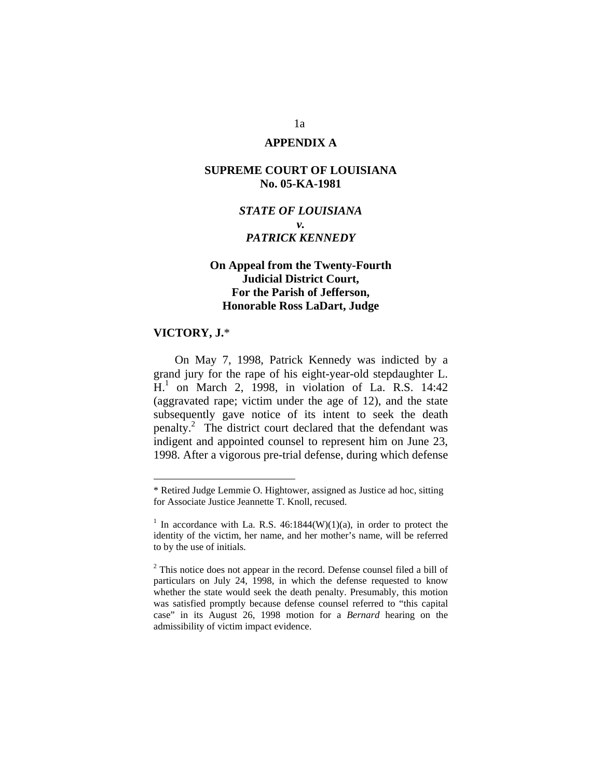### **APPENDIX A**

### **SUPREME COURT OF LOUISIANA No. 05-KA-1981**

# *STATE OF LOUISIANA v. PATRICK KENNEDY*

# **On Appeal from the Twenty-Fourth Judicial District Court, For the Parish of Jefferson, Honorable Ross LaDart, Judge**

#### **VICTORY, J.**\*

 $\overline{a}$ 

 On May 7, 1998, Patrick Kennedy was indicted by a grand jury for the rape of his eight-year-old stepdaughter L. H.<sup>1</sup> on March 2, 1998, in violation of La. R.S. 14:42 (aggravated rape; victim under the age of 12), and the state subsequently gave notice of its intent to seek the death penalty.<sup>2</sup> The district court declared that the defendant was indigent and appointed counsel to represent him on June 23, 1998. After a vigorous pre-trial defense, during which defense

<sup>\*</sup> Retired Judge Lemmie O. Hightower, assigned as Justice ad hoc, sitting for Associate Justice Jeannette T. Knoll, recused.

<sup>&</sup>lt;sup>1</sup> In accordance with La. R.S.  $46:1844(W)(1)(a)$ , in order to protect the identity of the victim, her name, and her mother's name, will be referred to by the use of initials.

 $2$ <sup>2</sup> This notice does not appear in the record. Defense counsel filed a bill of particulars on July 24, 1998, in which the defense requested to know whether the state would seek the death penalty. Presumably, this motion was satisfied promptly because defense counsel referred to "this capital case" in its August 26, 1998 motion for a *Bernard* hearing on the admissibility of victim impact evidence.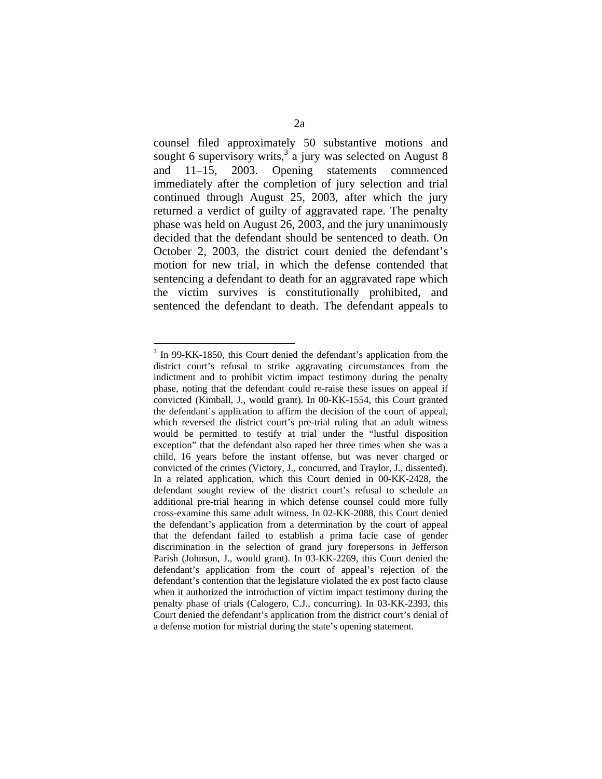counsel filed approximately 50 substantive motions and sought 6 supervisory writs,<sup>3</sup> a jury was selected on August 8 and 11–15, 2003. Opening statements commenced immediately after the completion of jury selection and trial continued through August 25, 2003, after which the jury returned a verdict of guilty of aggravated rape. The penalty phase was held on August 26, 2003, and the jury unanimously decided that the defendant should be sentenced to death. On October 2, 2003, the district court denied the defendant's motion for new trial, in which the defense contended that sentencing a defendant to death for an aggravated rape which the victim survives is constitutionally prohibited, and sentenced the defendant to death. The defendant appeals to

 $\overline{a}$ <sup>3</sup> In 99-KK-1850, this Court denied the defendant's application from the district court's refusal to strike aggravating circumstances from the indictment and to prohibit victim impact testimony during the penalty phase, noting that the defendant could re-raise these issues on appeal if convicted (Kimball, J., would grant). In 00-KK-1554, this Court granted the defendant's application to affirm the decision of the court of appeal, which reversed the district court's pre-trial ruling that an adult witness would be permitted to testify at trial under the "lustful disposition exception" that the defendant also raped her three times when she was a child, 16 years before the instant offense, but was never charged or convicted of the crimes (Victory, J., concurred, and Traylor, J., dissented). In a related application, which this Court denied in 00-KK-2428, the defendant sought review of the district court's refusal to schedule an additional pre-trial hearing in which defense counsel could more fully cross-examine this same adult witness. In 02-KK-2088, this Court denied the defendant's application from a determination by the court of appeal that the defendant failed to establish a prima facie case of gender discrimination in the selection of grand jury forepersons in Jefferson Parish (Johnson, J., would grant). In 03-KK-2269, this Court denied the defendant's application from the court of appeal's rejection of the defendant's contention that the legislature violated the ex post facto clause when it authorized the introduction of victim impact testimony during the penalty phase of trials (Calogero, C.J., concurring). In 03-KK-2393, this Court denied the defendant's application from the district court's denial of a defense motion for mistrial during the state's opening statement.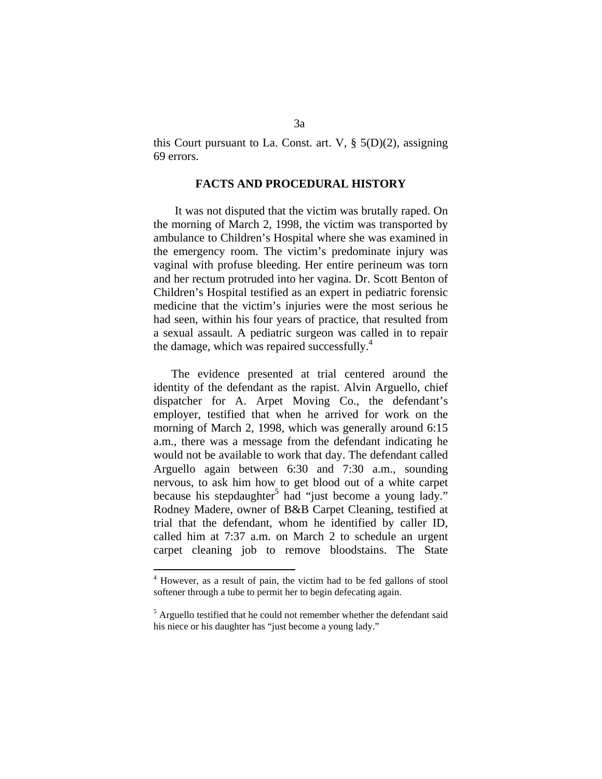this Court pursuant to La. Const. art. V, § 5(D)(2), assigning 69 errors.

### **FACTS AND PROCEDURAL HISTORY**

 It was not disputed that the victim was brutally raped. On the morning of March 2, 1998, the victim was transported by ambulance to Children's Hospital where she was examined in the emergency room. The victim's predominate injury was vaginal with profuse bleeding. Her entire perineum was torn and her rectum protruded into her vagina. Dr. Scott Benton of Children's Hospital testified as an expert in pediatric forensic medicine that the victim's injuries were the most serious he had seen, within his four years of practice, that resulted from a sexual assault. A pediatric surgeon was called in to repair the damage, which was repaired successfully. $4$ 

 The evidence presented at trial centered around the identity of the defendant as the rapist. Alvin Arguello, chief dispatcher for A. Arpet Moving Co., the defendant's employer, testified that when he arrived for work on the morning of March 2, 1998, which was generally around 6:15 a.m., there was a message from the defendant indicating he would not be available to work that day. The defendant called Arguello again between 6:30 and 7:30 a.m., sounding nervous, to ask him how to get blood out of a white carpet because his stepdaughter<sup>5</sup> had "just become a young lady." Rodney Madere, owner of B&B Carpet Cleaning, testified at trial that the defendant, whom he identified by caller ID, called him at 7:37 a.m. on March 2 to schedule an urgent carpet cleaning job to remove bloodstains. The State

<sup>&</sup>lt;sup>4</sup> However, as a result of pain, the victim had to be fed gallons of stool softener through a tube to permit her to begin defecating again.

<sup>&</sup>lt;sup>5</sup> Arguello testified that he could not remember whether the defendant said his niece or his daughter has "just become a young lady."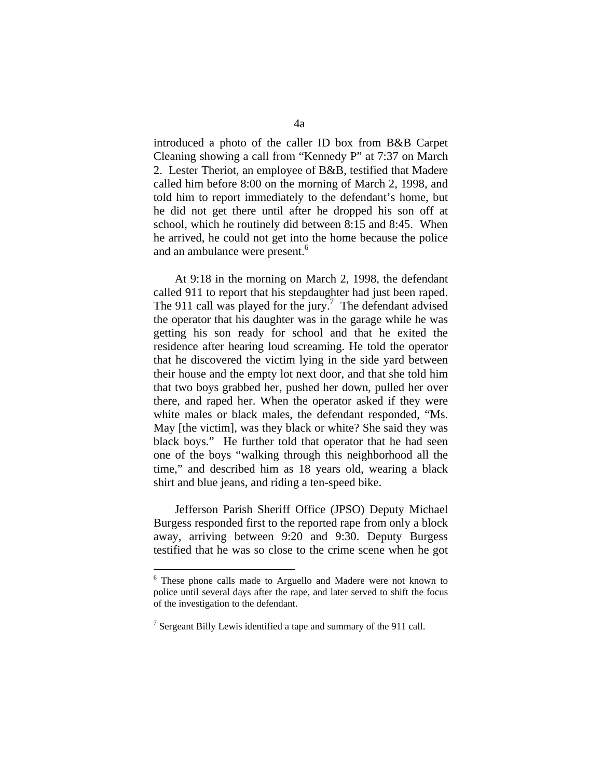introduced a photo of the caller ID box from B&B Carpet Cleaning showing a call from "Kennedy P" at 7:37 on March 2. Lester Theriot, an employee of B&B, testified that Madere called him before 8:00 on the morning of March 2, 1998, and told him to report immediately to the defendant's home, but he did not get there until after he dropped his son off at school, which he routinely did between 8:15 and 8:45. When he arrived, he could not get into the home because the police and an ambulance were present.<sup>6</sup>

 At 9:18 in the morning on March 2, 1998, the defendant called 911 to report that his stepdaughter had just been raped. The 911 call was played for the jury.<sup>7</sup> The defendant advised the operator that his daughter was in the garage while he was getting his son ready for school and that he exited the residence after hearing loud screaming. He told the operator that he discovered the victim lying in the side yard between their house and the empty lot next door, and that she told him that two boys grabbed her, pushed her down, pulled her over there, and raped her. When the operator asked if they were white males or black males, the defendant responded, "Ms. May [the victim], was they black or white? She said they was black boys." He further told that operator that he had seen one of the boys "walking through this neighborhood all the time," and described him as 18 years old, wearing a black shirt and blue jeans, and riding a ten-speed bike.

 Jefferson Parish Sheriff Office (JPSO) Deputy Michael Burgess responded first to the reported rape from only a block away, arriving between 9:20 and 9:30. Deputy Burgess testified that he was so close to the crime scene when he got

<sup>6</sup> These phone calls made to Arguello and Madere were not known to police until several days after the rape, and later served to shift the focus of the investigation to the defendant.

<sup>&</sup>lt;sup>7</sup> Sergeant Billy Lewis identified a tape and summary of the 911 call.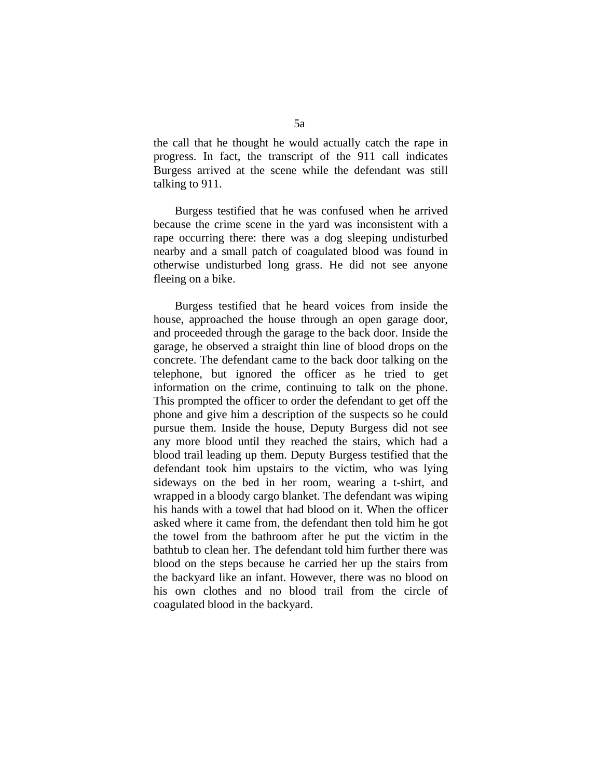the call that he thought he would actually catch the rape in progress. In fact, the transcript of the 911 call indicates Burgess arrived at the scene while the defendant was still talking to 911.

 Burgess testified that he was confused when he arrived because the crime scene in the yard was inconsistent with a rape occurring there: there was a dog sleeping undisturbed nearby and a small patch of coagulated blood was found in otherwise undisturbed long grass. He did not see anyone fleeing on a bike.

 Burgess testified that he heard voices from inside the house, approached the house through an open garage door, and proceeded through the garage to the back door. Inside the garage, he observed a straight thin line of blood drops on the concrete. The defendant came to the back door talking on the telephone, but ignored the officer as he tried to get information on the crime, continuing to talk on the phone. This prompted the officer to order the defendant to get off the phone and give him a description of the suspects so he could pursue them. Inside the house, Deputy Burgess did not see any more blood until they reached the stairs, which had a blood trail leading up them. Deputy Burgess testified that the defendant took him upstairs to the victim, who was lying sideways on the bed in her room, wearing a t-shirt, and wrapped in a bloody cargo blanket. The defendant was wiping his hands with a towel that had blood on it. When the officer asked where it came from, the defendant then told him he got the towel from the bathroom after he put the victim in the bathtub to clean her. The defendant told him further there was blood on the steps because he carried her up the stairs from the backyard like an infant. However, there was no blood on his own clothes and no blood trail from the circle of coagulated blood in the backyard.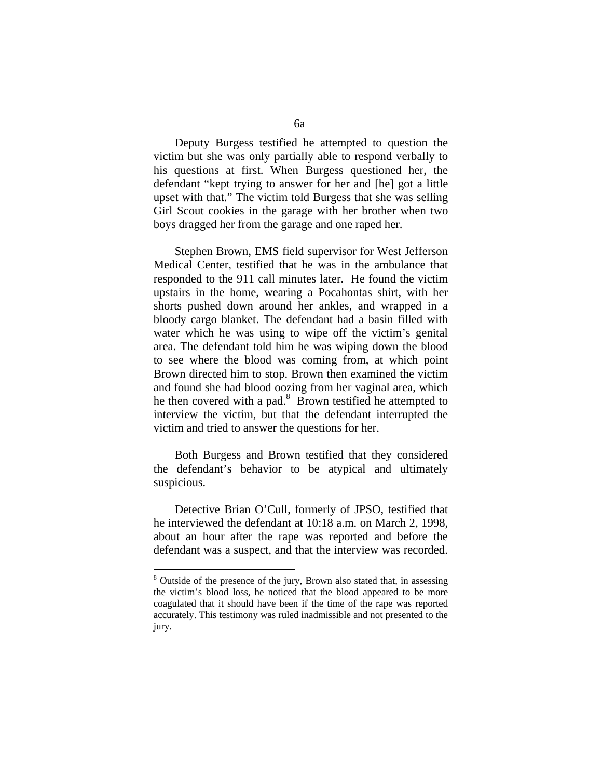Deputy Burgess testified he attempted to question the victim but she was only partially able to respond verbally to his questions at first. When Burgess questioned her, the defendant "kept trying to answer for her and [he] got a little upset with that." The victim told Burgess that she was selling Girl Scout cookies in the garage with her brother when two boys dragged her from the garage and one raped her.

 Stephen Brown, EMS field supervisor for West Jefferson Medical Center, testified that he was in the ambulance that responded to the 911 call minutes later. He found the victim upstairs in the home, wearing a Pocahontas shirt, with her shorts pushed down around her ankles, and wrapped in a bloody cargo blanket. The defendant had a basin filled with water which he was using to wipe off the victim's genital area. The defendant told him he was wiping down the blood to see where the blood was coming from, at which point Brown directed him to stop. Brown then examined the victim and found she had blood oozing from her vaginal area, which he then covered with a pad. $8$  Brown testified he attempted to interview the victim, but that the defendant interrupted the victim and tried to answer the questions for her.

 Both Burgess and Brown testified that they considered the defendant's behavior to be atypical and ultimately suspicious.

 Detective Brian O'Cull, formerly of JPSO, testified that he interviewed the defendant at 10:18 a.m. on March 2, 1998, about an hour after the rape was reported and before the defendant was a suspect, and that the interview was recorded.

<sup>&</sup>lt;sup>8</sup> Outside of the presence of the jury, Brown also stated that, in assessing the victim's blood loss, he noticed that the blood appeared to be more coagulated that it should have been if the time of the rape was reported accurately. This testimony was ruled inadmissible and not presented to the jury.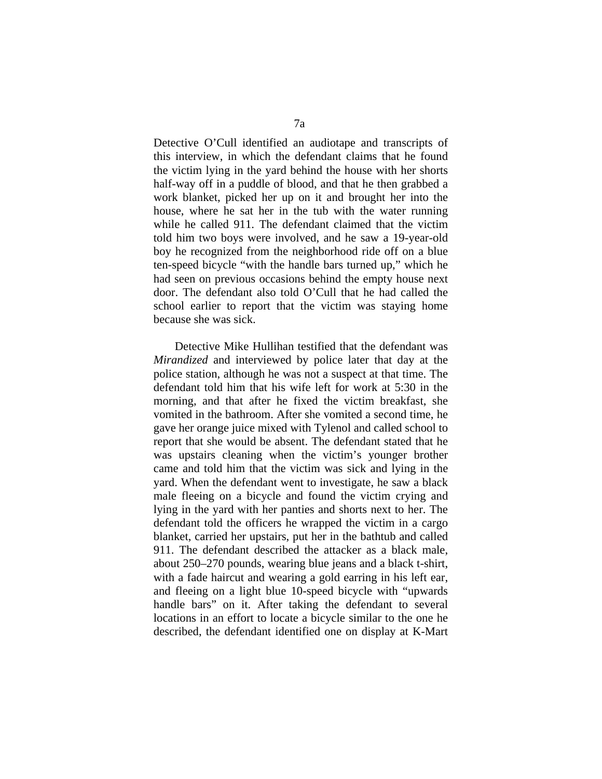Detective O'Cull identified an audiotape and transcripts of this interview, in which the defendant claims that he found the victim lying in the yard behind the house with her shorts half-way off in a puddle of blood, and that he then grabbed a work blanket, picked her up on it and brought her into the house, where he sat her in the tub with the water running while he called 911. The defendant claimed that the victim told him two boys were involved, and he saw a 19-year-old boy he recognized from the neighborhood ride off on a blue ten-speed bicycle "with the handle bars turned up," which he had seen on previous occasions behind the empty house next door. The defendant also told O'Cull that he had called the school earlier to report that the victim was staying home because she was sick.

 Detective Mike Hullihan testified that the defendant was *Mirandized* and interviewed by police later that day at the police station, although he was not a suspect at that time. The defendant told him that his wife left for work at 5:30 in the morning, and that after he fixed the victim breakfast, she vomited in the bathroom. After she vomited a second time, he gave her orange juice mixed with Tylenol and called school to report that she would be absent. The defendant stated that he was upstairs cleaning when the victim's younger brother came and told him that the victim was sick and lying in the yard. When the defendant went to investigate, he saw a black male fleeing on a bicycle and found the victim crying and lying in the yard with her panties and shorts next to her. The defendant told the officers he wrapped the victim in a cargo blanket, carried her upstairs, put her in the bathtub and called 911. The defendant described the attacker as a black male, about 250–270 pounds, wearing blue jeans and a black t-shirt, with a fade haircut and wearing a gold earring in his left ear, and fleeing on a light blue 10-speed bicycle with "upwards handle bars" on it. After taking the defendant to several locations in an effort to locate a bicycle similar to the one he described, the defendant identified one on display at K-Mart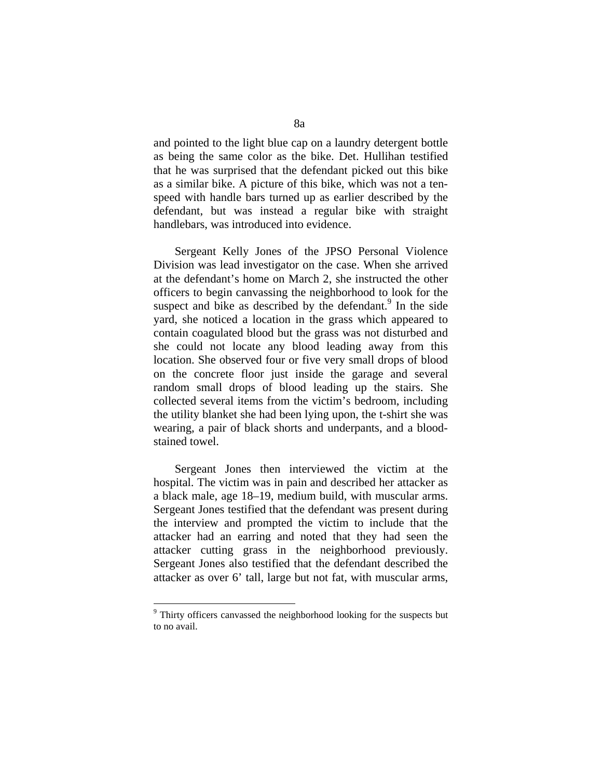and pointed to the light blue cap on a laundry detergent bottle as being the same color as the bike. Det. Hullihan testified that he was surprised that the defendant picked out this bike as a similar bike. A picture of this bike, which was not a tenspeed with handle bars turned up as earlier described by the defendant, but was instead a regular bike with straight handlebars, was introduced into evidence.

 Sergeant Kelly Jones of the JPSO Personal Violence Division was lead investigator on the case. When she arrived at the defendant's home on March 2, she instructed the other officers to begin canvassing the neighborhood to look for the suspect and bike as described by the defendant.<sup>9</sup> In the side yard, she noticed a location in the grass which appeared to contain coagulated blood but the grass was not disturbed and she could not locate any blood leading away from this location. She observed four or five very small drops of blood on the concrete floor just inside the garage and several random small drops of blood leading up the stairs. She collected several items from the victim's bedroom, including the utility blanket she had been lying upon, the t-shirt she was wearing, a pair of black shorts and underpants, and a bloodstained towel.

 Sergeant Jones then interviewed the victim at the hospital. The victim was in pain and described her attacker as a black male, age 18–19, medium build, with muscular arms. Sergeant Jones testified that the defendant was present during the interview and prompted the victim to include that the attacker had an earring and noted that they had seen the attacker cutting grass in the neighborhood previously. Sergeant Jones also testified that the defendant described the attacker as over 6' tall, large but not fat, with muscular arms,

<sup>&</sup>lt;sup>9</sup> Thirty officers canvassed the neighborhood looking for the suspects but to no avail.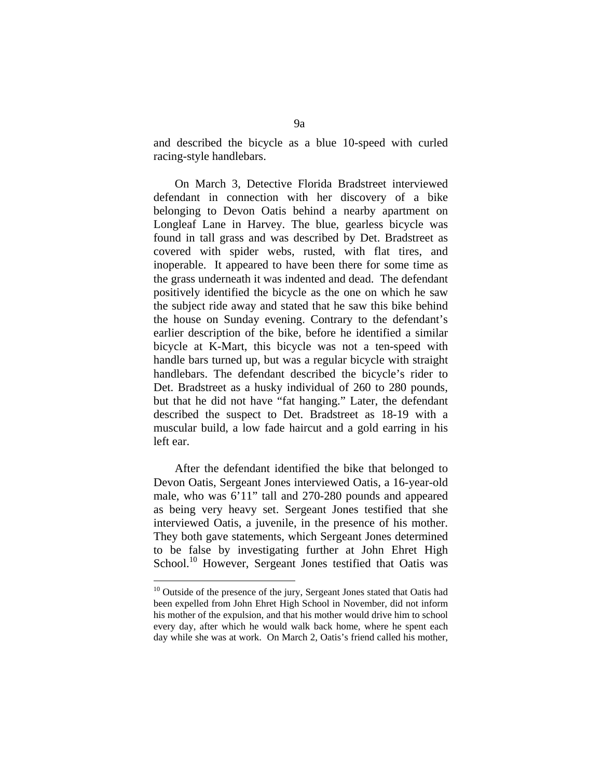and described the bicycle as a blue 10-speed with curled racing-style handlebars.

 On March 3, Detective Florida Bradstreet interviewed defendant in connection with her discovery of a bike belonging to Devon Oatis behind a nearby apartment on Longleaf Lane in Harvey. The blue, gearless bicycle was found in tall grass and was described by Det. Bradstreet as covered with spider webs, rusted, with flat tires, and inoperable. It appeared to have been there for some time as the grass underneath it was indented and dead. The defendant positively identified the bicycle as the one on which he saw the subject ride away and stated that he saw this bike behind the house on Sunday evening. Contrary to the defendant's earlier description of the bike, before he identified a similar bicycle at K-Mart, this bicycle was not a ten-speed with handle bars turned up, but was a regular bicycle with straight handlebars. The defendant described the bicycle's rider to Det. Bradstreet as a husky individual of 260 to 280 pounds, but that he did not have "fat hanging." Later, the defendant described the suspect to Det. Bradstreet as 18-19 with a muscular build, a low fade haircut and a gold earring in his left ear.

 After the defendant identified the bike that belonged to Devon Oatis, Sergeant Jones interviewed Oatis, a 16-year-old male, who was 6'11" tall and 270-280 pounds and appeared as being very heavy set. Sergeant Jones testified that she interviewed Oatis, a juvenile, in the presence of his mother. They both gave statements, which Sergeant Jones determined to be false by investigating further at John Ehret High School.<sup>10</sup> However, Sergeant Jones testified that Oatis was

<sup>&</sup>lt;sup>10</sup> Outside of the presence of the jury, Sergeant Jones stated that Oatis had been expelled from John Ehret High School in November, did not inform his mother of the expulsion, and that his mother would drive him to school every day, after which he would walk back home, where he spent each day while she was at work. On March 2, Oatis's friend called his mother,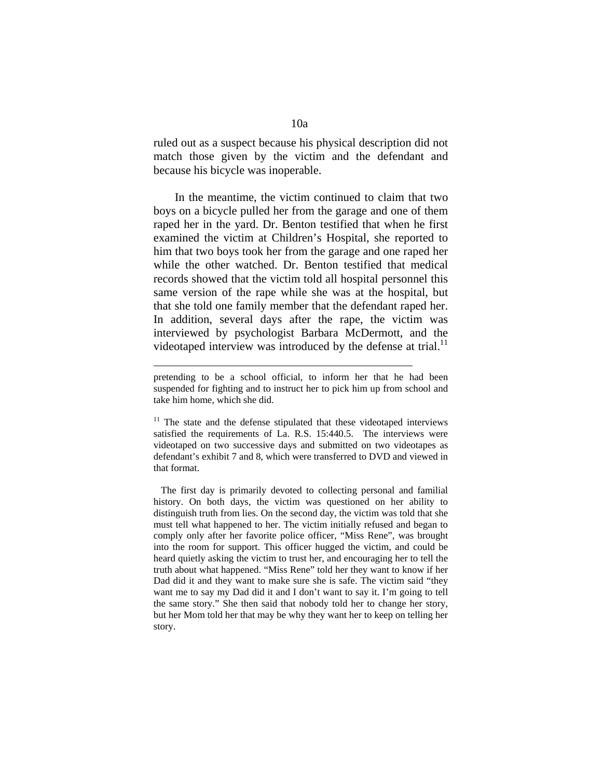ruled out as a suspect because his physical description did not match those given by the victim and the defendant and because his bicycle was inoperable.

 In the meantime, the victim continued to claim that two boys on a bicycle pulled her from the garage and one of them raped her in the yard. Dr. Benton testified that when he first examined the victim at Children's Hospital, she reported to him that two boys took her from the garage and one raped her while the other watched. Dr. Benton testified that medical records showed that the victim told all hospital personnel this same version of the rape while she was at the hospital, but that she told one family member that the defendant raped her. In addition, several days after the rape, the victim was interviewed by psychologist Barbara McDermott, and the videotaped interview was introduced by the defense at trial. $<sup>11</sup>$ </sup>

<u>.</u>

pretending to be a school official, to inform her that he had been suspended for fighting and to instruct her to pick him up from school and take him home, which she did.

 $11$  The state and the defense stipulated that these videotaped interviews satisfied the requirements of La. R.S. 15:440.5. The interviews were videotaped on two successive days and submitted on two videotapes as defendant's exhibit 7 and 8, which were transferred to DVD and viewed in that format.

The first day is primarily devoted to collecting personal and familial history. On both days, the victim was questioned on her ability to distinguish truth from lies. On the second day, the victim was told that she must tell what happened to her. The victim initially refused and began to comply only after her favorite police officer, "Miss Rene", was brought into the room for support. This officer hugged the victim, and could be heard quietly asking the victim to trust her, and encouraging her to tell the truth about what happened. "Miss Rene" told her they want to know if her Dad did it and they want to make sure she is safe. The victim said "they want me to say my Dad did it and I don't want to say it. I'm going to tell the same story." She then said that nobody told her to change her story, but her Mom told her that may be why they want her to keep on telling her story.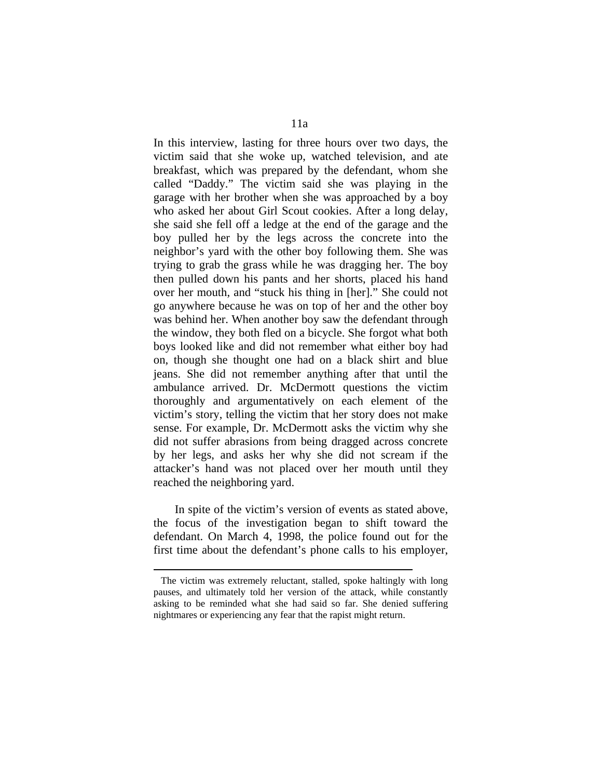In this interview, lasting for three hours over two days, the victim said that she woke up, watched television, and ate breakfast, which was prepared by the defendant, whom she called "Daddy." The victim said she was playing in the garage with her brother when she was approached by a boy who asked her about Girl Scout cookies. After a long delay, she said she fell off a ledge at the end of the garage and the boy pulled her by the legs across the concrete into the neighbor's yard with the other boy following them. She was trying to grab the grass while he was dragging her. The boy then pulled down his pants and her shorts, placed his hand over her mouth, and "stuck his thing in [her]." She could not go anywhere because he was on top of her and the other boy was behind her. When another boy saw the defendant through the window, they both fled on a bicycle. She forgot what both boys looked like and did not remember what either boy had on, though she thought one had on a black shirt and blue jeans. She did not remember anything after that until the ambulance arrived. Dr. McDermott questions the victim thoroughly and argumentatively on each element of the victim's story, telling the victim that her story does not make sense. For example, Dr. McDermott asks the victim why she did not suffer abrasions from being dragged across concrete by her legs, and asks her why she did not scream if the attacker's hand was not placed over her mouth until they reached the neighboring yard.

 In spite of the victim's version of events as stated above, the focus of the investigation began to shift toward the defendant. On March 4, 1998, the police found out for the first time about the defendant's phone calls to his employer,

<u>.</u>

The victim was extremely reluctant, stalled, spoke haltingly with long pauses, and ultimately told her version of the attack, while constantly asking to be reminded what she had said so far. She denied suffering nightmares or experiencing any fear that the rapist might return.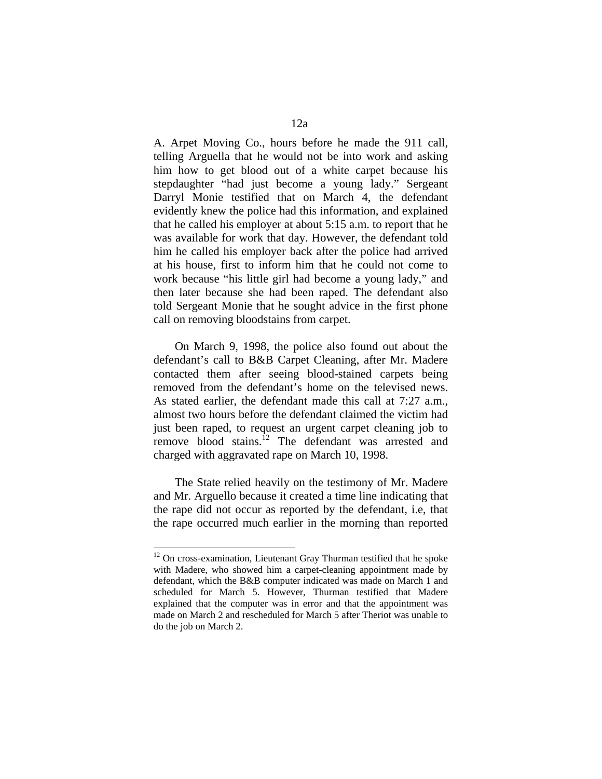A. Arpet Moving Co., hours before he made the 911 call, telling Arguella that he would not be into work and asking him how to get blood out of a white carpet because his stepdaughter "had just become a young lady." Sergeant Darryl Monie testified that on March 4, the defendant evidently knew the police had this information, and explained that he called his employer at about 5:15 a.m. to report that he was available for work that day. However, the defendant told him he called his employer back after the police had arrived at his house, first to inform him that he could not come to work because "his little girl had become a young lady," and then later because she had been raped. The defendant also told Sergeant Monie that he sought advice in the first phone call on removing bloodstains from carpet.

 On March 9, 1998, the police also found out about the defendant's call to B&B Carpet Cleaning, after Mr. Madere contacted them after seeing blood-stained carpets being removed from the defendant's home on the televised news. As stated earlier, the defendant made this call at 7:27 a.m., almost two hours before the defendant claimed the victim had just been raped, to request an urgent carpet cleaning job to remove blood stains.<sup>12</sup> The defendant was arrested and charged with aggravated rape on March 10, 1998.

 The State relied heavily on the testimony of Mr. Madere and Mr. Arguello because it created a time line indicating that the rape did not occur as reported by the defendant, i.e, that the rape occurred much earlier in the morning than reported

<sup>&</sup>lt;sup>12</sup> On cross-examination, Lieutenant Gray Thurman testified that he spoke with Madere, who showed him a carpet-cleaning appointment made by defendant, which the B&B computer indicated was made on March 1 and scheduled for March 5. However, Thurman testified that Madere explained that the computer was in error and that the appointment was made on March 2 and rescheduled for March 5 after Theriot was unable to do the job on March 2.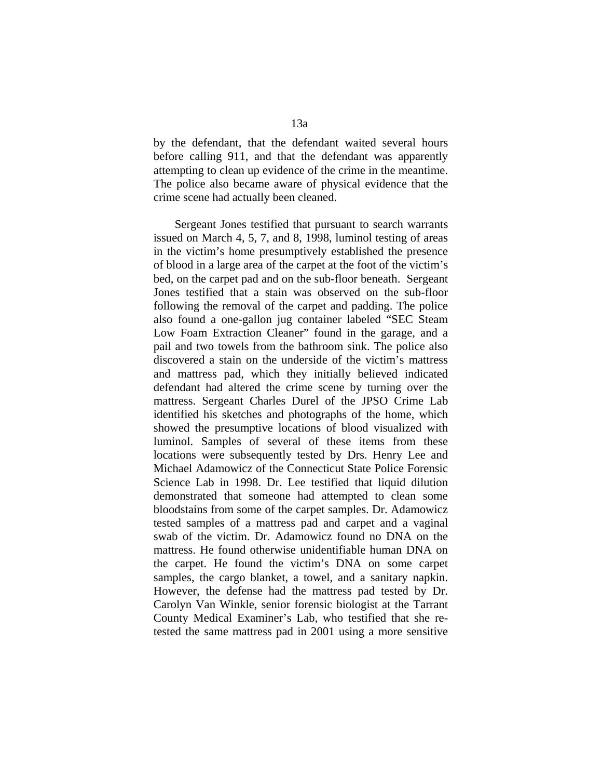by the defendant, that the defendant waited several hours before calling 911, and that the defendant was apparently attempting to clean up evidence of the crime in the meantime. The police also became aware of physical evidence that the crime scene had actually been cleaned.

 Sergeant Jones testified that pursuant to search warrants issued on March 4, 5, 7, and 8, 1998, luminol testing of areas in the victim's home presumptively established the presence of blood in a large area of the carpet at the foot of the victim's bed, on the carpet pad and on the sub-floor beneath. Sergeant Jones testified that a stain was observed on the sub-floor following the removal of the carpet and padding. The police also found a one-gallon jug container labeled "SEC Steam Low Foam Extraction Cleaner" found in the garage, and a pail and two towels from the bathroom sink. The police also discovered a stain on the underside of the victim's mattress and mattress pad, which they initially believed indicated defendant had altered the crime scene by turning over the mattress. Sergeant Charles Durel of the JPSO Crime Lab identified his sketches and photographs of the home, which showed the presumptive locations of blood visualized with luminol. Samples of several of these items from these locations were subsequently tested by Drs. Henry Lee and Michael Adamowicz of the Connecticut State Police Forensic Science Lab in 1998. Dr. Lee testified that liquid dilution demonstrated that someone had attempted to clean some bloodstains from some of the carpet samples. Dr. Adamowicz tested samples of a mattress pad and carpet and a vaginal swab of the victim. Dr. Adamowicz found no DNA on the mattress. He found otherwise unidentifiable human DNA on the carpet. He found the victim's DNA on some carpet samples, the cargo blanket, a towel, and a sanitary napkin. However, the defense had the mattress pad tested by Dr. Carolyn Van Winkle, senior forensic biologist at the Tarrant County Medical Examiner's Lab, who testified that she retested the same mattress pad in 2001 using a more sensitive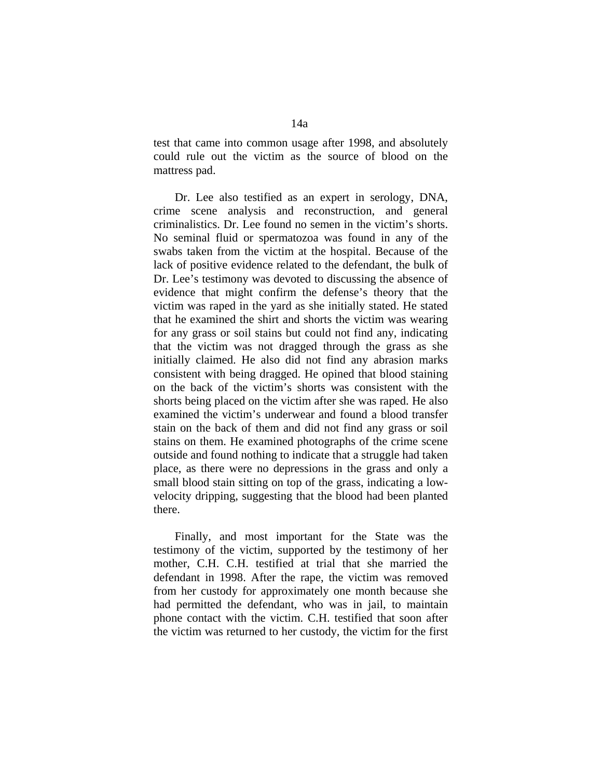test that came into common usage after 1998, and absolutely could rule out the victim as the source of blood on the mattress pad.

 Dr. Lee also testified as an expert in serology, DNA, crime scene analysis and reconstruction, and general criminalistics. Dr. Lee found no semen in the victim's shorts. No seminal fluid or spermatozoa was found in any of the swabs taken from the victim at the hospital. Because of the lack of positive evidence related to the defendant, the bulk of Dr. Lee's testimony was devoted to discussing the absence of evidence that might confirm the defense's theory that the victim was raped in the yard as she initially stated. He stated that he examined the shirt and shorts the victim was wearing for any grass or soil stains but could not find any, indicating that the victim was not dragged through the grass as she initially claimed. He also did not find any abrasion marks consistent with being dragged. He opined that blood staining on the back of the victim's shorts was consistent with the shorts being placed on the victim after she was raped. He also examined the victim's underwear and found a blood transfer stain on the back of them and did not find any grass or soil stains on them. He examined photographs of the crime scene outside and found nothing to indicate that a struggle had taken place, as there were no depressions in the grass and only a small blood stain sitting on top of the grass, indicating a lowvelocity dripping, suggesting that the blood had been planted there.

 Finally, and most important for the State was the testimony of the victim, supported by the testimony of her mother, C.H. C.H. testified at trial that she married the defendant in 1998. After the rape, the victim was removed from her custody for approximately one month because she had permitted the defendant, who was in jail, to maintain phone contact with the victim. C.H. testified that soon after the victim was returned to her custody, the victim for the first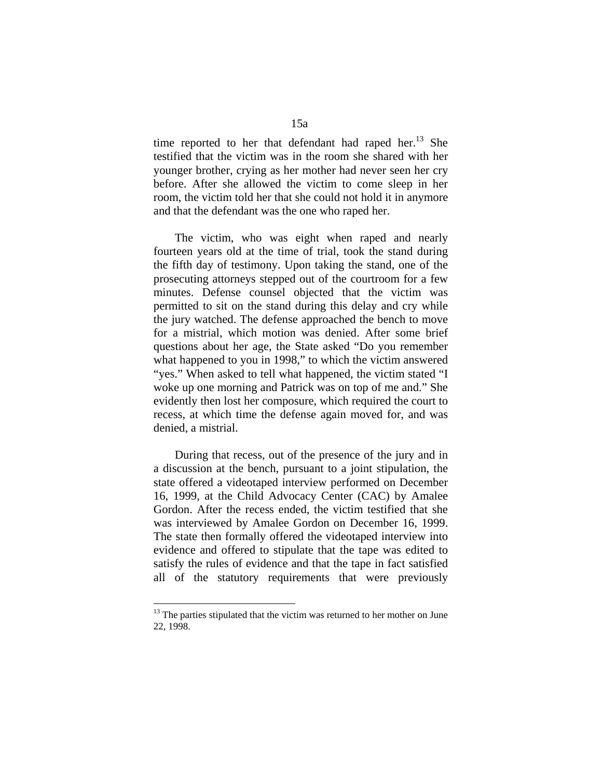time reported to her that defendant had raped her.<sup>13</sup> She testified that the victim was in the room she shared with her younger brother, crying as her mother had never seen her cry before. After she allowed the victim to come sleep in her room, the victim told her that she could not hold it in anymore and that the defendant was the one who raped her.

 The victim, who was eight when raped and nearly fourteen years old at the time of trial, took the stand during the fifth day of testimony. Upon taking the stand, one of the prosecuting attorneys stepped out of the courtroom for a few minutes. Defense counsel objected that the victim was permitted to sit on the stand during this delay and cry while the jury watched. The defense approached the bench to move for a mistrial, which motion was denied. After some brief questions about her age, the State asked "Do you remember what happened to you in 1998," to which the victim answered "yes." When asked to tell what happened, the victim stated "I woke up one morning and Patrick was on top of me and." She evidently then lost her composure, which required the court to recess, at which time the defense again moved for, and was denied, a mistrial.

 During that recess, out of the presence of the jury and in a discussion at the bench, pursuant to a joint stipulation, the state offered a videotaped interview performed on December 16, 1999, at the Child Advocacy Center (CAC) by Amalee Gordon. After the recess ended, the victim testified that she was interviewed by Amalee Gordon on December 16, 1999. The state then formally offered the videotaped interview into evidence and offered to stipulate that the tape was edited to satisfy the rules of evidence and that the tape in fact satisfied all of the statutory requirements that were previously

 $13$  The parties stipulated that the victim was returned to her mother on June 22, 1998.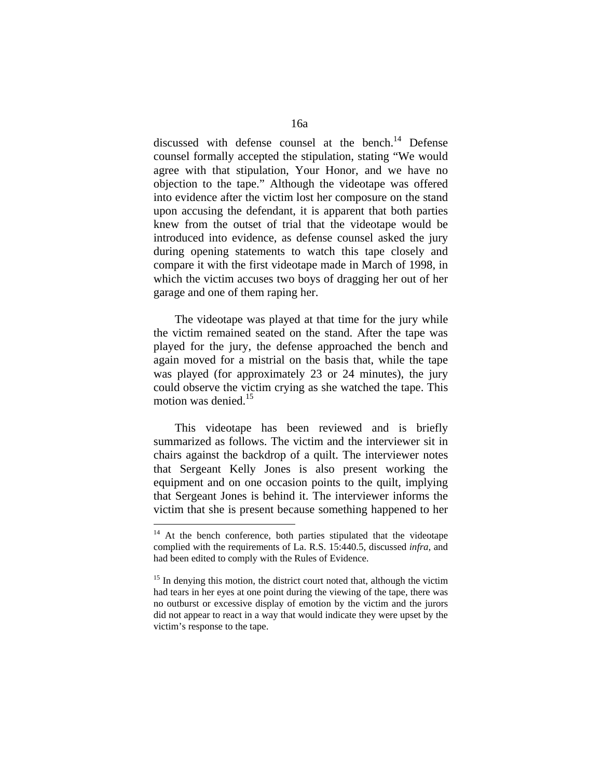discussed with defense counsel at the bench. $^{14}$  Defense counsel formally accepted the stipulation, stating "We would agree with that stipulation, Your Honor, and we have no objection to the tape." Although the videotape was offered into evidence after the victim lost her composure on the stand upon accusing the defendant, it is apparent that both parties knew from the outset of trial that the videotape would be introduced into evidence, as defense counsel asked the jury during opening statements to watch this tape closely and compare it with the first videotape made in March of 1998, in which the victim accuses two boys of dragging her out of her garage and one of them raping her.

 The videotape was played at that time for the jury while the victim remained seated on the stand. After the tape was played for the jury, the defense approached the bench and again moved for a mistrial on the basis that, while the tape was played (for approximately 23 or 24 minutes), the jury could observe the victim crying as she watched the tape. This motion was denied.<sup>15</sup>

 This videotape has been reviewed and is briefly summarized as follows. The victim and the interviewer sit in chairs against the backdrop of a quilt. The interviewer notes that Sergeant Kelly Jones is also present working the equipment and on one occasion points to the quilt, implying that Sergeant Jones is behind it. The interviewer informs the victim that she is present because something happened to her

<sup>&</sup>lt;sup>14</sup> At the bench conference, both parties stipulated that the videotape complied with the requirements of La. R.S. 15:440.5, discussed *infra*, and had been edited to comply with the Rules of Evidence.

<sup>&</sup>lt;sup>15</sup> In denying this motion, the district court noted that, although the victim had tears in her eyes at one point during the viewing of the tape, there was no outburst or excessive display of emotion by the victim and the jurors did not appear to react in a way that would indicate they were upset by the victim's response to the tape.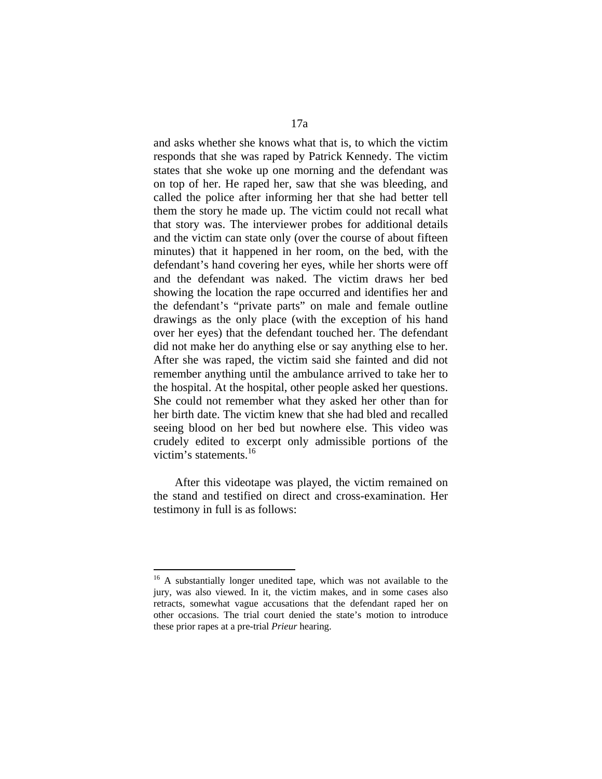and asks whether she knows what that is, to which the victim responds that she was raped by Patrick Kennedy. The victim states that she woke up one morning and the defendant was on top of her. He raped her, saw that she was bleeding, and called the police after informing her that she had better tell them the story he made up. The victim could not recall what that story was. The interviewer probes for additional details and the victim can state only (over the course of about fifteen minutes) that it happened in her room, on the bed, with the defendant's hand covering her eyes, while her shorts were off and the defendant was naked. The victim draws her bed showing the location the rape occurred and identifies her and the defendant's "private parts" on male and female outline drawings as the only place (with the exception of his hand over her eyes) that the defendant touched her. The defendant did not make her do anything else or say anything else to her. After she was raped, the victim said she fainted and did not remember anything until the ambulance arrived to take her to the hospital. At the hospital, other people asked her questions. She could not remember what they asked her other than for her birth date. The victim knew that she had bled and recalled seeing blood on her bed but nowhere else. This video was crudely edited to excerpt only admissible portions of the victim's statements.16

 After this videotape was played, the victim remained on the stand and testified on direct and cross-examination. Her testimony in full is as follows:

<sup>&</sup>lt;sup>16</sup> A substantially longer unedited tape, which was not available to the jury, was also viewed. In it, the victim makes, and in some cases also retracts, somewhat vague accusations that the defendant raped her on other occasions. The trial court denied the state's motion to introduce these prior rapes at a pre-trial *Prieur* hearing.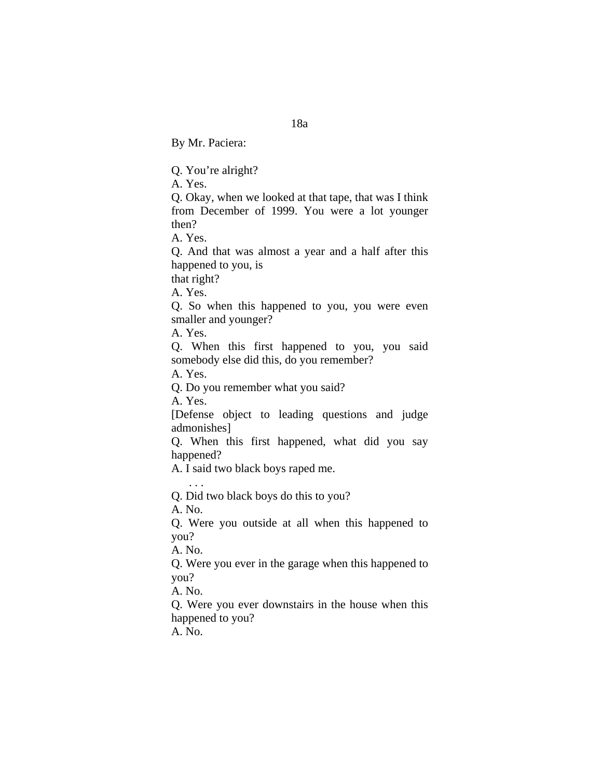By Mr. Paciera:

Q. You're alright?

A. Yes.

Q. Okay, when we looked at that tape, that was I think from December of 1999. You were a lot younger then?

A. Yes.

Q. And that was almost a year and a half after this happened to you, is

that right?

A. Yes.

Q. So when this happened to you, you were even smaller and younger?

A. Yes.

Q. When this first happened to you, you said somebody else did this, do you remember?

A. Yes.

Q. Do you remember what you said?

A. Yes.

[Defense object to leading questions and judge admonishes]

Q. When this first happened, what did you say happened?

A. I said two black boys raped me.

Q. Did two black boys do this to you?

A. No.

 $\mathbf{r}$  . . .

Q. Were you outside at all when this happened to you?

A. No.

Q. Were you ever in the garage when this happened to you?

A. No.

Q. Were you ever downstairs in the house when this happened to you?

A. No.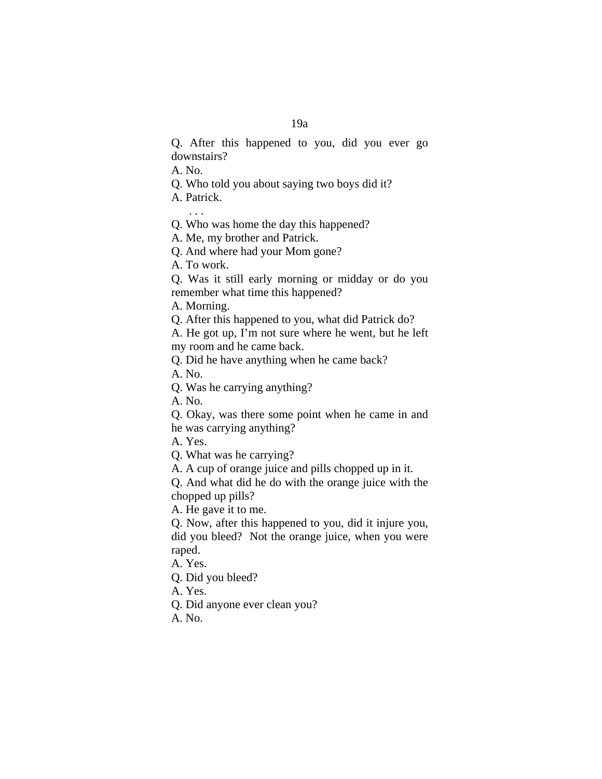Q. After this happened to you, did you ever go downstairs?

A. No.

Q. Who told you about saying two boys did it?

A. Patrick.

. . .

Q. Who was home the day this happened?

A. Me, my brother and Patrick.

Q. And where had your Mom gone?

A. To work.

Q. Was it still early morning or midday or do you remember what time this happened?

A. Morning.

Q. After this happened to you, what did Patrick do?

A. He got up, I'm not sure where he went, but he left my room and he came back.

Q. Did he have anything when he came back?

A. No.

Q. Was he carrying anything?

A. No.

Q. Okay, was there some point when he came in and he was carrying anything?

A. Yes.

Q. What was he carrying?

A. A cup of orange juice and pills chopped up in it.

Q. And what did he do with the orange juice with the chopped up pills?

A. He gave it to me.

Q. Now, after this happened to you, did it injure you, did you bleed? Not the orange juice, when you were raped.

A. Yes.

Q. Did you bleed?

A. Yes.

Q. Did anyone ever clean you?

A. No.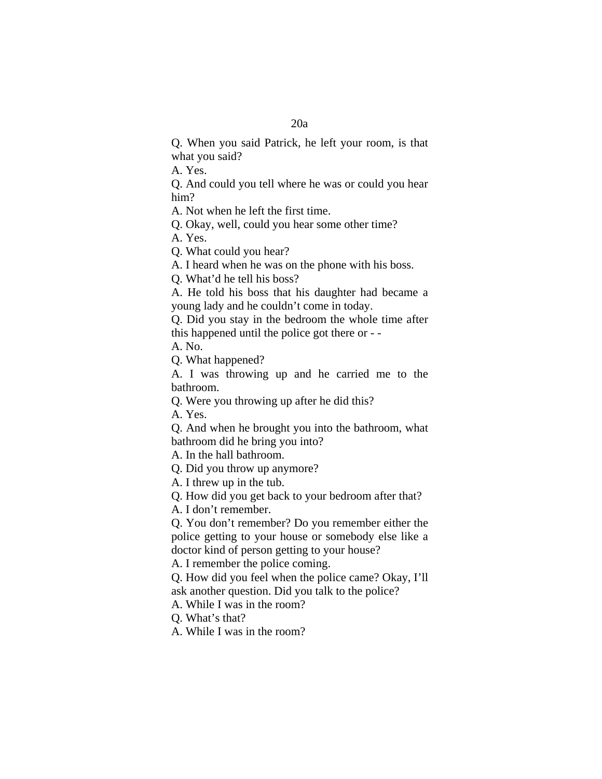Q. When you said Patrick, he left your room, is that what you said?

A. Yes.

Q. And could you tell where he was or could you hear him?

A. Not when he left the first time.

Q. Okay, well, could you hear some other time?

A. Yes.

Q. What could you hear?

A. I heard when he was on the phone with his boss.

Q. What'd he tell his boss?

A. He told his boss that his daughter had became a young lady and he couldn't come in today.

Q. Did you stay in the bedroom the whole time after this happened until the police got there or - -

A. No.

Q. What happened?

A. I was throwing up and he carried me to the bathroom.

Q. Were you throwing up after he did this?

A. Yes.

Q. And when he brought you into the bathroom, what bathroom did he bring you into?

A. In the hall bathroom.

Q. Did you throw up anymore?

A. I threw up in the tub.

Q. How did you get back to your bedroom after that?

A. I don't remember.

Q. You don't remember? Do you remember either the police getting to your house or somebody else like a doctor kind of person getting to your house?

A. I remember the police coming.

Q. How did you feel when the police came? Okay, I'll ask another question. Did you talk to the police?

A. While I was in the room?

Q. What's that?

A. While I was in the room?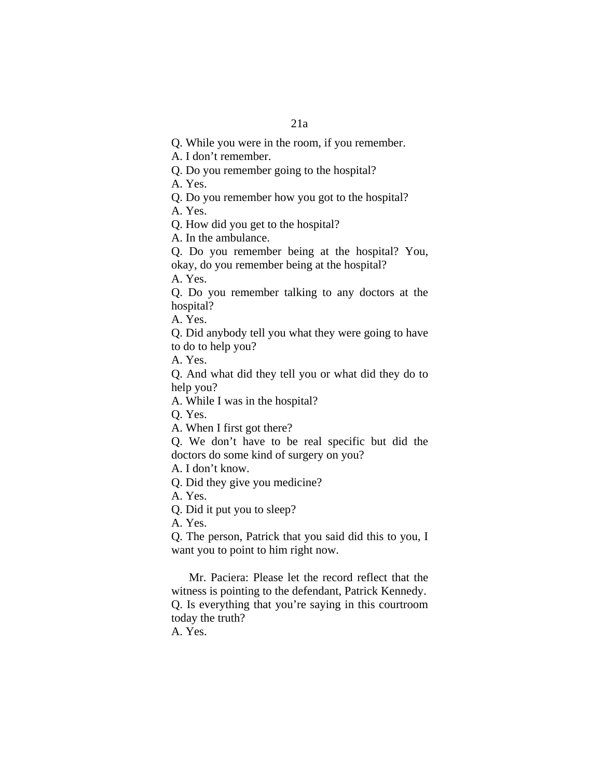Q. While you were in the room, if you remember.

A. I don't remember.

Q. Do you remember going to the hospital?

A. Yes.

Q. Do you remember how you got to the hospital?

A. Yes.

Q. How did you get to the hospital?

A. In the ambulance.

Q. Do you remember being at the hospital? You, okay, do you remember being at the hospital?

A. Yes.

Q. Do you remember talking to any doctors at the hospital?

A. Yes.

Q. Did anybody tell you what they were going to have to do to help you?

A. Yes.

Q. And what did they tell you or what did they do to help you?

A. While I was in the hospital?

Q. Yes.

A. When I first got there?

Q. We don't have to be real specific but did the doctors do some kind of surgery on you?

A. I don't know.

Q. Did they give you medicine?

A. Yes.

Q. Did it put you to sleep?

A. Yes.

Q. The person, Patrick that you said did this to you, I want you to point to him right now.

 Mr. Paciera: Please let the record reflect that the witness is pointing to the defendant, Patrick Kennedy. Q. Is everything that you're saying in this courtroom today the truth?

A. Yes.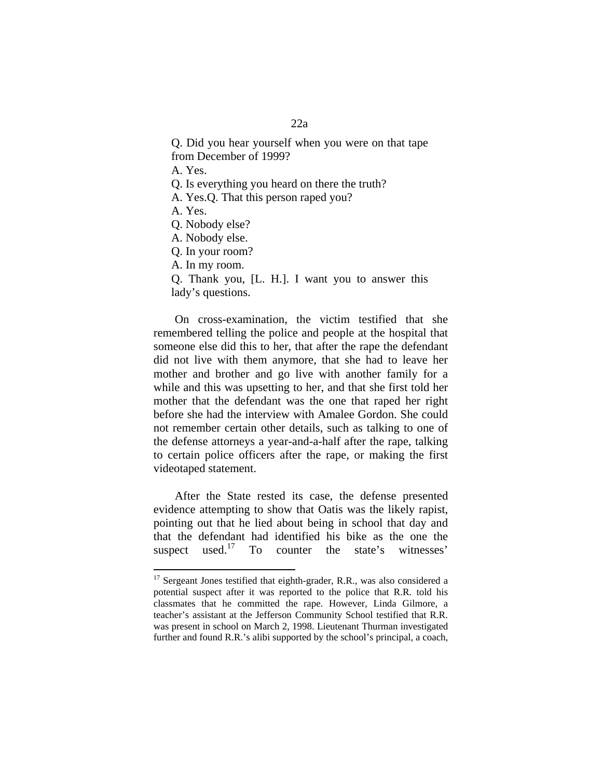### 22a

Q. Did you hear yourself when you were on that tape from December of 1999?

A. Yes.

Q. Is everything you heard on there the truth?

A. Yes.Q. That this person raped you?

A. Yes.

 $\overline{a}$ 

- Q. Nobody else?
- A. Nobody else.
- Q. In your room?

A. In my room.

Q. Thank you, [L. H.]. I want you to answer this lady's questions.

 On cross-examination, the victim testified that she remembered telling the police and people at the hospital that someone else did this to her, that after the rape the defendant did not live with them anymore, that she had to leave her mother and brother and go live with another family for a while and this was upsetting to her, and that she first told her mother that the defendant was the one that raped her right before she had the interview with Amalee Gordon. She could not remember certain other details, such as talking to one of the defense attorneys a year-and-a-half after the rape, talking to certain police officers after the rape, or making the first videotaped statement.

 After the State rested its case, the defense presented evidence attempting to show that Oatis was the likely rapist, pointing out that he lied about being in school that day and that the defendant had identified his bike as the one the suspect used.<sup>17</sup> To counter the state's witnesses'

 $17$  Sergeant Jones testified that eighth-grader, R.R., was also considered a potential suspect after it was reported to the police that R.R. told his classmates that he committed the rape. However, Linda Gilmore, a teacher's assistant at the Jefferson Community School testified that R.R. was present in school on March 2, 1998. Lieutenant Thurman investigated further and found R.R.'s alibi supported by the school's principal, a coach,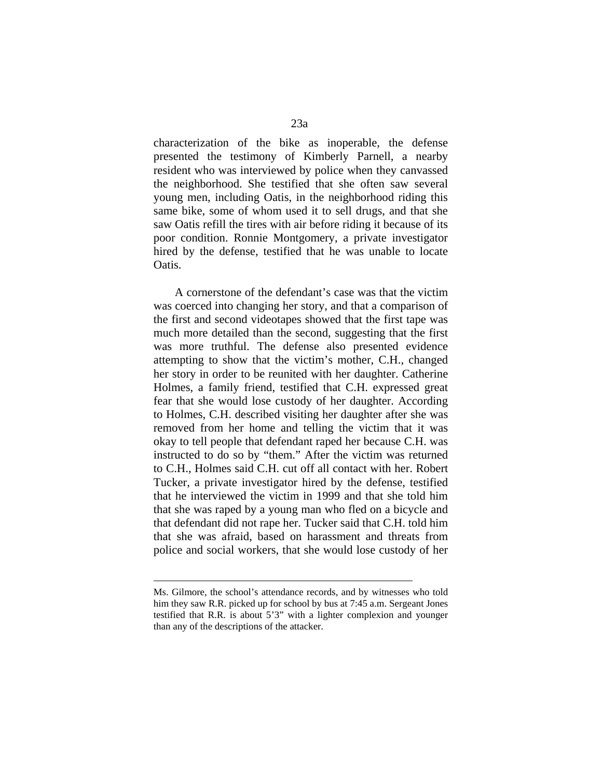characterization of the bike as inoperable, the defense presented the testimony of Kimberly Parnell, a nearby resident who was interviewed by police when they canvassed the neighborhood. She testified that she often saw several young men, including Oatis, in the neighborhood riding this same bike, some of whom used it to sell drugs, and that she saw Oatis refill the tires with air before riding it because of its poor condition. Ronnie Montgomery, a private investigator hired by the defense, testified that he was unable to locate Oatis.

 A cornerstone of the defendant's case was that the victim was coerced into changing her story, and that a comparison of the first and second videotapes showed that the first tape was much more detailed than the second, suggesting that the first was more truthful. The defense also presented evidence attempting to show that the victim's mother, C.H., changed her story in order to be reunited with her daughter. Catherine Holmes, a family friend, testified that C.H. expressed great fear that she would lose custody of her daughter. According to Holmes, C.H. described visiting her daughter after she was removed from her home and telling the victim that it was okay to tell people that defendant raped her because C.H. was instructed to do so by "them." After the victim was returned to C.H., Holmes said C.H. cut off all contact with her. Robert Tucker, a private investigator hired by the defense, testified that he interviewed the victim in 1999 and that she told him that she was raped by a young man who fled on a bicycle and that defendant did not rape her. Tucker said that C.H. told him that she was afraid, based on harassment and threats from police and social workers, that she would lose custody of her

1

Ms. Gilmore, the school's attendance records, and by witnesses who told him they saw R.R. picked up for school by bus at 7:45 a.m. Sergeant Jones testified that R.R. is about 5'3" with a lighter complexion and younger than any of the descriptions of the attacker.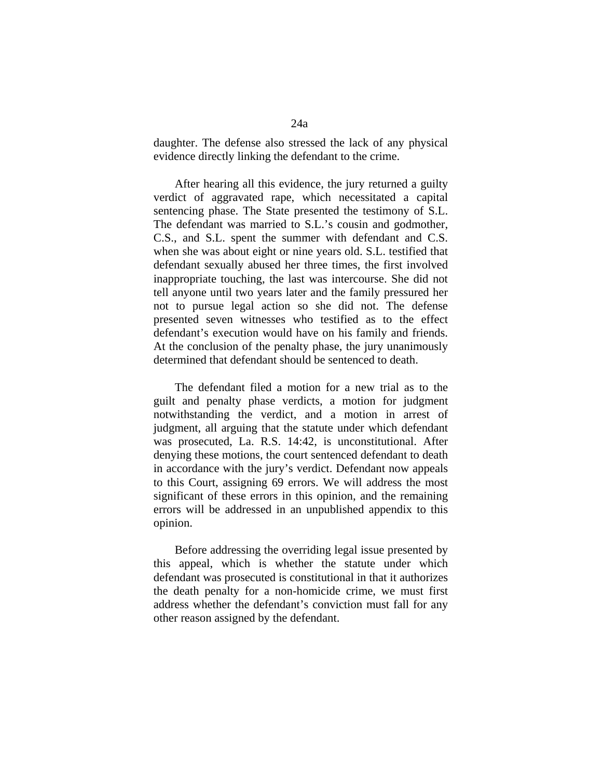daughter. The defense also stressed the lack of any physical evidence directly linking the defendant to the crime.

 After hearing all this evidence, the jury returned a guilty verdict of aggravated rape, which necessitated a capital sentencing phase. The State presented the testimony of S.L. The defendant was married to S.L.'s cousin and godmother, C.S., and S.L. spent the summer with defendant and C.S. when she was about eight or nine years old. S.L. testified that defendant sexually abused her three times, the first involved inappropriate touching, the last was intercourse. She did not tell anyone until two years later and the family pressured her not to pursue legal action so she did not. The defense presented seven witnesses who testified as to the effect defendant's execution would have on his family and friends. At the conclusion of the penalty phase, the jury unanimously determined that defendant should be sentenced to death.

 The defendant filed a motion for a new trial as to the guilt and penalty phase verdicts, a motion for judgment notwithstanding the verdict, and a motion in arrest of judgment, all arguing that the statute under which defendant was prosecuted, La. R.S. 14:42, is unconstitutional. After denying these motions, the court sentenced defendant to death in accordance with the jury's verdict. Defendant now appeals to this Court, assigning 69 errors. We will address the most significant of these errors in this opinion, and the remaining errors will be addressed in an unpublished appendix to this opinion.

 Before addressing the overriding legal issue presented by this appeal, which is whether the statute under which defendant was prosecuted is constitutional in that it authorizes the death penalty for a non-homicide crime, we must first address whether the defendant's conviction must fall for any other reason assigned by the defendant.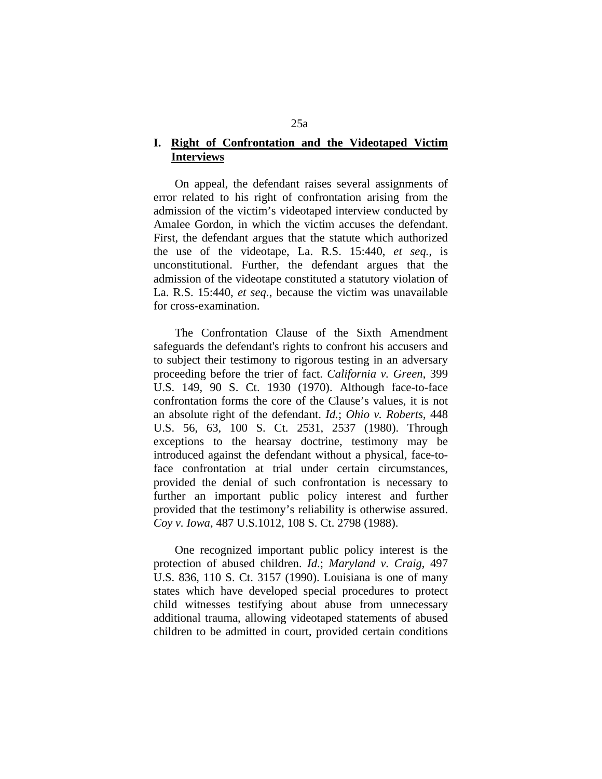### **I. Right of Confrontation and the Videotaped Victim Interviews**

 On appeal, the defendant raises several assignments of error related to his right of confrontation arising from the admission of the victim's videotaped interview conducted by Amalee Gordon, in which the victim accuses the defendant. First, the defendant argues that the statute which authorized the use of the videotape, La. R.S. 15:440, *et seq.*, is unconstitutional. Further, the defendant argues that the admission of the videotape constituted a statutory violation of La. R.S. 15:440, *et seq.*, because the victim was unavailable for cross-examination.

 The Confrontation Clause of the Sixth Amendment safeguards the defendant's rights to confront his accusers and to subject their testimony to rigorous testing in an adversary proceeding before the trier of fact. *California v. Green*, 399 U.S. 149, 90 S. Ct. 1930 (1970). Although face-to-face confrontation forms the core of the Clause's values, it is not an absolute right of the defendant. *Id.*; *Ohio v. Roberts*, 448 U.S. 56, 63, 100 S. Ct. 2531, 2537 (1980). Through exceptions to the hearsay doctrine, testimony may be introduced against the defendant without a physical, face-toface confrontation at trial under certain circumstances, provided the denial of such confrontation is necessary to further an important public policy interest and further provided that the testimony's reliability is otherwise assured. *Coy v. Iowa*, 487 U.S.1012, 108 S. Ct. 2798 (1988).

 One recognized important public policy interest is the protection of abused children. *Id*.; *Maryland v. Craig*, 497 U.S. 836, 110 S. Ct. 3157 (1990). Louisiana is one of many states which have developed special procedures to protect child witnesses testifying about abuse from unnecessary additional trauma, allowing videotaped statements of abused children to be admitted in court, provided certain conditions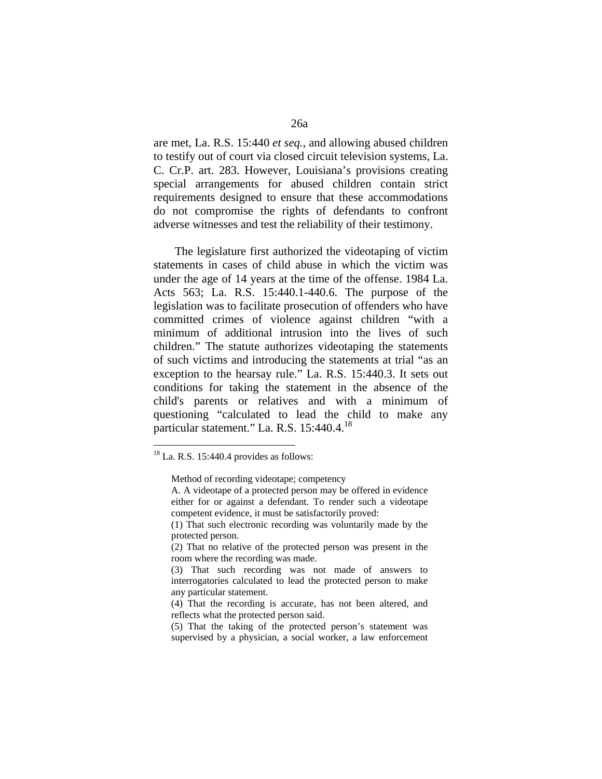are met, La. R.S. 15:440 *et seq.,* and allowing abused children to testify out of court via closed circuit television systems, La. C. Cr.P. art. 283. However, Louisiana's provisions creating special arrangements for abused children contain strict requirements designed to ensure that these accommodations do not compromise the rights of defendants to confront adverse witnesses and test the reliability of their testimony.

 The legislature first authorized the videotaping of victim statements in cases of child abuse in which the victim was under the age of 14 years at the time of the offense. 1984 La. Acts 563; La. R.S. 15:440.1-440.6. The purpose of the legislation was to facilitate prosecution of offenders who have committed crimes of violence against children "with a minimum of additional intrusion into the lives of such children." The statute authorizes videotaping the statements of such victims and introducing the statements at trial "as an exception to the hearsay rule." La. R.S. 15:440.3. It sets out conditions for taking the statement in the absence of the child's parents or relatives and with a minimum of questioning "calculated to lead the child to make any particular statement." La. R.S. 15:440.4.<sup>18</sup>

 $18$  La. R.S. 15:440.4 provides as follows:

Method of recording videotape; competency

A. A videotape of a protected person may be offered in evidence either for or against a defendant. To render such a videotape competent evidence, it must be satisfactorily proved:

 <sup>(1)</sup> That such electronic recording was voluntarily made by the protected person.

 <sup>(2)</sup> That no relative of the protected person was present in the room where the recording was made.

 <sup>(3)</sup> That such recording was not made of answers to interrogatories calculated to lead the protected person to make any particular statement.

 <sup>(4)</sup> That the recording is accurate, has not been altered, and reflects what the protected person said.

 <sup>(5)</sup> That the taking of the protected person's statement was supervised by a physician, a social worker, a law enforcement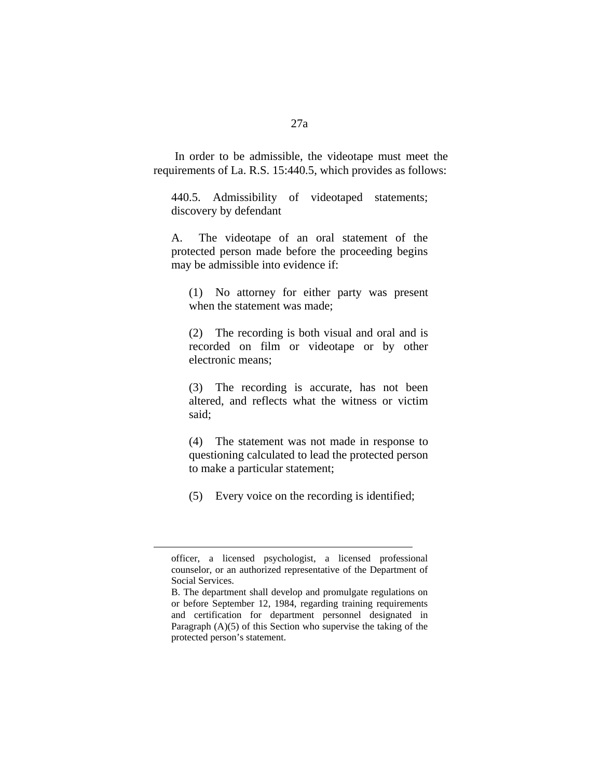In order to be admissible, the videotape must meet the requirements of La. R.S. 15:440.5, which provides as follows:

440.5. Admissibility of videotaped statements; discovery by defendant

A. The videotape of an oral statement of the protected person made before the proceeding begins may be admissible into evidence if:

(1) No attorney for either party was present when the statement was made;

(2) The recording is both visual and oral and is recorded on film or videotape or by other electronic means;

(3) The recording is accurate, has not been altered, and reflects what the witness or victim said;

(4) The statement was not made in response to questioning calculated to lead the protected person to make a particular statement;

(5) Every voice on the recording is identified;

officer, a licensed psychologist, a licensed professional counselor, or an authorized representative of the Department of Social Services.

B. The department shall develop and promulgate regulations on or before September 12, 1984, regarding training requirements and certification for department personnel designated in Paragraph (A)(5) of this Section who supervise the taking of the protected person's statement.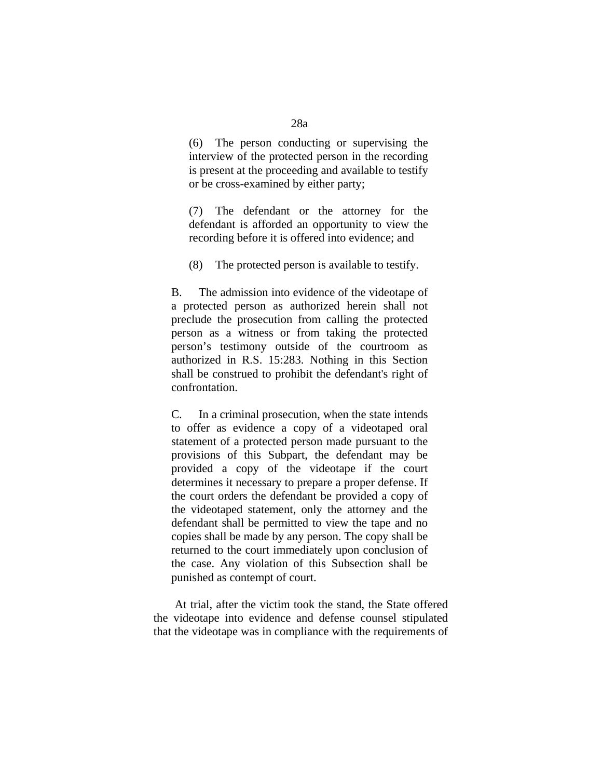(6) The person conducting or supervising the interview of the protected person in the recording is present at the proceeding and available to testify or be cross-examined by either party;

(7) The defendant or the attorney for the defendant is afforded an opportunity to view the recording before it is offered into evidence; and

(8) The protected person is available to testify.

B. The admission into evidence of the videotape of a protected person as authorized herein shall not preclude the prosecution from calling the protected person as a witness or from taking the protected person's testimony outside of the courtroom as authorized in R.S. 15:283. Nothing in this Section shall be construed to prohibit the defendant's right of confrontation.

C. In a criminal prosecution, when the state intends to offer as evidence a copy of a videotaped oral statement of a protected person made pursuant to the provisions of this Subpart, the defendant may be provided a copy of the videotape if the court determines it necessary to prepare a proper defense. If the court orders the defendant be provided a copy of the videotaped statement, only the attorney and the defendant shall be permitted to view the tape and no copies shall be made by any person. The copy shall be returned to the court immediately upon conclusion of the case. Any violation of this Subsection shall be punished as contempt of court.

 At trial, after the victim took the stand, the State offered the videotape into evidence and defense counsel stipulated that the videotape was in compliance with the requirements of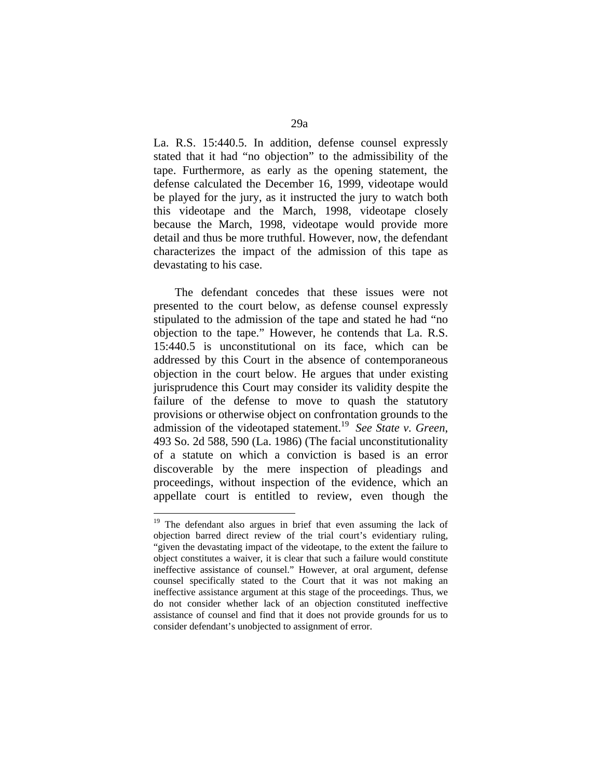La. R.S. 15:440.5. In addition, defense counsel expressly stated that it had "no objection" to the admissibility of the tape. Furthermore, as early as the opening statement, the defense calculated the December 16, 1999, videotape would be played for the jury, as it instructed the jury to watch both this videotape and the March, 1998, videotape closely because the March, 1998, videotape would provide more detail and thus be more truthful. However, now, the defendant characterizes the impact of the admission of this tape as devastating to his case.

 The defendant concedes that these issues were not presented to the court below, as defense counsel expressly stipulated to the admission of the tape and stated he had "no objection to the tape." However, he contends that La. R.S. 15:440.5 is unconstitutional on its face, which can be addressed by this Court in the absence of contemporaneous objection in the court below. He argues that under existing jurisprudence this Court may consider its validity despite the failure of the defense to move to quash the statutory provisions or otherwise object on confrontation grounds to the admission of the videotaped statement.19 *See State v. Green*, 493 So. 2d 588, 590 (La. 1986) (The facial unconstitutionality of a statute on which a conviction is based is an error discoverable by the mere inspection of pleadings and proceedings, without inspection of the evidence, which an appellate court is entitled to review, even though the

<sup>&</sup>lt;sup>19</sup> The defendant also argues in brief that even assuming the lack of objection barred direct review of the trial court's evidentiary ruling, "given the devastating impact of the videotape, to the extent the failure to object constitutes a waiver, it is clear that such a failure would constitute ineffective assistance of counsel." However, at oral argument, defense counsel specifically stated to the Court that it was not making an ineffective assistance argument at this stage of the proceedings. Thus, we do not consider whether lack of an objection constituted ineffective assistance of counsel and find that it does not provide grounds for us to consider defendant's unobjected to assignment of error.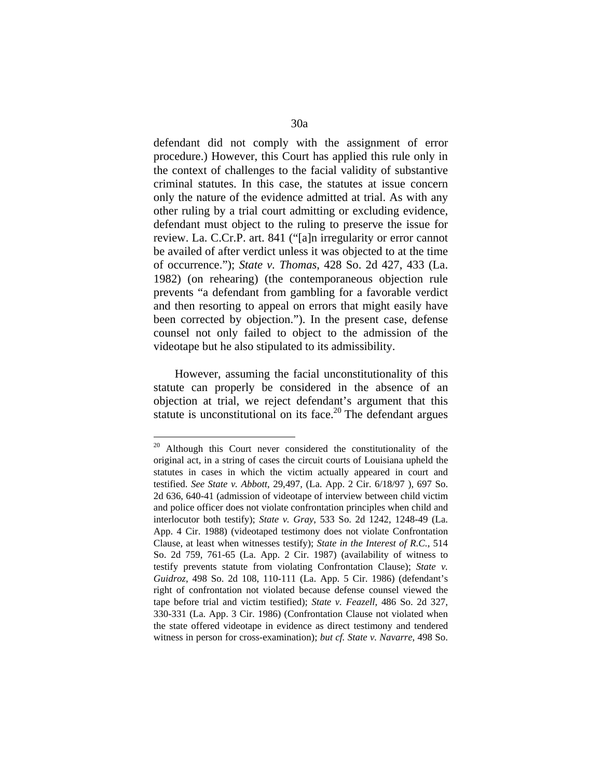defendant did not comply with the assignment of error procedure.) However, this Court has applied this rule only in the context of challenges to the facial validity of substantive criminal statutes. In this case, the statutes at issue concern only the nature of the evidence admitted at trial. As with any other ruling by a trial court admitting or excluding evidence, defendant must object to the ruling to preserve the issue for review. La. C.Cr.P. art. 841 ("[a]n irregularity or error cannot be availed of after verdict unless it was objected to at the time of occurrence."); *State v. Thomas*, 428 So. 2d 427, 433 (La. 1982) (on rehearing) (the contemporaneous objection rule prevents "a defendant from gambling for a favorable verdict and then resorting to appeal on errors that might easily have been corrected by objection."). In the present case, defense counsel not only failed to object to the admission of the videotape but he also stipulated to its admissibility.

 However, assuming the facial unconstitutionality of this statute can properly be considered in the absence of an objection at trial, we reject defendant's argument that this statute is unconstitutional on its face.<sup>20</sup> The defendant argues

<sup>&</sup>lt;sup>20</sup> Although this Court never considered the constitutionality of the original act, in a string of cases the circuit courts of Louisiana upheld the statutes in cases in which the victim actually appeared in court and testified. *See State v. Abbott*, 29,497, (La. App. 2 Cir. 6/18/97 ), 697 So. 2d 636, 640-41 (admission of videotape of interview between child victim and police officer does not violate confrontation principles when child and interlocutor both testify); *State v. Gray*, 533 So. 2d 1242, 1248-49 (La. App. 4 Cir. 1988) (videotaped testimony does not violate Confrontation Clause, at least when witnesses testify); *State in the Interest of R.C.*, 514 So. 2d 759, 761-65 (La. App. 2 Cir. 1987) (availability of witness to testify prevents statute from violating Confrontation Clause); *State v. Guidroz*, 498 So. 2d 108, 110-111 (La. App. 5 Cir. 1986) (defendant's right of confrontation not violated because defense counsel viewed the tape before trial and victim testified); *State v. Feazell*, 486 So. 2d 327, 330-331 (La. App. 3 Cir. 1986) (Confrontation Clause not violated when the state offered videotape in evidence as direct testimony and tendered witness in person for cross-examination); *but cf. State v. Navarre*, 498 So.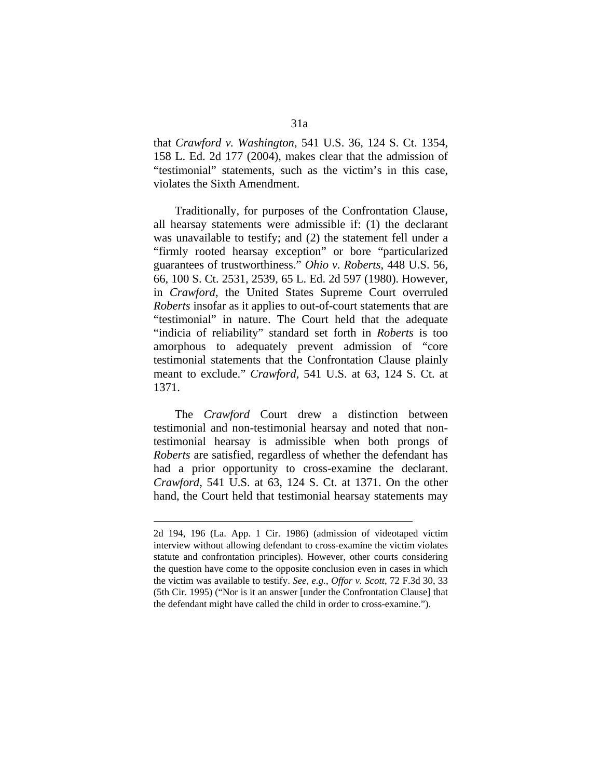that *Crawford v. Washington*, 541 U.S. 36, 124 S. Ct. 1354, 158 L. Ed. 2d 177 (2004), makes clear that the admission of "testimonial" statements, such as the victim's in this case, violates the Sixth Amendment.

 Traditionally, for purposes of the Confrontation Clause, all hearsay statements were admissible if: (1) the declarant was unavailable to testify; and (2) the statement fell under a "firmly rooted hearsay exception" or bore "particularized guarantees of trustworthiness." *Ohio v. Roberts*, 448 U.S. 56, 66, 100 S. Ct. 2531, 2539, 65 L. Ed. 2d 597 (1980). However, in *Crawford*, the United States Supreme Court overruled *Roberts* insofar as it applies to out-of-court statements that are "testimonial" in nature. The Court held that the adequate "indicia of reliability" standard set forth in *Roberts* is too amorphous to adequately prevent admission of "core testimonial statements that the Confrontation Clause plainly meant to exclude." *Crawford*, 541 U.S. at 63, 124 S. Ct. at 1371.

 The *Crawford* Court drew a distinction between testimonial and non-testimonial hearsay and noted that nontestimonial hearsay is admissible when both prongs of *Roberts* are satisfied, regardless of whether the defendant has had a prior opportunity to cross-examine the declarant. *Crawford*, 541 U.S. at 63, 124 S. Ct. at 1371. On the other hand, the Court held that testimonial hearsay statements may

1

<sup>2</sup>d 194, 196 (La. App. 1 Cir. 1986) (admission of videotaped victim interview without allowing defendant to cross-examine the victim violates statute and confrontation principles). However, other courts considering the question have come to the opposite conclusion even in cases in which the victim was available to testify. *See, e.g.*, *Offor v. Scott*, 72 F.3d 30, 33 (5th Cir. 1995) ("Nor is it an answer [under the Confrontation Clause] that the defendant might have called the child in order to cross-examine.").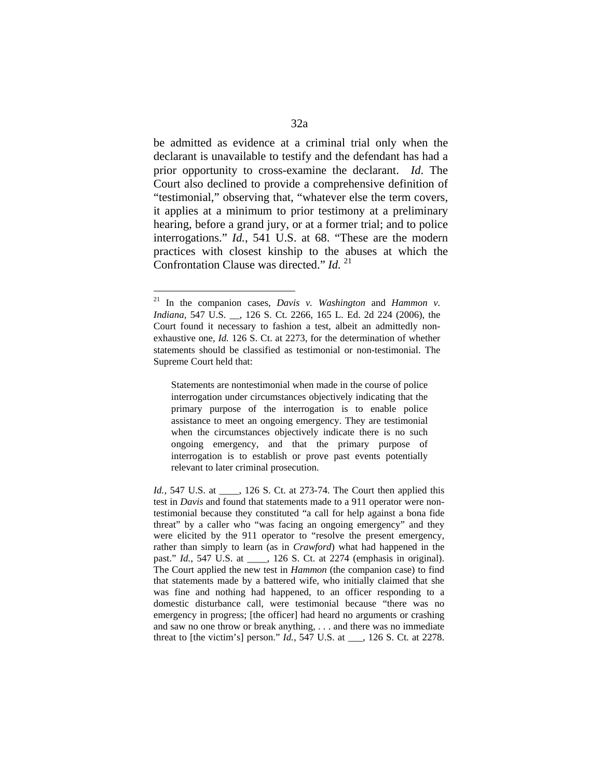be admitted as evidence at a criminal trial only when the declarant is unavailable to testify and the defendant has had a prior opportunity to cross-examine the declarant. *Id*. The Court also declined to provide a comprehensive definition of "testimonial," observing that, "whatever else the term covers, it applies at a minimum to prior testimony at a preliminary hearing, before a grand jury, or at a former trial; and to police interrogations." *Id.*, 541 U.S. at 68. "These are the modern practices with closest kinship to the abuses at which the Confrontation Clause was directed." *Id.* <sup>21</sup>

 $\overline{a}$ 

Statements are nontestimonial when made in the course of police interrogation under circumstances objectively indicating that the primary purpose of the interrogation is to enable police assistance to meet an ongoing emergency. They are testimonial when the circumstances objectively indicate there is no such ongoing emergency, and that the primary purpose of interrogation is to establish or prove past events potentially relevant to later criminal prosecution.

<sup>21</sup> In the companion cases, *Davis v. Washington* and *Hammon v. Indiana*, 547 U.S. \_\_, 126 S. Ct. 2266, 165 L. Ed. 2d 224 (2006), the Court found it necessary to fashion a test, albeit an admittedly nonexhaustive one, *Id.* 126 S. Ct. at 2273, for the determination of whether statements should be classified as testimonial or non-testimonial. The Supreme Court held that:

*Id.*, 547 U.S. at \_\_\_\_, 126 S. Ct. at 273-74. The Court then applied this test in *Davis* and found that statements made to a 911 operator were nontestimonial because they constituted "a call for help against a bona fide threat" by a caller who "was facing an ongoing emergency" and they were elicited by the 911 operator to "resolve the present emergency, rather than simply to learn (as in *Crawford*) what had happened in the past." *Id.*, 547 U.S. at  $\qquad$ , 126 S. Ct. at 2274 (emphasis in original). The Court applied the new test in *Hammon* (the companion case) to find that statements made by a battered wife, who initially claimed that she was fine and nothing had happened, to an officer responding to a domestic disturbance call, were testimonial because "there was no emergency in progress; [the officer] had heard no arguments or crashing and saw no one throw or break anything, . . . and there was no immediate threat to [the victim's] person." *Id.*, 547 U.S. at \_\_\_, 126 S. Ct. at 2278.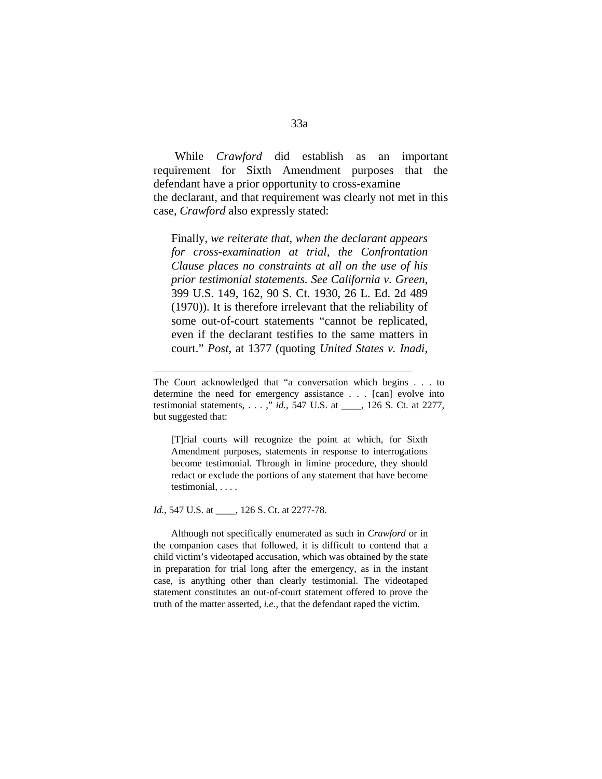While *Crawford* did establish as an important requirement for Sixth Amendment purposes that the defendant have a prior opportunity to cross-examine the declarant, and that requirement was clearly not met in this case, *Crawford* also expressly stated:

Finally, *we reiterate that, when the declarant appears for cross-examination at trial, the Confrontation Clause places no constraints at all on the use of his prior testimonial statements. See California v. Green*, 399 U.S. 149, 162, 90 S. Ct. 1930, 26 L. Ed. 2d 489 (1970)). It is therefore irrelevant that the reliability of some out-of-court statements "cannot be replicated, even if the declarant testifies to the same matters in court." *Post*, at 1377 (quoting *United States v. Inadi*,

[T]rial courts will recognize the point at which, for Sixth Amendment purposes, statements in response to interrogations become testimonial. Through in limine procedure, they should redact or exclude the portions of any statement that have become testimonial, . . . .

*Id.*, 547 U.S. at \_\_\_\_, 126 S. Ct. at 2277-78.

1

 Although not specifically enumerated as such in *Crawford* or in the companion cases that followed, it is difficult to contend that a child victim's videotaped accusation, which was obtained by the state in preparation for trial long after the emergency, as in the instant case, is anything other than clearly testimonial. The videotaped statement constitutes an out-of-court statement offered to prove the truth of the matter asserted, *i.e.*, that the defendant raped the victim.

The Court acknowledged that "a conversation which begins . . . to determine the need for emergency assistance . . . [can] evolve into testimonial statements, . . . ," *id.*, 547 U.S. at \_\_\_\_, 126 S. Ct. at 2277, but suggested that: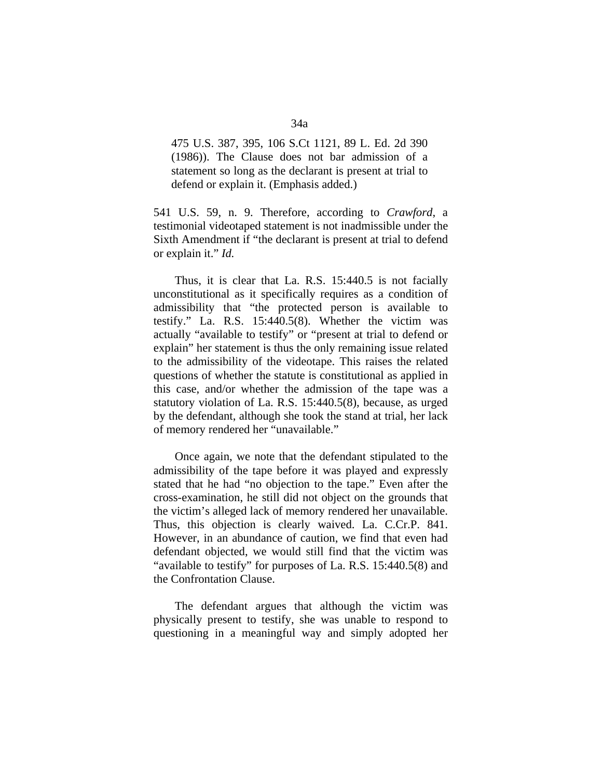475 U.S. 387, 395, 106 S.Ct 1121, 89 L. Ed. 2d 390 (1986)). The Clause does not bar admission of a statement so long as the declarant is present at trial to defend or explain it. (Emphasis added.)

541 U.S. 59, n. 9. Therefore, according to *Crawford*, a testimonial videotaped statement is not inadmissible under the Sixth Amendment if "the declarant is present at trial to defend or explain it." *Id.* 

 Thus, it is clear that La. R.S. 15:440.5 is not facially unconstitutional as it specifically requires as a condition of admissibility that "the protected person is available to testify." La. R.S. 15:440.5(8). Whether the victim was actually "available to testify" or "present at trial to defend or explain" her statement is thus the only remaining issue related to the admissibility of the videotape. This raises the related questions of whether the statute is constitutional as applied in this case, and/or whether the admission of the tape was a statutory violation of La. R.S. 15:440.5(8), because, as urged by the defendant, although she took the stand at trial, her lack of memory rendered her "unavailable."

 Once again, we note that the defendant stipulated to the admissibility of the tape before it was played and expressly stated that he had "no objection to the tape." Even after the cross-examination, he still did not object on the grounds that the victim's alleged lack of memory rendered her unavailable. Thus, this objection is clearly waived. La. C.Cr.P. 841. However, in an abundance of caution, we find that even had defendant objected, we would still find that the victim was "available to testify" for purposes of La. R.S. 15:440.5(8) and the Confrontation Clause.

 The defendant argues that although the victim was physically present to testify, she was unable to respond to questioning in a meaningful way and simply adopted her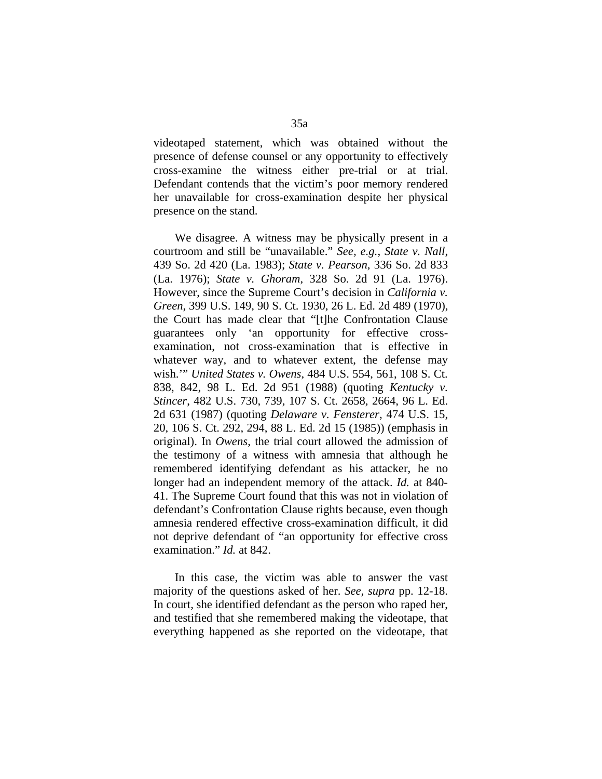videotaped statement, which was obtained without the presence of defense counsel or any opportunity to effectively cross-examine the witness either pre-trial or at trial. Defendant contends that the victim's poor memory rendered her unavailable for cross-examination despite her physical presence on the stand.

 We disagree. A witness may be physically present in a courtroom and still be "unavailable." *See, e.g.*, *State v. Nall*, 439 So. 2d 420 (La. 1983); *State v. Pearson*, 336 So. 2d 833 (La. 1976); *State v. Ghoram*, 328 So. 2d 91 (La. 1976). However, since the Supreme Court's decision in *California v. Green*, 399 U.S. 149, 90 S. Ct. 1930, 26 L. Ed. 2d 489 (1970), the Court has made clear that "[t]he Confrontation Clause guarantees only 'an opportunity for effective crossexamination, not cross-examination that is effective in whatever way, and to whatever extent, the defense may wish.'" *United States v. Owens*, 484 U.S. 554, 561, 108 S. Ct. 838, 842, 98 L. Ed. 2d 951 (1988) (quoting *Kentucky v. Stincer*, 482 U.S. 730, 739, 107 S. Ct. 2658, 2664, 96 L. Ed. 2d 631 (1987) (quoting *Delaware v. Fensterer*, 474 U.S. 15, 20, 106 S. Ct. 292, 294, 88 L. Ed. 2d 15 (1985)) (emphasis in original). In *Owens*, the trial court allowed the admission of the testimony of a witness with amnesia that although he remembered identifying defendant as his attacker, he no longer had an independent memory of the attack. *Id.* at 840- 41. The Supreme Court found that this was not in violation of defendant's Confrontation Clause rights because, even though amnesia rendered effective cross-examination difficult, it did not deprive defendant of "an opportunity for effective cross examination." *Id.* at 842.

 In this case, the victim was able to answer the vast majority of the questions asked of her. *See, supra* pp. 12-18. In court, she identified defendant as the person who raped her, and testified that she remembered making the videotape, that everything happened as she reported on the videotape, that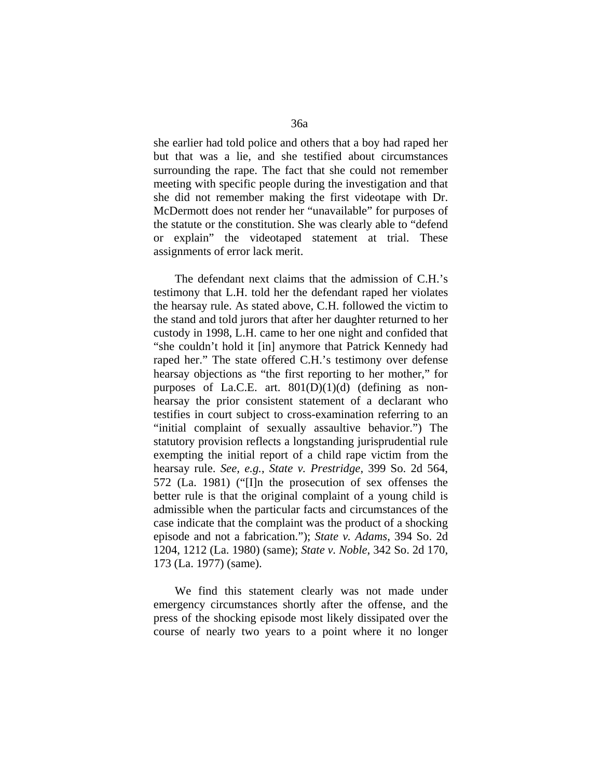she earlier had told police and others that a boy had raped her but that was a lie, and she testified about circumstances surrounding the rape. The fact that she could not remember meeting with specific people during the investigation and that she did not remember making the first videotape with Dr. McDermott does not render her "unavailable" for purposes of the statute or the constitution. She was clearly able to "defend or explain" the videotaped statement at trial. These assignments of error lack merit.

 The defendant next claims that the admission of C.H.'s testimony that L.H. told her the defendant raped her violates the hearsay rule. As stated above, C.H. followed the victim to the stand and told jurors that after her daughter returned to her custody in 1998, L.H. came to her one night and confided that "she couldn't hold it [in] anymore that Patrick Kennedy had raped her." The state offered C.H.'s testimony over defense hearsay objections as "the first reporting to her mother," for purposes of La.C.E. art.  $801(D)(1)(d)$  (defining as nonhearsay the prior consistent statement of a declarant who testifies in court subject to cross-examination referring to an "initial complaint of sexually assaultive behavior.") The statutory provision reflects a longstanding jurisprudential rule exempting the initial report of a child rape victim from the hearsay rule. *See, e.g.*, *State v. Prestridge*, 399 So. 2d 564, 572 (La. 1981) ("[I]n the prosecution of sex offenses the better rule is that the original complaint of a young child is admissible when the particular facts and circumstances of the case indicate that the complaint was the product of a shocking episode and not a fabrication."); *State v. Adams*, 394 So. 2d 1204, 1212 (La. 1980) (same); *State v. Noble*, 342 So. 2d 170, 173 (La. 1977) (same).

 We find this statement clearly was not made under emergency circumstances shortly after the offense, and the press of the shocking episode most likely dissipated over the course of nearly two years to a point where it no longer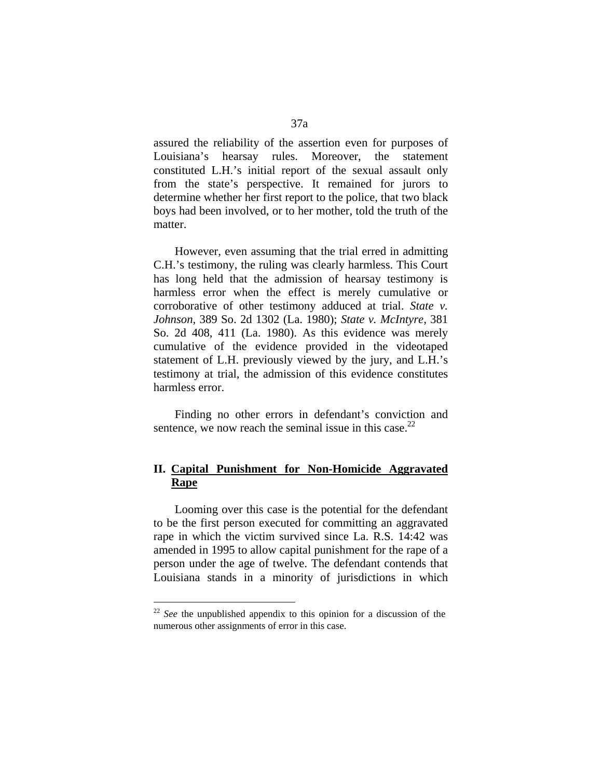assured the reliability of the assertion even for purposes of Louisiana's hearsay rules. Moreover, the statement constituted L.H.'s initial report of the sexual assault only from the state's perspective. It remained for jurors to determine whether her first report to the police, that two black boys had been involved, or to her mother, told the truth of the matter.

 However, even assuming that the trial erred in admitting C.H.'s testimony, the ruling was clearly harmless. This Court has long held that the admission of hearsay testimony is harmless error when the effect is merely cumulative or corroborative of other testimony adduced at trial. *State v. Johnson*, 389 So. 2d 1302 (La. 1980); *State v. McIntyre*, 381 So. 2d 408, 411 (La. 1980). As this evidence was merely cumulative of the evidence provided in the videotaped statement of L.H. previously viewed by the jury, and L.H.'s testimony at trial, the admission of this evidence constitutes harmless error.

 Finding no other errors in defendant's conviction and sentence, we now reach the seminal issue in this case. $^{22}$ 

# **II. Capital Punishment for Non-Homicide Aggravated Rape**

 Looming over this case is the potential for the defendant to be the first person executed for committing an aggravated rape in which the victim survived since La. R.S. 14:42 was amended in 1995 to allow capital punishment for the rape of a person under the age of twelve. The defendant contends that Louisiana stands in a minority of jurisdictions in which

<sup>&</sup>lt;sup>22</sup> See the unpublished appendix to this opinion for a discussion of the numerous other assignments of error in this case.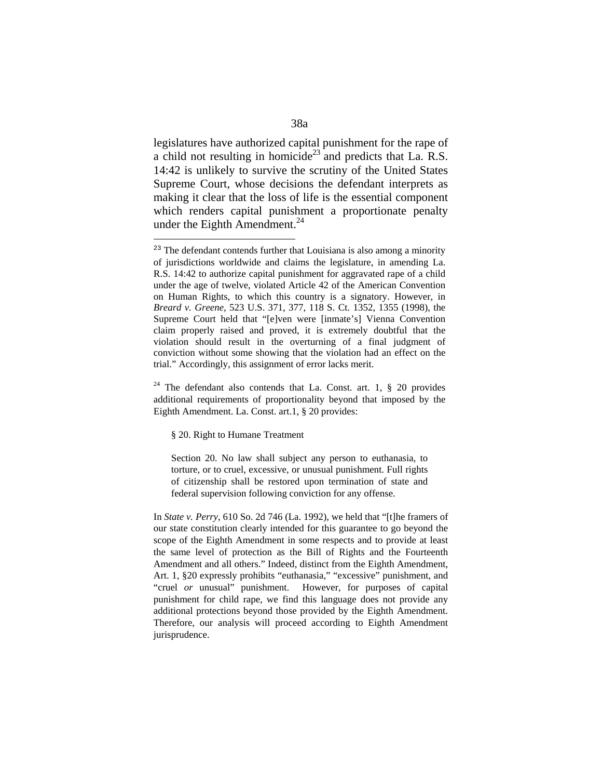legislatures have authorized capital punishment for the rape of a child not resulting in homicide<sup>23</sup> and predicts that La. R.S. 14:42 is unlikely to survive the scrutiny of the United States Supreme Court, whose decisions the defendant interprets as making it clear that the loss of life is the essential component which renders capital punishment a proportionate penalty under the Eighth Amendment.<sup>24</sup>

§ 20. Right to Humane Treatment

 $\overline{a}$ 

Section 20. No law shall subject any person to euthanasia, to torture, or to cruel, excessive, or unusual punishment. Full rights of citizenship shall be restored upon termination of state and federal supervision following conviction for any offense.

In *State v. Perry*, 610 So. 2d 746 (La. 1992), we held that "[t]he framers of our state constitution clearly intended for this guarantee to go beyond the scope of the Eighth Amendment in some respects and to provide at least the same level of protection as the Bill of Rights and the Fourteenth Amendment and all others." Indeed, distinct from the Eighth Amendment, Art. 1, §20 expressly prohibits "euthanasia," "excessive" punishment, and "cruel *or* unusual" punishment. However, for purposes of capital punishment for child rape, we find this language does not provide any additional protections beyond those provided by the Eighth Amendment. Therefore, our analysis will proceed according to Eighth Amendment jurisprudence.

<sup>&</sup>lt;sup>23</sup> The defendant contends further that Louisiana is also among a minority of jurisdictions worldwide and claims the legislature, in amending La. R.S. 14:42 to authorize capital punishment for aggravated rape of a child under the age of twelve, violated Article 42 of the American Convention on Human Rights, to which this country is a signatory. However, in *Breard v. Greene*, 523 U.S. 371, 377, 118 S. Ct. 1352, 1355 (1998), the Supreme Court held that "[e]ven were [inmate's] Vienna Convention claim properly raised and proved, it is extremely doubtful that the violation should result in the overturning of a final judgment of conviction without some showing that the violation had an effect on the trial." Accordingly, this assignment of error lacks merit.

<sup>&</sup>lt;sup>24</sup> The defendant also contends that La. Const. art. 1,  $\S$  20 provides additional requirements of proportionality beyond that imposed by the Eighth Amendment. La. Const. art.1, § 20 provides: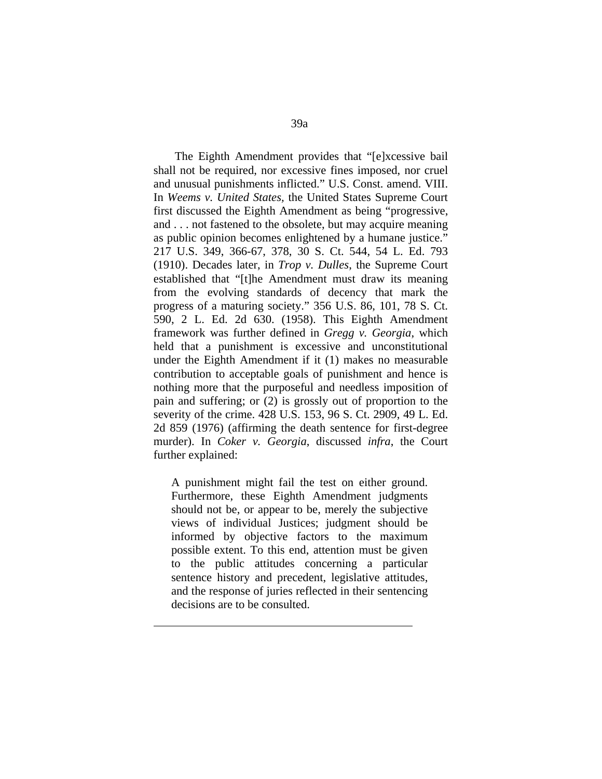The Eighth Amendment provides that "[e]xcessive bail shall not be required, nor excessive fines imposed, nor cruel and unusual punishments inflicted." U.S. Const. amend. VIII. In *Weems v. United States,* the United States Supreme Court first discussed the Eighth Amendment as being "progressive, and . . . not fastened to the obsolete, but may acquire meaning as public opinion becomes enlightened by a humane justice." 217 U.S. 349, 366-67, 378, 30 S. Ct. 544, 54 L. Ed. 793 (1910). Decades later, in *Trop v. Dulles*, the Supreme Court established that "[t]he Amendment must draw its meaning from the evolving standards of decency that mark the progress of a maturing society." 356 U.S. 86, 101, 78 S. Ct. 590, 2 L. Ed. 2d 630. (1958). This Eighth Amendment framework was further defined in *Gregg v. Georgia*, which held that a punishment is excessive and unconstitutional under the Eighth Amendment if it (1) makes no measurable contribution to acceptable goals of punishment and hence is nothing more that the purposeful and needless imposition of pain and suffering; or (2) is grossly out of proportion to the severity of the crime. 428 U.S. 153, 96 S. Ct. 2909, 49 L. Ed. 2d 859 (1976) (affirming the death sentence for first-degree murder). In *Coker v. Georgia*, discussed *infra*, the Court further explained:

A punishment might fail the test on either ground. Furthermore, these Eighth Amendment judgments should not be, or appear to be, merely the subjective views of individual Justices; judgment should be informed by objective factors to the maximum possible extent. To this end, attention must be given to the public attitudes concerning a particular sentence history and precedent, legislative attitudes, and the response of juries reflected in their sentencing decisions are to be consulted.

1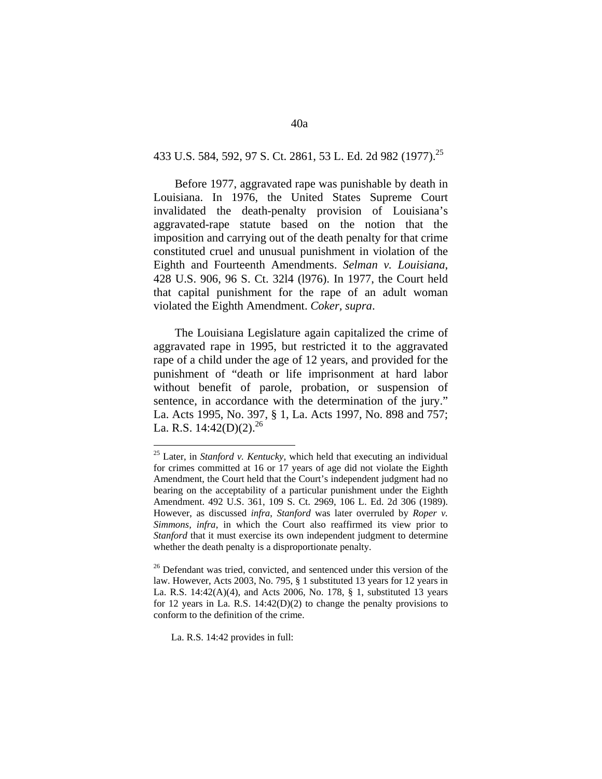# 433 U.S. 584, 592, 97 S. Ct. 2861, 53 L. Ed. 2d 982 (1977).25

 Before 1977, aggravated rape was punishable by death in Louisiana. In 1976, the United States Supreme Court invalidated the death-penalty provision of Louisiana's aggravated-rape statute based on the notion that the imposition and carrying out of the death penalty for that crime constituted cruel and unusual punishment in violation of the Eighth and Fourteenth Amendments. *Selman v. Louisiana*, 428 U.S. 906, 96 S. Ct. 32l4 (l976). In 1977, the Court held that capital punishment for the rape of an adult woman violated the Eighth Amendment. *Coker, supra*.

 The Louisiana Legislature again capitalized the crime of aggravated rape in 1995, but restricted it to the aggravated rape of a child under the age of 12 years, and provided for the punishment of "death or life imprisonment at hard labor without benefit of parole, probation, or suspension of sentence, in accordance with the determination of the jury." La. Acts 1995, No. 397, § 1, La. Acts 1997, No. 898 and 757; La. R.S.  $14:42(D)(2).^{26}$ 

La. R.S. 14:42 provides in full:

<sup>25</sup> Later, in *Stanford v. Kentucky,* which held that executing an individual for crimes committed at 16 or 17 years of age did not violate the Eighth Amendment, the Court held that the Court's independent judgment had no bearing on the acceptability of a particular punishment under the Eighth Amendment. 492 U.S. 361, 109 S. Ct. 2969, 106 L. Ed. 2d 306 (1989). However, as discussed *infra*, *Stanford* was later overruled by *Roper v. Simmons, infra*, in which the Court also reaffirmed its view prior to *Stanford* that it must exercise its own independent judgment to determine whether the death penalty is a disproportionate penalty.

<sup>&</sup>lt;sup>26</sup> Defendant was tried, convicted, and sentenced under this version of the law. However, Acts 2003, No. 795, § 1 substituted 13 years for 12 years in La. R.S. 14:42(A)(4), and Acts 2006, No. 178, § 1, substituted 13 years for 12 years in La. R.S. 14:42(D)(2) to change the penalty provisions to conform to the definition of the crime.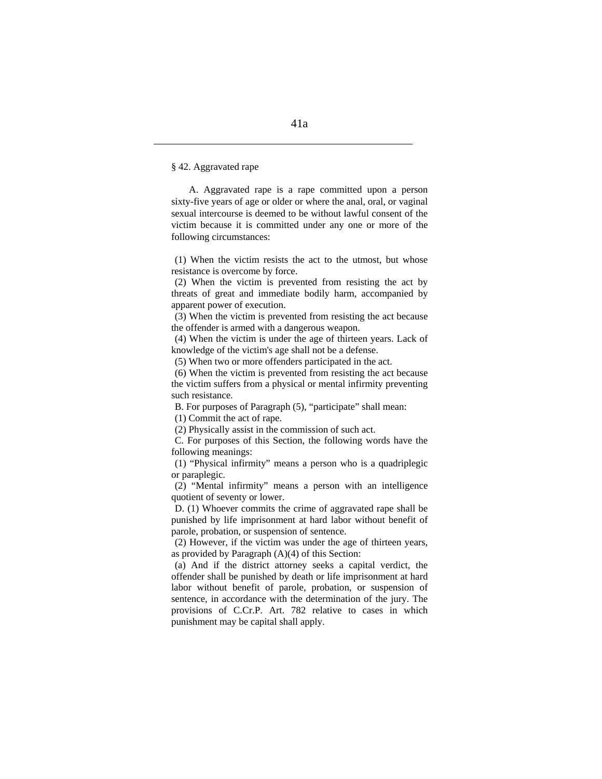§ 42. Aggravated rape

1

A. Aggravated rape is a rape committed upon a person sixty-five years of age or older or where the anal, oral, or vaginal sexual intercourse is deemed to be without lawful consent of the victim because it is committed under any one or more of the following circumstances:

(1) When the victim resists the act to the utmost, but whose resistance is overcome by force.

(2) When the victim is prevented from resisting the act by threats of great and immediate bodily harm, accompanied by apparent power of execution.

(3) When the victim is prevented from resisting the act because the offender is armed with a dangerous weapon.

(4) When the victim is under the age of thirteen years. Lack of knowledge of the victim's age shall not be a defense.

(5) When two or more offenders participated in the act.

(6) When the victim is prevented from resisting the act because the victim suffers from a physical or mental infirmity preventing such resistance.

B. For purposes of Paragraph (5), "participate" shall mean:

(1) Commit the act of rape.

(2) Physically assist in the commission of such act.

C. For purposes of this Section, the following words have the following meanings:

(1) "Physical infirmity" means a person who is a quadriplegic or paraplegic.

(2) "Mental infirmity" means a person with an intelligence quotient of seventy or lower.

 D. (1) Whoever commits the crime of aggravated rape shall be punished by life imprisonment at hard labor without benefit of parole, probation, or suspension of sentence.

 (2) However, if the victim was under the age of thirteen years, as provided by Paragraph (A)(4) of this Section:

(a) And if the district attorney seeks a capital verdict, the offender shall be punished by death or life imprisonment at hard labor without benefit of parole, probation, or suspension of sentence, in accordance with the determination of the jury. The provisions of C.Cr.P. Art. 782 relative to cases in which punishment may be capital shall apply.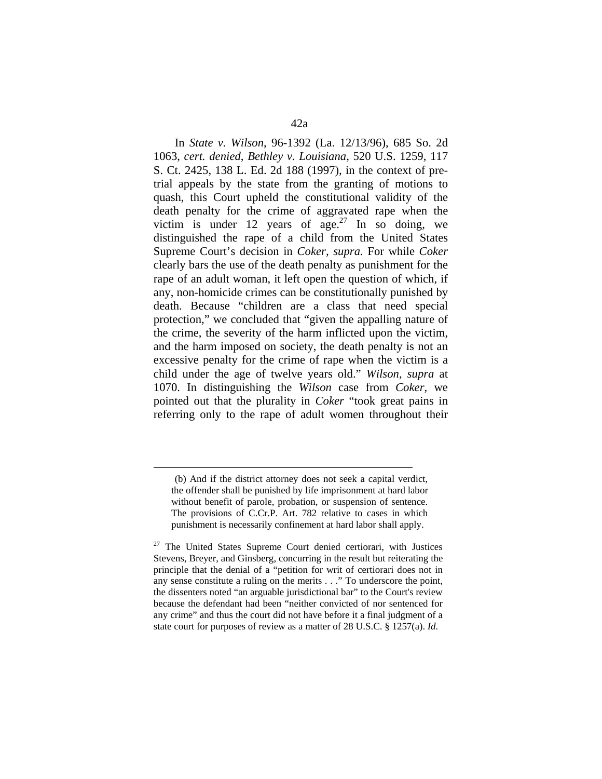In *State v. Wilson*, 96-1392 (La. 12/13/96), 685 So. 2d 1063, *cert. denied*, *Bethley v. Louisiana*, 520 U.S. 1259, 117 S. Ct. 2425, 138 L. Ed. 2d 188 (1997), in the context of pretrial appeals by the state from the granting of motions to quash, this Court upheld the constitutional validity of the death penalty for the crime of aggravated rape when the victim is under 12 years of  $age^{27}$  In so doing, we distinguished the rape of a child from the United States Supreme Court's decision in *Coker, supra.* For while *Coker*  clearly bars the use of the death penalty as punishment for the rape of an adult woman, it left open the question of which, if any, non-homicide crimes can be constitutionally punished by death. Because "children are a class that need special protection," we concluded that "given the appalling nature of the crime, the severity of the harm inflicted upon the victim, and the harm imposed on society, the death penalty is not an excessive penalty for the crime of rape when the victim is a child under the age of twelve years old." *Wilson, supra* at 1070. In distinguishing the *Wilson* case from *Coker*, we pointed out that the plurality in *Coker* "took great pains in referring only to the rape of adult women throughout their

 <sup>(</sup>b) And if the district attorney does not seek a capital verdict, the offender shall be punished by life imprisonment at hard labor without benefit of parole, probation, or suspension of sentence. The provisions of C.Cr.P. Art. 782 relative to cases in which punishment is necessarily confinement at hard labor shall apply.

<sup>&</sup>lt;sup>27</sup> The United States Supreme Court denied certiorari, with Justices Stevens, Breyer, and Ginsberg, concurring in the result but reiterating the principle that the denial of a "petition for writ of certiorari does not in any sense constitute a ruling on the merits . . ." To underscore the point, the dissenters noted "an arguable jurisdictional bar" to the Court's review because the defendant had been "neither convicted of nor sentenced for any crime" and thus the court did not have before it a final judgment of a state court for purposes of review as a matter of 28 U.S.C. § 1257(a). *Id.*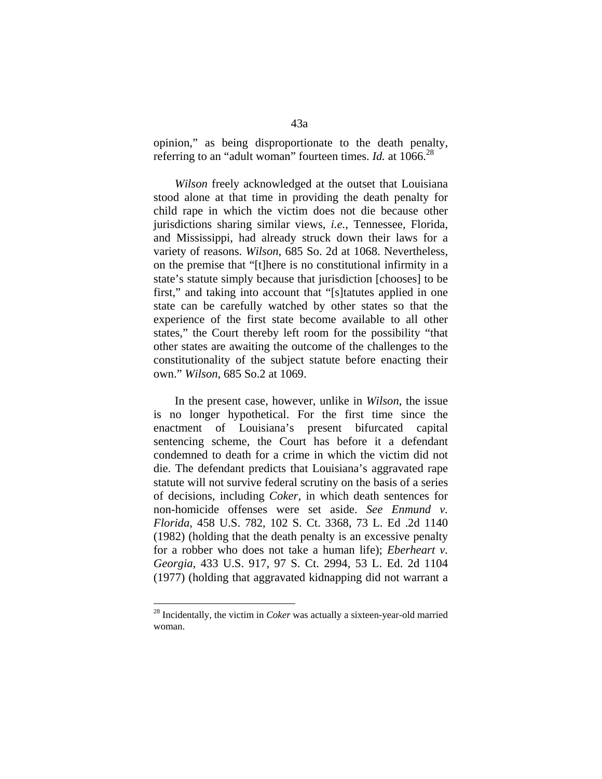opinion," as being disproportionate to the death penalty, referring to an "adult woman" fourteen times. *Id.* at 1066.<sup>28</sup>

*Wilson* freely acknowledged at the outset that Louisiana stood alone at that time in providing the death penalty for child rape in which the victim does not die because other jurisdictions sharing similar views, *i.e.*, Tennessee, Florida, and Mississippi, had already struck down their laws for a variety of reasons. *Wilson*, 685 So. 2d at 1068. Nevertheless, on the premise that "[t]here is no constitutional infirmity in a state's statute simply because that jurisdiction [chooses] to be first," and taking into account that "[s]tatutes applied in one state can be carefully watched by other states so that the experience of the first state become available to all other states," the Court thereby left room for the possibility "that other states are awaiting the outcome of the challenges to the constitutionality of the subject statute before enacting their own." *Wilson*, 685 So.2 at 1069.

 In the present case, however, unlike in *Wilson*, the issue is no longer hypothetical. For the first time since the enactment of Louisiana's present bifurcated capital sentencing scheme, the Court has before it a defendant condemned to death for a crime in which the victim did not die. The defendant predicts that Louisiana's aggravated rape statute will not survive federal scrutiny on the basis of a series of decisions, including *Coker,* in which death sentences for non-homicide offenses were set aside. *See Enmund v. Florida*, 458 U.S. 782, 102 S. Ct. 3368, 73 L. Ed .2d 1140 (1982) (holding that the death penalty is an excessive penalty for a robber who does not take a human life); *Eberheart v. Georgia*, 433 U.S. 917, 97 S. Ct. 2994, 53 L. Ed. 2d 1104 (1977) (holding that aggravated kidnapping did not warrant a

<sup>28</sup> Incidentally, the victim in *Coker* was actually a sixteen-year-old married woman.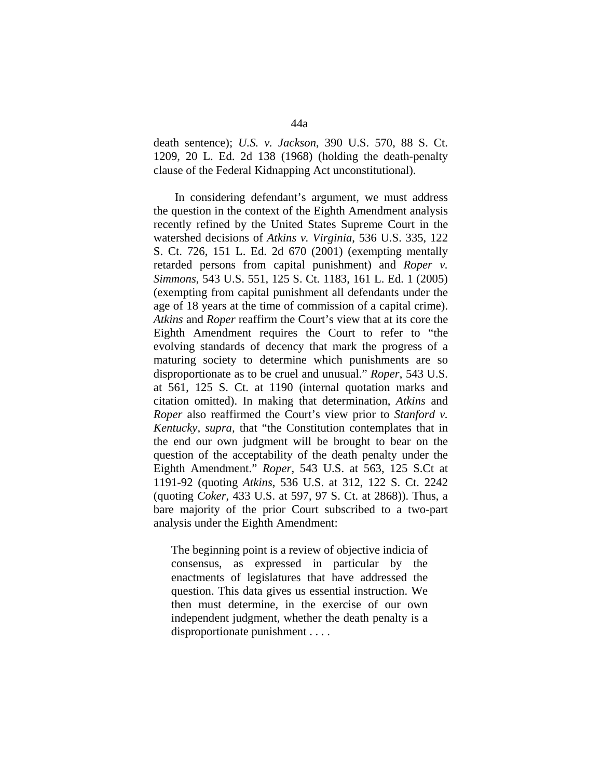death sentence); *U.S. v. Jackson*, 390 U.S. 570, 88 S. Ct. 1209, 20 L. Ed. 2d 138 (1968) (holding the death-penalty clause of the Federal Kidnapping Act unconstitutional).

 In considering defendant's argument, we must address the question in the context of the Eighth Amendment analysis recently refined by the United States Supreme Court in the watershed decisions of *Atkins v. Virginia*, 536 U.S. 335, 122 S. Ct. 726, 151 L. Ed. 2d 670 (2001) (exempting mentally retarded persons from capital punishment) and *Roper v. Simmons*, 543 U.S. 551, 125 S. Ct. 1183, 161 L. Ed. 1 (2005) (exempting from capital punishment all defendants under the age of 18 years at the time of commission of a capital crime). *Atkins* and *Roper* reaffirm the Court's view that at its core the Eighth Amendment requires the Court to refer to "the evolving standards of decency that mark the progress of a maturing society to determine which punishments are so disproportionate as to be cruel and unusual." *Roper*, 543 U.S. at 561, 125 S. Ct. at 1190 (internal quotation marks and citation omitted). In making that determination, *Atkins* and *Roper* also reaffirmed the Court's view prior to *Stanford v. Kentucky, supra,* that "the Constitution contemplates that in the end our own judgment will be brought to bear on the question of the acceptability of the death penalty under the Eighth Amendment." *Roper*, 543 U.S. at 563, 125 S.Ct at 1191-92 (quoting *Atkins*, 536 U.S. at 312, 122 S. Ct. 2242 (quoting *Coker*, 433 U.S. at 597, 97 S. Ct. at 2868)). Thus, a bare majority of the prior Court subscribed to a two-part analysis under the Eighth Amendment:

The beginning point is a review of objective indicia of consensus, as expressed in particular by the enactments of legislatures that have addressed the question. This data gives us essential instruction. We then must determine, in the exercise of our own independent judgment, whether the death penalty is a disproportionate punishment . . . .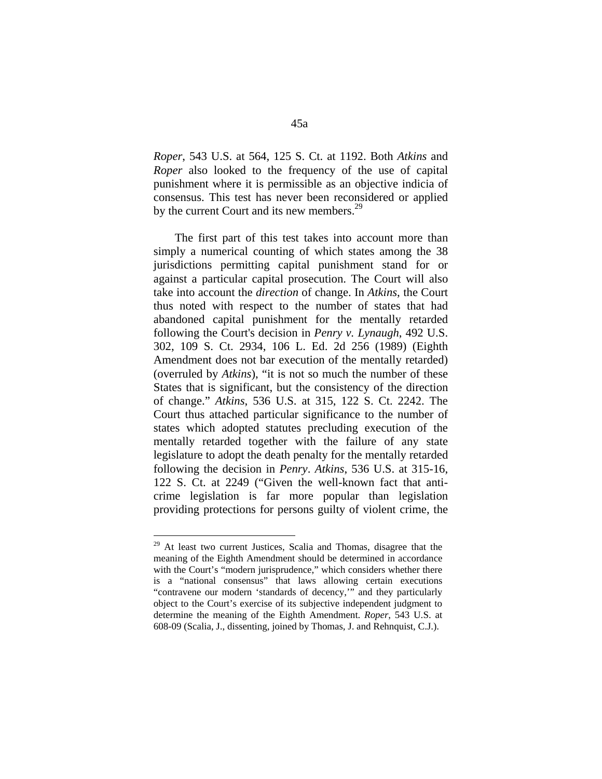*Roper*, 543 U.S. at 564, 125 S. Ct. at 1192. Both *Atkins* and *Roper* also looked to the frequency of the use of capital punishment where it is permissible as an objective indicia of consensus. This test has never been reconsidered or applied by the current Court and its new members.<sup>29</sup>

 The first part of this test takes into account more than simply a numerical counting of which states among the 38 jurisdictions permitting capital punishment stand for or against a particular capital prosecution. The Court will also take into account the *direction* of change. In *Atkins*, the Court thus noted with respect to the number of states that had abandoned capital punishment for the mentally retarded following the Court's decision in *Penry v. Lynaugh*, 492 U.S. 302, 109 S. Ct. 2934, 106 L. Ed. 2d 256 (1989) (Eighth Amendment does not bar execution of the mentally retarded) (overruled by *Atkins*), "it is not so much the number of these States that is significant, but the consistency of the direction of change." *Atkins*, 536 U.S. at 315, 122 S. Ct. 2242. The Court thus attached particular significance to the number of states which adopted statutes precluding execution of the mentally retarded together with the failure of any state legislature to adopt the death penalty for the mentally retarded following the decision in *Penry*. *Atkins*, 536 U.S. at 315-16, 122 S. Ct. at 2249 ("Given the well-known fact that anticrime legislation is far more popular than legislation providing protections for persons guilty of violent crime, the

<sup>&</sup>lt;sup>29</sup> At least two current Justices, Scalia and Thomas, disagree that the meaning of the Eighth Amendment should be determined in accordance with the Court's "modern jurisprudence," which considers whether there is a "national consensus" that laws allowing certain executions "contravene our modern 'standards of decency,'" and they particularly object to the Court's exercise of its subjective independent judgment to determine the meaning of the Eighth Amendment. *Roper*, 543 U.S. at 608-09 (Scalia, J., dissenting, joined by Thomas, J. and Rehnquist, C.J.).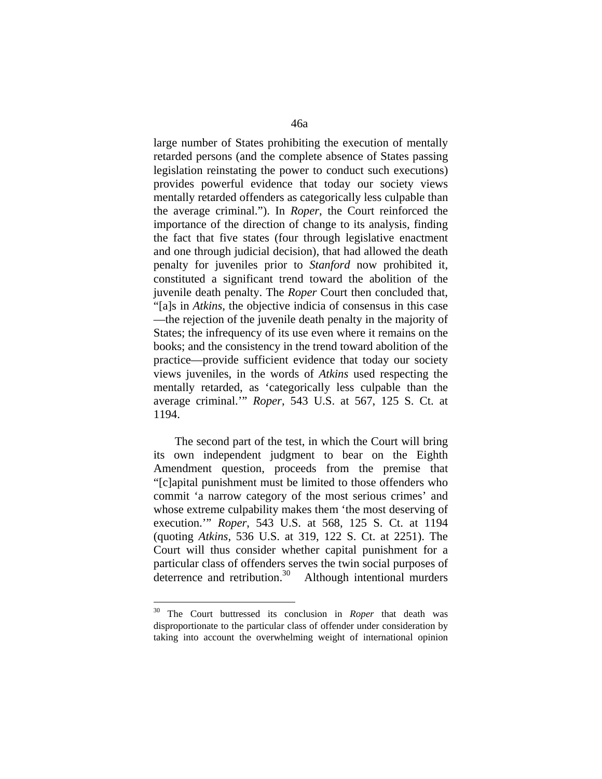large number of States prohibiting the execution of mentally retarded persons (and the complete absence of States passing legislation reinstating the power to conduct such executions) provides powerful evidence that today our society views mentally retarded offenders as categorically less culpable than the average criminal."). In *Roper*, the Court reinforced the importance of the direction of change to its analysis, finding the fact that five states (four through legislative enactment and one through judicial decision), that had allowed the death penalty for juveniles prior to *Stanford* now prohibited it, constituted a significant trend toward the abolition of the juvenile death penalty. The *Roper* Court then concluded that, "[a]s in *Atkins*, the objective indicia of consensus in this case —the rejection of the juvenile death penalty in the majority of States; the infrequency of its use even where it remains on the books; and the consistency in the trend toward abolition of the practice—provide sufficient evidence that today our society views juveniles, in the words of *Atkins* used respecting the mentally retarded, as 'categorically less culpable than the average criminal.'" *Roper*, 543 U.S. at 567, 125 S. Ct. at 1194.

 The second part of the test, in which the Court will bring its own independent judgment to bear on the Eighth Amendment question, proceeds from the premise that "[c]apital punishment must be limited to those offenders who commit 'a narrow category of the most serious crimes' and whose extreme culpability makes them 'the most deserving of execution.'" *Roper*, 543 U.S. at 568, 125 S. Ct. at 1194 (quoting *Atkins*, 536 U.S. at 319, 122 S. Ct. at 2251). The Court will thus consider whether capital punishment for a particular class of offenders serves the twin social purposes of deterrence and retribution.<sup>30</sup> Although intentional murders

<sup>30</sup> The Court buttressed its conclusion in *Roper* that death was disproportionate to the particular class of offender under consideration by taking into account the overwhelming weight of international opinion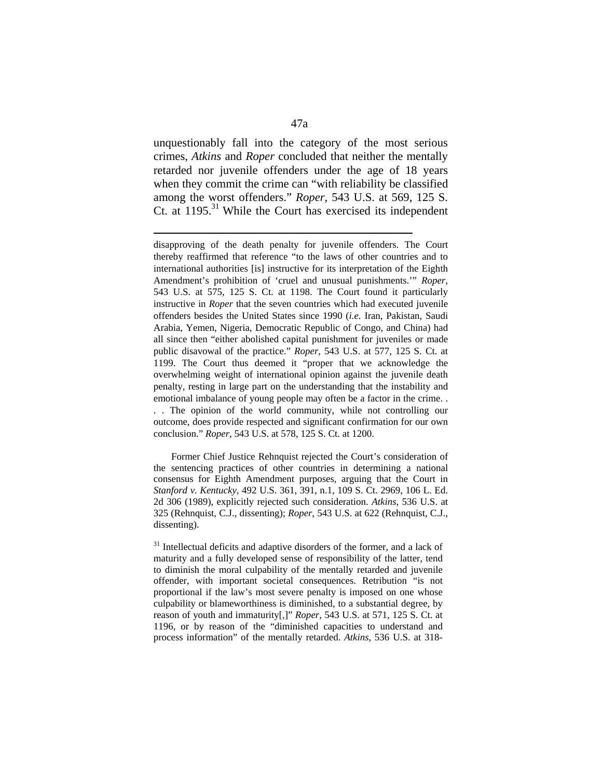unquestionably fall into the category of the most serious crimes, *Atkins* and *Roper* concluded that neither the mentally retarded nor juvenile offenders under the age of 18 years when they commit the crime can "with reliability be classified among the worst offenders." *Roper*, 543 U.S. at 569, 125 S. Ct. at 1195.<sup>31</sup> While the Court has exercised its independent

1

 Former Chief Justice Rehnquist rejected the Court's consideration of the sentencing practices of other countries in determining a national consensus for Eighth Amendment purposes, arguing that the Court in *Stanford v. Kentucky*, 492 U.S. 361, 391, n.1, 109 S. Ct. 2969, 106 L. Ed. 2d 306 (1989), explicitly rejected such consideration. *Atkins*, 536 U.S. at 325 (Rehnquist, C.J., dissenting); *Roper*, 543 U.S. at 622 (Rehnquist, C.J., dissenting).

disapproving of the death penalty for juvenile offenders. The Court thereby reaffirmed that reference "to the laws of other countries and to international authorities [is] instructive for its interpretation of the Eighth Amendment's prohibition of 'cruel and unusual punishments.'" *Roper*, 543 U.S. at 575, 125 S. Ct. at 1198. The Court found it particularly instructive in *Roper* that the seven countries which had executed juvenile offenders besides the United States since 1990 (*i.e.* Iran, Pakistan, Saudi Arabia, Yemen, Nigeria, Democratic Republic of Congo, and China) had all since then "either abolished capital punishment for juveniles or made public disavowal of the practice." *Roper*, 543 U.S. at 577, 125 S. Ct. at 1199. The Court thus deemed it "proper that we acknowledge the overwhelming weight of international opinion against the juvenile death penalty, resting in large part on the understanding that the instability and emotional imbalance of young people may often be a factor in the crime. . . . The opinion of the world community, while not controlling our outcome, does provide respected and significant confirmation for our own conclusion." *Roper*, 543 U.S. at 578, 125 S. Ct. at 1200.

 $31$  Intellectual deficits and adaptive disorders of the former, and a lack of maturity and a fully developed sense of responsibility of the latter, tend to diminish the moral culpability of the mentally retarded and juvenile offender, with important societal consequences. Retribution "is not proportional if the law's most severe penalty is imposed on one whose culpability or blameworthiness is diminished, to a substantial degree, by reason of youth and immaturity[,]" *Roper*, 543 U.S. at 571, 125 S. Ct. at 1196, or by reason of the "diminished capacities to understand and process information" of the mentally retarded. *Atkins*, 536 U.S. at 318-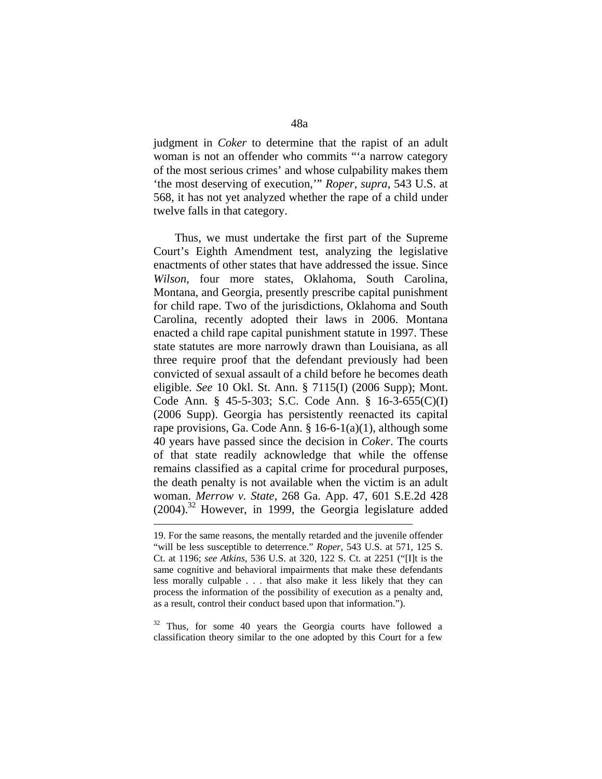judgment in *Coker* to determine that the rapist of an adult woman is not an offender who commits "'a narrow category of the most serious crimes' and whose culpability makes them 'the most deserving of execution,'" *Roper, supra*, 543 U.S. at 568, it has not yet analyzed whether the rape of a child under twelve falls in that category.

 Thus, we must undertake the first part of the Supreme Court's Eighth Amendment test, analyzing the legislative enactments of other states that have addressed the issue. Since *Wilson,* four more states, Oklahoma, South Carolina, Montana, and Georgia, presently prescribe capital punishment for child rape. Two of the jurisdictions, Oklahoma and South Carolina, recently adopted their laws in 2006. Montana enacted a child rape capital punishment statute in 1997. These state statutes are more narrowly drawn than Louisiana, as all three require proof that the defendant previously had been convicted of sexual assault of a child before he becomes death eligible. *See* 10 Okl. St. Ann. § 7115(I) (2006 Supp); Mont. Code Ann. § 45-5-303; S.C. Code Ann. § 16-3-655(C)(I) (2006 Supp). Georgia has persistently reenacted its capital rape provisions, Ga. Code Ann. § 16-6-1(a)(1), although some 40 years have passed since the decision in *Coker*. The courts of that state readily acknowledge that while the offense remains classified as a capital crime for procedural purposes, the death penalty is not available when the victim is an adult woman. *Merrow v. State*, 268 Ga. App. 47, 601 S.E.2d 428  $(2004)$ .<sup>32</sup> However, in 1999, the Georgia legislature added

1

 $32$  Thus, for some 40 years the Georgia courts have followed a classification theory similar to the one adopted by this Court for a few

<sup>19.</sup> For the same reasons, the mentally retarded and the juvenile offender "will be less susceptible to deterrence." *Roper*, 543 U.S. at 571, 125 S. Ct. at 1196; *see Atkins*, 536 U.S. at 320, 122 S. Ct. at 2251 ("[I]t is the same cognitive and behavioral impairments that make these defendants less morally culpable . . . that also make it less likely that they can process the information of the possibility of execution as a penalty and, as a result, control their conduct based upon that information.").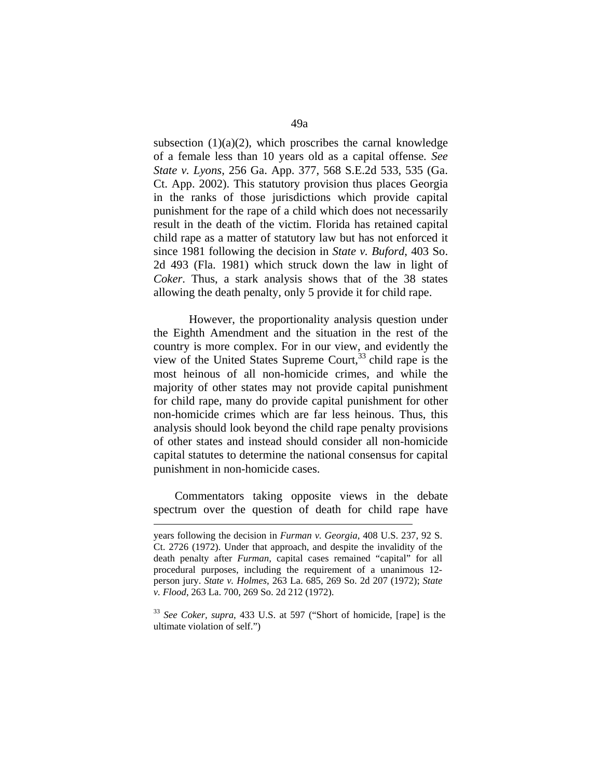subsection  $(1)(a)(2)$ , which proscribes the carnal knowledge of a female less than 10 years old as a capital offense*. See State v. Lyons*, 256 Ga. App. 377, 568 S.E.2d 533, 535 (Ga. Ct. App. 2002). This statutory provision thus places Georgia in the ranks of those jurisdictions which provide capital punishment for the rape of a child which does not necessarily result in the death of the victim. Florida has retained capital child rape as a matter of statutory law but has not enforced it since 1981 following the decision in *State v. Buford*, 403 So. 2d 493 (Fla. 1981) which struck down the law in light of *Coker*. Thus, a stark analysis shows that of the 38 states allowing the death penalty, only 5 provide it for child rape.

However, the proportionality analysis question under the Eighth Amendment and the situation in the rest of the country is more complex. For in our view, and evidently the view of the United States Supreme Court,  $33$  child rape is the most heinous of all non-homicide crimes, and while the majority of other states may not provide capital punishment for child rape, many do provide capital punishment for other non-homicide crimes which are far less heinous. Thus, this analysis should look beyond the child rape penalty provisions of other states and instead should consider all non-homicide capital statutes to determine the national consensus for capital punishment in non-homicide cases.

 Commentators taking opposite views in the debate spectrum over the question of death for child rape have

1

years following the decision in *Furman v. Georgia*, 408 U.S. 237, 92 S. Ct. 2726 (1972). Under that approach, and despite the invalidity of the death penalty after *Furman*, capital cases remained "capital" for all procedural purposes, including the requirement of a unanimous 12 person jury. *State v. Holmes*, 263 La. 685, 269 So. 2d 207 (1972); *State v. Flood*, 263 La. 700, 269 So. 2d 212 (1972).

<sup>33</sup> *See Coker, supra*, 433 U.S. at 597 ("Short of homicide, [rape] is the ultimate violation of self.")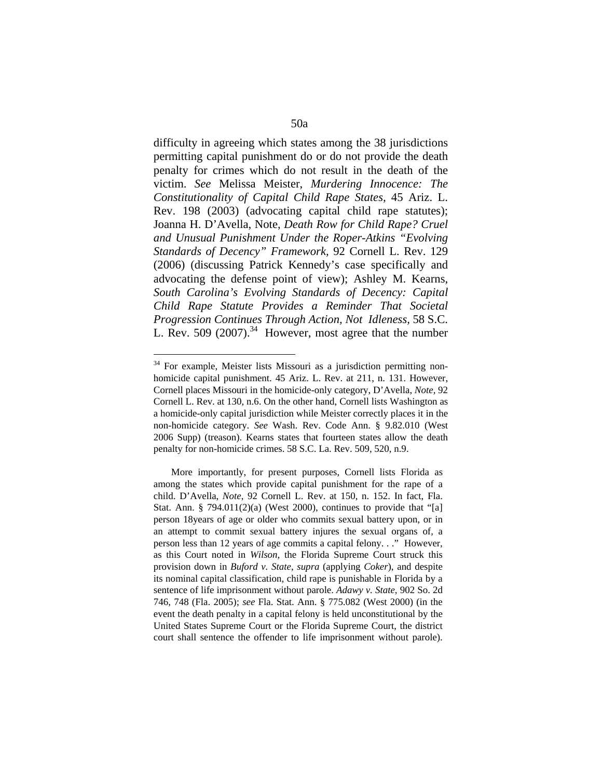difficulty in agreeing which states among the 38 jurisdictions permitting capital punishment do or do not provide the death penalty for crimes which do not result in the death of the victim. *See* Melissa Meister, *Murdering Innocence: The Constitutionality of Capital Child Rape States,* 45 Ariz. L. Rev. 198 (2003) (advocating capital child rape statutes); Joanna H. D'Avella, Note, *Death Row for Child Rape? Cruel and Unusual Punishment Under the Roper-Atkins "Evolving Standards of Decency" Framework,* 92 Cornell L. Rev. 129 (2006) (discussing Patrick Kennedy's case specifically and advocating the defense point of view); Ashley M. Kearns, *South Carolina's Evolving Standards of Decency: Capital Child Rape Statute Provides a Reminder That Societal Progression Continues Through Action, Not Idleness,* 58 S.C. L. Rev. 509  $(2007).^{34}$  However, most agree that the number

<sup>&</sup>lt;sup>34</sup> For example, Meister lists Missouri as a jurisdiction permitting nonhomicide capital punishment. 45 Ariz. L. Rev. at 211, n. 131. However, Cornell places Missouri in the homicide-only category, D'Avella, *Note,* 92 Cornell L. Rev. at 130, n.6. On the other hand, Cornell lists Washington as a homicide-only capital jurisdiction while Meister correctly places it in the non-homicide category. *See* Wash. Rev. Code Ann. § 9.82.010 (West 2006 Supp) (treason). Kearns states that fourteen states allow the death penalty for non-homicide crimes. 58 S.C. La. Rev. 509, 520, n.9.

More importantly, for present purposes, Cornell lists Florida as among the states which provide capital punishment for the rape of a child. D'Avella, *Note*, 92 Cornell L. Rev. at 150, n. 152. In fact, Fla. Stat. Ann. § 794.011(2)(a) (West 2000), continues to provide that "[a] person 18years of age or older who commits sexual battery upon, or in an attempt to commit sexual battery injures the sexual organs of, a person less than 12 years of age commits a capital felony. . ." However, as this Court noted in *Wilson*, the Florida Supreme Court struck this provision down in *Buford v. State*, *supra* (applying *Coker*), and despite its nominal capital classification, child rape is punishable in Florida by a sentence of life imprisonment without parole. *Adawy v. State*, 902 So. 2d 746, 748 (Fla. 2005); *see* Fla. Stat. Ann. § 775.082 (West 2000) (in the event the death penalty in a capital felony is held unconstitutional by the United States Supreme Court or the Florida Supreme Court, the district court shall sentence the offender to life imprisonment without parole).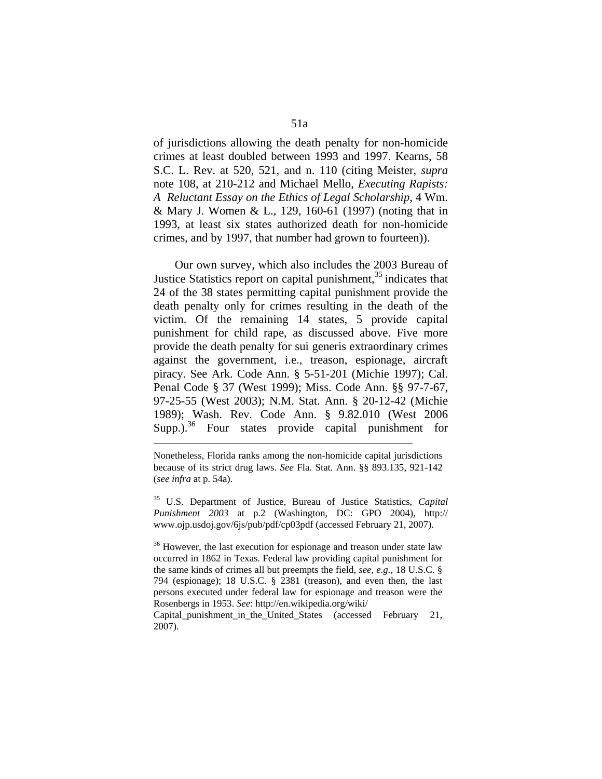of jurisdictions allowing the death penalty for non-homicide crimes at least doubled between 1993 and 1997. Kearns, 58 S.C. L. Rev. at 520, 521, and n. 110 (citing Meister, *supra*  note 108, at 210-212 and Michael Mello, *Executing Rapists: A Reluctant Essay on the Ethics of Legal Scholarship,* 4 Wm. & Mary J. Women & L., 129, 160-61 (1997) (noting that in 1993, at least six states authorized death for non-homicide crimes, and by 1997, that number had grown to fourteen)).

 Our own survey, which also includes the 2003 Bureau of Justice Statistics report on capital punishment, $35$  indicates that 24 of the 38 states permitting capital punishment provide the death penalty only for crimes resulting in the death of the victim. Of the remaining 14 states, 5 provide capital punishment for child rape, as discussed above. Five more provide the death penalty for sui generis extraordinary crimes against the government, i.e., treason, espionage, aircraft piracy. See Ark. Code Ann. § 5-51-201 (Michie 1997); Cal. Penal Code § 37 (West 1999); Miss. Code Ann. §§ 97-7-67, 97-25-55 (West 2003); N.M. Stat. Ann. § 20-12-42 (Michie 1989); Wash. Rev. Code Ann. § 9.82.010 (West 2006  $Supp.$ <sup>36</sup> Four states provide capital punishment for

1

35 U.S. Department of Justice, Bureau of Justice Statistics, *Capital Punishment 2003* at p.2 (Washington, DC: GPO 2004), http:// www.ojp.usdoj.gov/6js/pub/pdf/cp03pdf (accessed February 21, 2007).

<sup>36</sup> However, the last execution for espionage and treason under state law occurred in 1862 in Texas. Federal law providing capital punishment for the same kinds of crimes all but preempts the field, *see, e.g.*, 18 U.S.C. § 794 (espionage); 18 U.S.C. § 2381 (treason), and even then, the last persons executed under federal law for espionage and treason were the Rosenbergs in 1953. *See*: http://en.wikipedia.org/wiki/

Capital punishment in the United States (accessed February 21, 2007).

Nonetheless, Florida ranks among the non-homicide capital jurisdictions because of its strict drug laws. *See* Fla. Stat. Ann. §§ 893.135, 921-142 (*see infra* at p. 54a).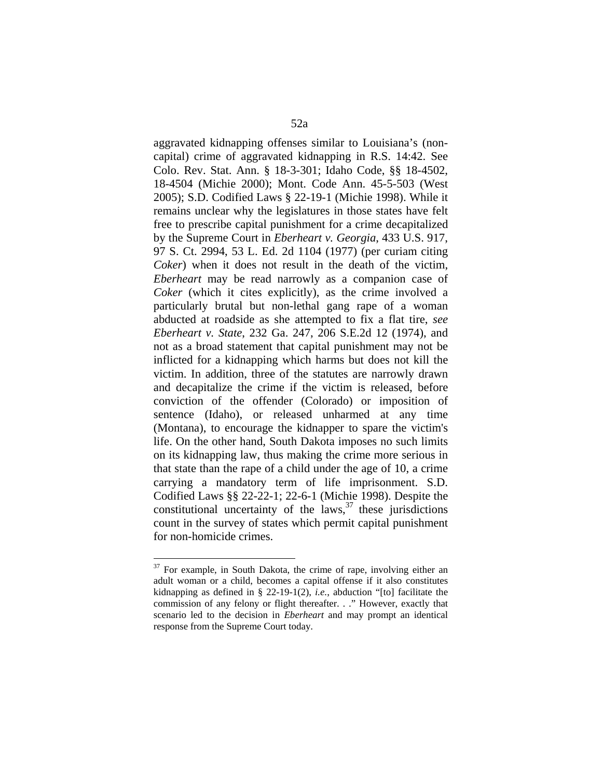aggravated kidnapping offenses similar to Louisiana's (noncapital) crime of aggravated kidnapping in R.S. 14:42. See Colo. Rev. Stat. Ann. § 18-3-301; Idaho Code, §§ 18-4502, 18-4504 (Michie 2000); Mont. Code Ann. 45-5-503 (West 2005); S.D. Codified Laws § 22-19-1 (Michie 1998). While it remains unclear why the legislatures in those states have felt free to prescribe capital punishment for a crime decapitalized by the Supreme Court in *Eberheart v. Georgia*, 433 U.S. 917, 97 S. Ct. 2994, 53 L. Ed. 2d 1104 (1977) (per curiam citing *Coker*) when it does not result in the death of the victim, *Eberheart* may be read narrowly as a companion case of *Coker* (which it cites explicitly), as the crime involved a particularly brutal but non-lethal gang rape of a woman abducted at roadside as she attempted to fix a flat tire, *see Eberheart v. State*, 232 Ga. 247, 206 S.E.2d 12 (1974), and not as a broad statement that capital punishment may not be inflicted for a kidnapping which harms but does not kill the victim. In addition, three of the statutes are narrowly drawn and decapitalize the crime if the victim is released, before conviction of the offender (Colorado) or imposition of sentence (Idaho), or released unharmed at any time (Montana), to encourage the kidnapper to spare the victim's life. On the other hand, South Dakota imposes no such limits on its kidnapping law, thus making the crime more serious in that state than the rape of a child under the age of 10, a crime carrying a mandatory term of life imprisonment. S.D. Codified Laws §§ 22-22-1; 22-6-1 (Michie 1998). Despite the constitutional uncertainty of the laws, $37$  these jurisdictions count in the survey of states which permit capital punishment for non-homicide crimes.

 $37$  For example, in South Dakota, the crime of rape, involving either an adult woman or a child, becomes a capital offense if it also constitutes kidnapping as defined in § 22-19-1(2), *i.e.*, abduction "[to] facilitate the commission of any felony or flight thereafter. . ." However, exactly that scenario led to the decision in *Eberheart* and may prompt an identical response from the Supreme Court today.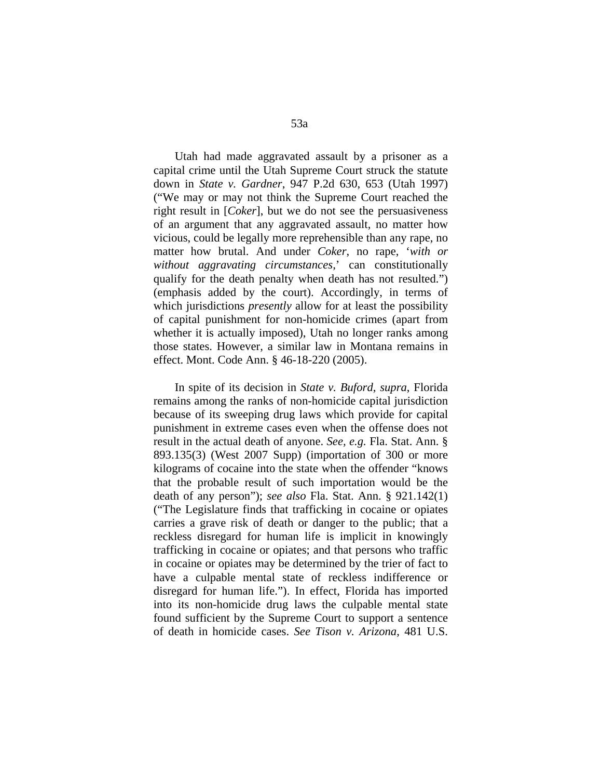Utah had made aggravated assault by a prisoner as a capital crime until the Utah Supreme Court struck the statute down in *State v. Gardner*, 947 P.2d 630, 653 (Utah 1997) ("We may or may not think the Supreme Court reached the right result in [*Coker*], but we do not see the persuasiveness of an argument that any aggravated assault, no matter how vicious, could be legally more reprehensible than any rape, no matter how brutal. And under *Coker*, no rape, '*with or without aggravating circumstances,*' can constitutionally qualify for the death penalty when death has not resulted.") (emphasis added by the court). Accordingly, in terms of which jurisdictions *presently* allow for at least the possibility of capital punishment for non-homicide crimes (apart from whether it is actually imposed), Utah no longer ranks among those states. However, a similar law in Montana remains in effect. Mont. Code Ann. § 46-18-220 (2005).

 In spite of its decision in *State v. Buford*, *supra*, Florida remains among the ranks of non-homicide capital jurisdiction because of its sweeping drug laws which provide for capital punishment in extreme cases even when the offense does not result in the actual death of anyone. *See, e.g.* Fla. Stat. Ann. § 893.135(3) (West 2007 Supp) (importation of 300 or more kilograms of cocaine into the state when the offender "knows that the probable result of such importation would be the death of any person"); *see also* Fla. Stat. Ann. § 921.142(1) ("The Legislature finds that trafficking in cocaine or opiates carries a grave risk of death or danger to the public; that a reckless disregard for human life is implicit in knowingly trafficking in cocaine or opiates; and that persons who traffic in cocaine or opiates may be determined by the trier of fact to have a culpable mental state of reckless indifference or disregard for human life."). In effect, Florida has imported into its non-homicide drug laws the culpable mental state found sufficient by the Supreme Court to support a sentence of death in homicide cases. *See Tison v. Arizona*, 481 U.S.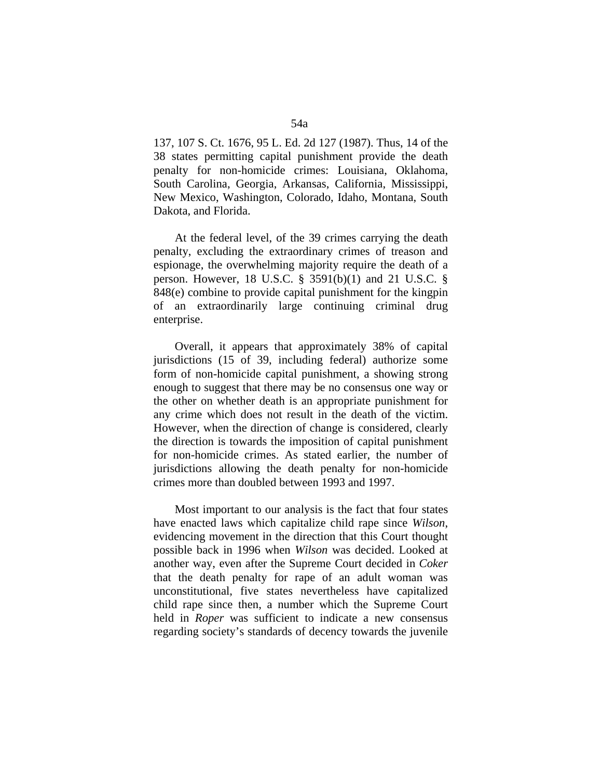137, 107 S. Ct. 1676, 95 L. Ed. 2d 127 (1987). Thus, 14 of the 38 states permitting capital punishment provide the death penalty for non-homicide crimes: Louisiana, Oklahoma, South Carolina, Georgia, Arkansas, California, Mississippi, New Mexico, Washington, Colorado, Idaho, Montana, South Dakota, and Florida.

 At the federal level, of the 39 crimes carrying the death penalty, excluding the extraordinary crimes of treason and espionage, the overwhelming majority require the death of a person. However, 18 U.S.C. § 3591(b)(1) and 21 U.S.C. § 848(e) combine to provide capital punishment for the kingpin of an extraordinarily large continuing criminal drug enterprise.

 Overall, it appears that approximately 38% of capital jurisdictions (15 of 39, including federal) authorize some form of non-homicide capital punishment, a showing strong enough to suggest that there may be no consensus one way or the other on whether death is an appropriate punishment for any crime which does not result in the death of the victim. However, when the direction of change is considered, clearly the direction is towards the imposition of capital punishment for non-homicide crimes. As stated earlier, the number of jurisdictions allowing the death penalty for non-homicide crimes more than doubled between 1993 and 1997.

 Most important to our analysis is the fact that four states have enacted laws which capitalize child rape since *Wilson*, evidencing movement in the direction that this Court thought possible back in 1996 when *Wilson* was decided. Looked at another way, even after the Supreme Court decided in *Coker*  that the death penalty for rape of an adult woman was unconstitutional, five states nevertheless have capitalized child rape since then, a number which the Supreme Court held in *Roper* was sufficient to indicate a new consensus regarding society's standards of decency towards the juvenile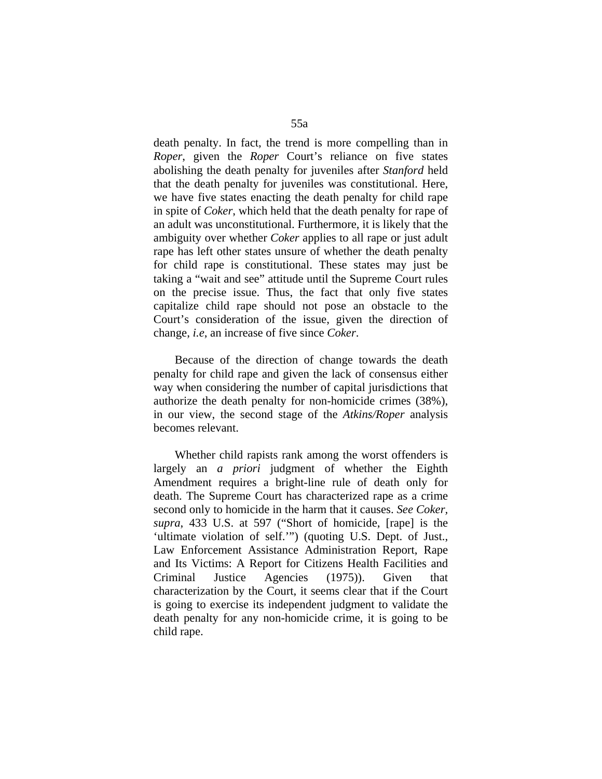death penalty. In fact, the trend is more compelling than in *Roper*, given the *Roper* Court's reliance on five states abolishing the death penalty for juveniles after *Stanford* held that the death penalty for juveniles was constitutional. Here, we have five states enacting the death penalty for child rape in spite of *Coker*, which held that the death penalty for rape of an adult was unconstitutional. Furthermore, it is likely that the ambiguity over whether *Coker* applies to all rape or just adult rape has left other states unsure of whether the death penalty for child rape is constitutional. These states may just be taking a "wait and see" attitude until the Supreme Court rules on the precise issue. Thus, the fact that only five states capitalize child rape should not pose an obstacle to the Court's consideration of the issue, given the direction of change, *i.e*, an increase of five since *Coker*.

 Because of the direction of change towards the death penalty for child rape and given the lack of consensus either way when considering the number of capital jurisdictions that authorize the death penalty for non-homicide crimes (38%), in our view, the second stage of the *Atkins/Roper* analysis becomes relevant.

 Whether child rapists rank among the worst offenders is largely an *a priori* judgment of whether the Eighth Amendment requires a bright-line rule of death only for death. The Supreme Court has characterized rape as a crime second only to homicide in the harm that it causes. *See Coker, supra*, 433 U.S. at 597 ("Short of homicide, [rape] is the 'ultimate violation of self.'") (quoting U.S. Dept. of Just., Law Enforcement Assistance Administration Report, Rape and Its Victims: A Report for Citizens Health Facilities and Criminal Justice Agencies (1975)). Given that characterization by the Court, it seems clear that if the Court is going to exercise its independent judgment to validate the death penalty for any non-homicide crime, it is going to be child rape.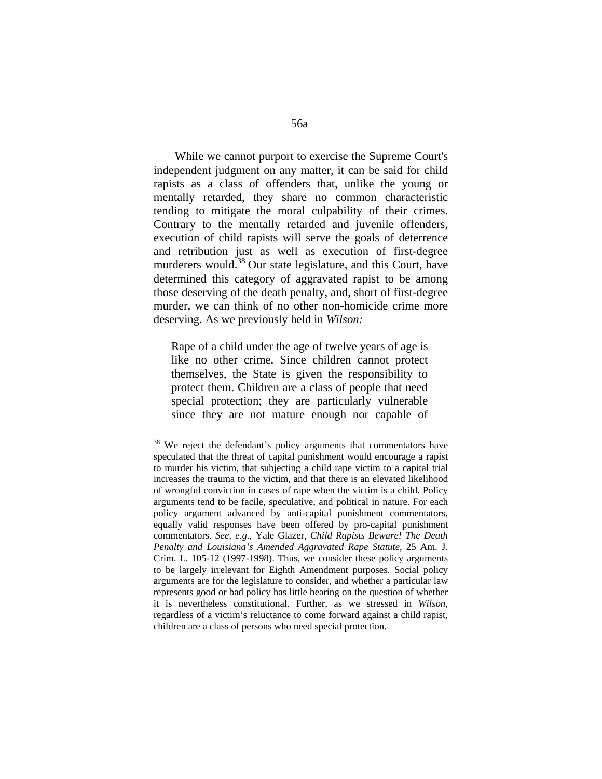While we cannot purport to exercise the Supreme Court's independent judgment on any matter, it can be said for child rapists as a class of offenders that, unlike the young or mentally retarded, they share no common characteristic tending to mitigate the moral culpability of their crimes. Contrary to the mentally retarded and juvenile offenders, execution of child rapists will serve the goals of deterrence and retribution just as well as execution of first-degree murderers would.<sup>38</sup> Our state legislature, and this Court, have determined this category of aggravated rapist to be among those deserving of the death penalty, and, short of first-degree murder, we can think of no other non-homicide crime more deserving. As we previously held in *Wilson:* 

Rape of a child under the age of twelve years of age is like no other crime. Since children cannot protect themselves, the State is given the responsibility to protect them. Children are a class of people that need special protection; they are particularly vulnerable since they are not mature enough nor capable of

<sup>&</sup>lt;sup>38</sup> We reject the defendant's policy arguments that commentators have speculated that the threat of capital punishment would encourage a rapist to murder his victim, that subjecting a child rape victim to a capital trial increases the trauma to the victim, and that there is an elevated likelihood of wrongful conviction in cases of rape when the victim is a child. Policy arguments tend to be facile, speculative, and political in nature. For each policy argument advanced by anti-capital punishment commentators, equally valid responses have been offered by pro-capital punishment commentators. *See, e.g.*, Yale Glazer, *Child Rapists Beware! The Death Penalty and Louisiana's Amended Aggravated Rape Statute*, 25 Am. J. Crim. L. 105-12 (1997-1998). Thus, we consider these policy arguments to be largely irrelevant for Eighth Amendment purposes. Social policy arguments are for the legislature to consider, and whether a particular law represents good or bad policy has little bearing on the question of whether it is nevertheless constitutional. Further, as we stressed in *Wilson*, regardless of a victim's reluctance to come forward against a child rapist, children are a class of persons who need special protection.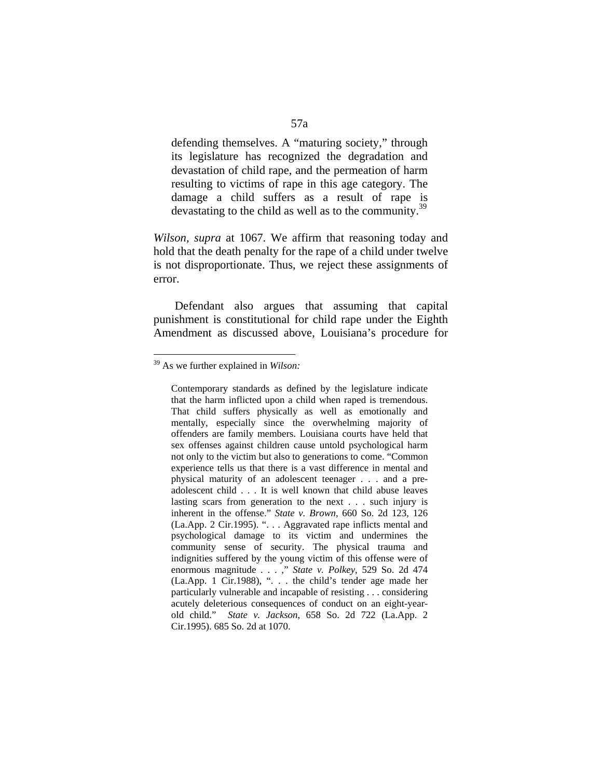defending themselves. A "maturing society," through its legislature has recognized the degradation and devastation of child rape, and the permeation of harm resulting to victims of rape in this age category. The damage a child suffers as a result of rape is devastating to the child as well as to the community.<sup>39</sup>

*Wilson, supra* at 1067. We affirm that reasoning today and hold that the death penalty for the rape of a child under twelve is not disproportionate. Thus, we reject these assignments of error.

 Defendant also argues that assuming that capital punishment is constitutional for child rape under the Eighth Amendment as discussed above, Louisiana's procedure for

<sup>39</sup> As we further explained in *Wilson:*

Contemporary standards as defined by the legislature indicate that the harm inflicted upon a child when raped is tremendous. That child suffers physically as well as emotionally and mentally, especially since the overwhelming majority of offenders are family members. Louisiana courts have held that sex offenses against children cause untold psychological harm not only to the victim but also to generations to come. "Common experience tells us that there is a vast difference in mental and physical maturity of an adolescent teenager . . . and a preadolescent child . . . It is well known that child abuse leaves lasting scars from generation to the next . . . such injury is inherent in the offense." *State v. Brown*, 660 So. 2d 123, 126 (La.App. 2 Cir.1995). ". . . Aggravated rape inflicts mental and psychological damage to its victim and undermines the community sense of security. The physical trauma and indignities suffered by the young victim of this offense were of enormous magnitude . . . ," *State v. Polkey*, 529 So. 2d 474 (La.App. 1 Cir.1988), ". . . the child's tender age made her particularly vulnerable and incapable of resisting . . . considering acutely deleterious consequences of conduct on an eight-yearold child." *State v. Jackson*, 658 So. 2d 722 (La.App. 2 Cir.1995). 685 So. 2d at 1070.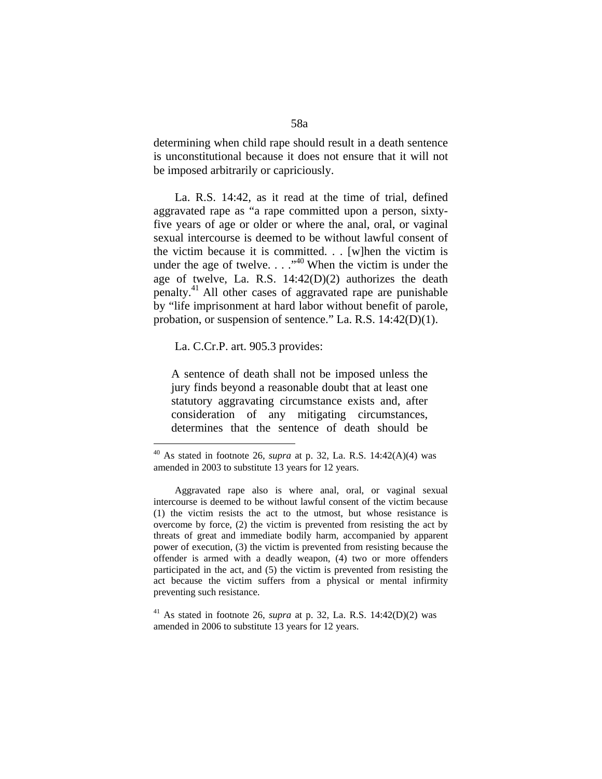determining when child rape should result in a death sentence is unconstitutional because it does not ensure that it will not be imposed arbitrarily or capriciously.

 La. R.S. 14:42, as it read at the time of trial, defined aggravated rape as "a rape committed upon a person, sixtyfive years of age or older or where the anal, oral, or vaginal sexual intercourse is deemed to be without lawful consent of the victim because it is committed. . . [w]hen the victim is under the age of twelve.  $\ldots$ <sup>40</sup> When the victim is under the age of twelve, La. R.S. 14:42(D)(2) authorizes the death penalty.41 All other cases of aggravated rape are punishable by "life imprisonment at hard labor without benefit of parole, probation, or suspension of sentence." La. R.S. 14:42(D)(1).

La. C.Cr.P. art. 905.3 provides:

 $\overline{a}$ 

A sentence of death shall not be imposed unless the jury finds beyond a reasonable doubt that at least one statutory aggravating circumstance exists and, after consideration of any mitigating circumstances, determines that the sentence of death should be

<sup>40</sup> As stated in footnote 26, *supra* at p. 32, La. R.S. 14:42(A)(4) was amended in 2003 to substitute 13 years for 12 years.

Aggravated rape also is where anal, oral, or vaginal sexual intercourse is deemed to be without lawful consent of the victim because (1) the victim resists the act to the utmost, but whose resistance is overcome by force, (2) the victim is prevented from resisting the act by threats of great and immediate bodily harm, accompanied by apparent power of execution, (3) the victim is prevented from resisting because the offender is armed with a deadly weapon, (4) two or more offenders participated in the act, and (5) the victim is prevented from resisting the act because the victim suffers from a physical or mental infirmity preventing such resistance.

<sup>&</sup>lt;sup>41</sup> As stated in footnote 26, *supra* at p. 32, La. R.S.  $14:42(D)(2)$  was amended in 2006 to substitute 13 years for 12 years.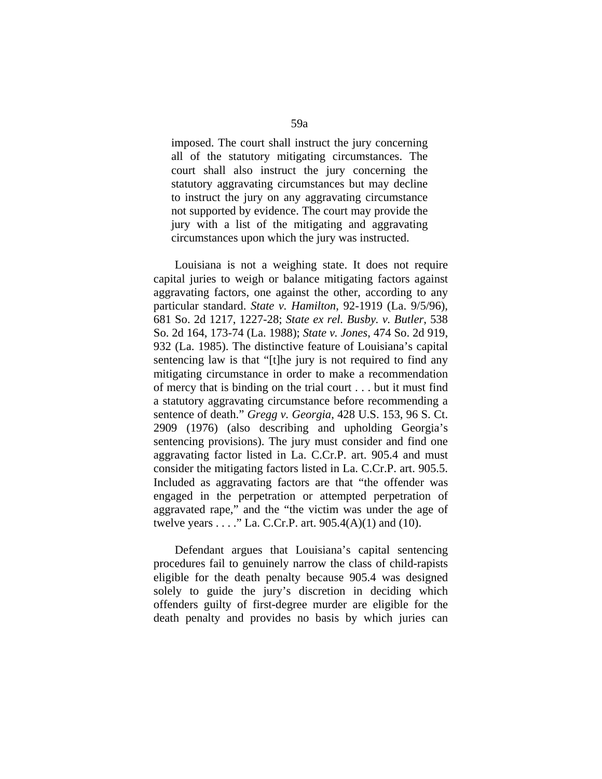imposed. The court shall instruct the jury concerning all of the statutory mitigating circumstances. The court shall also instruct the jury concerning the statutory aggravating circumstances but may decline to instruct the jury on any aggravating circumstance not supported by evidence. The court may provide the jury with a list of the mitigating and aggravating circumstances upon which the jury was instructed.

 Louisiana is not a weighing state. It does not require capital juries to weigh or balance mitigating factors against aggravating factors, one against the other, according to any particular standard. *State v. Hamilton*, 92-1919 (La. 9/5/96), 681 So. 2d 1217, 1227-28; *State ex rel. Busby. v. Butler*, 538 So. 2d 164, 173-74 (La. 1988); *State v. Jones*, 474 So. 2d 919, 932 (La. 1985). The distinctive feature of Louisiana's capital sentencing law is that "[t]he jury is not required to find any mitigating circumstance in order to make a recommendation of mercy that is binding on the trial court . . . but it must find a statutory aggravating circumstance before recommending a sentence of death." *Gregg v. Georgia*, 428 U.S. 153, 96 S. Ct. 2909 (1976) (also describing and upholding Georgia's sentencing provisions). The jury must consider and find one aggravating factor listed in La. C.Cr.P. art. 905.4 and must consider the mitigating factors listed in La. C.Cr.P. art. 905.5. Included as aggravating factors are that "the offender was engaged in the perpetration or attempted perpetration of aggravated rape," and the "the victim was under the age of twelve years  $\dots$  ." La. C.Cr.P. art. 905.4(A)(1) and (10).

 Defendant argues that Louisiana's capital sentencing procedures fail to genuinely narrow the class of child-rapists eligible for the death penalty because 905.4 was designed solely to guide the jury's discretion in deciding which offenders guilty of first-degree murder are eligible for the death penalty and provides no basis by which juries can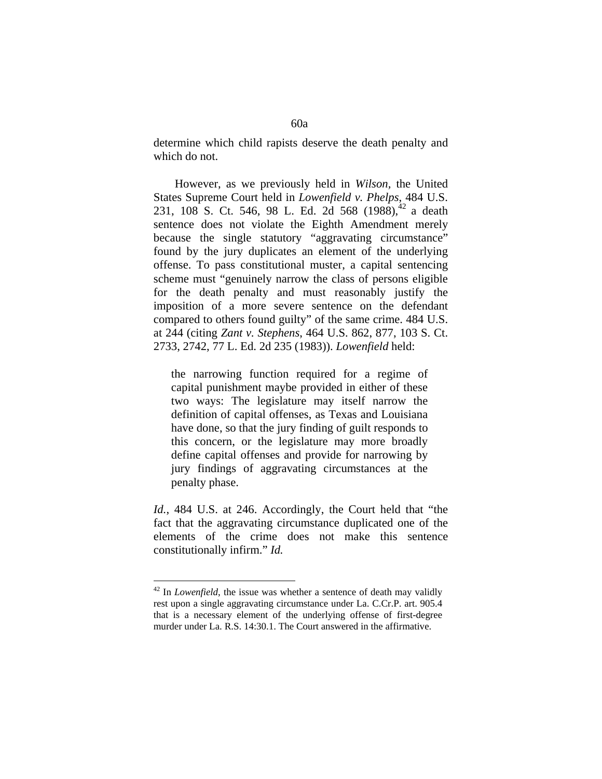determine which child rapists deserve the death penalty and which do not.

 However, as we previously held in *Wilson,* the United States Supreme Court held in *Lowenfield v. Phelps*, 484 U.S. 231, 108 S. Ct. 546, 98 L. Ed. 2d 568  $(1988)^{42}$  a death sentence does not violate the Eighth Amendment merely because the single statutory "aggravating circumstance" found by the jury duplicates an element of the underlying offense. To pass constitutional muster, a capital sentencing scheme must "genuinely narrow the class of persons eligible for the death penalty and must reasonably justify the imposition of a more severe sentence on the defendant compared to others found guilty" of the same crime. 484 U.S. at 244 (citing *Zant v. Stephens*, 464 U.S. 862, 877, 103 S. Ct. 2733, 2742, 77 L. Ed. 2d 235 (1983)). *Lowenfield* held:

the narrowing function required for a regime of capital punishment maybe provided in either of these two ways: The legislature may itself narrow the definition of capital offenses, as Texas and Louisiana have done, so that the jury finding of guilt responds to this concern, or the legislature may more broadly define capital offenses and provide for narrowing by jury findings of aggravating circumstances at the penalty phase.

*Id.*, 484 U.S. at 246. Accordingly, the Court held that "the fact that the aggravating circumstance duplicated one of the elements of the crime does not make this sentence constitutionally infirm." *Id.*

<sup>&</sup>lt;sup>42</sup> In *Lowenfield*, the issue was whether a sentence of death may validly rest upon a single aggravating circumstance under La. C.Cr.P. art. 905.4 that is a necessary element of the underlying offense of first-degree murder under La. R.S. 14:30.1. The Court answered in the affirmative.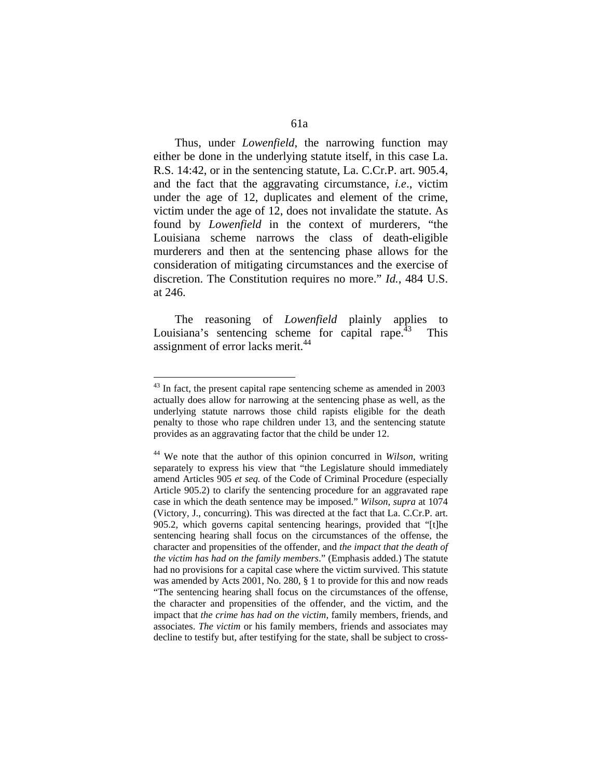Thus, under *Lowenfield*, the narrowing function may either be done in the underlying statute itself, in this case La. R.S. 14:42, or in the sentencing statute, La. C.Cr.P. art. 905.4, and the fact that the aggravating circumstance, *i.e*., victim under the age of 12, duplicates and element of the crime, victim under the age of 12, does not invalidate the statute. As found by *Lowenfield* in the context of murderers, "the Louisiana scheme narrows the class of death-eligible murderers and then at the sentencing phase allows for the consideration of mitigating circumstances and the exercise of discretion. The Constitution requires no more." *Id.*, 484 U.S. at 246.

 The reasoning of *Lowenfield* plainly applies to Louisiana's sentencing scheme for capital rape.<sup>43</sup> This assignment of error lacks merit.<sup>44</sup>

 $43$  In fact, the present capital rape sentencing scheme as amended in 2003 actually does allow for narrowing at the sentencing phase as well, as the underlying statute narrows those child rapists eligible for the death penalty to those who rape children under 13, and the sentencing statute provides as an aggravating factor that the child be under 12.

<sup>44</sup> We note that the author of this opinion concurred in *Wilson*, writing separately to express his view that "the Legislature should immediately amend Articles 905 *et seq.* of the Code of Criminal Procedure (especially Article 905.2) to clarify the sentencing procedure for an aggravated rape case in which the death sentence may be imposed." *Wilson, supra* at 1074 (Victory, J., concurring). This was directed at the fact that La. C.Cr.P. art. 905.2, which governs capital sentencing hearings, provided that "[t]he sentencing hearing shall focus on the circumstances of the offense, the character and propensities of the offender, and *the impact that the death of the victim has had on the family members*." (Emphasis added.) The statute had no provisions for a capital case where the victim survived. This statute was amended by Acts 2001, No. 280, § 1 to provide for this and now reads "The sentencing hearing shall focus on the circumstances of the offense, the character and propensities of the offender, and the victim, and the impact that *the crime has had on the victim*, family members, friends, and associates. *The victim* or his family members, friends and associates may decline to testify but, after testifying for the state, shall be subject to cross-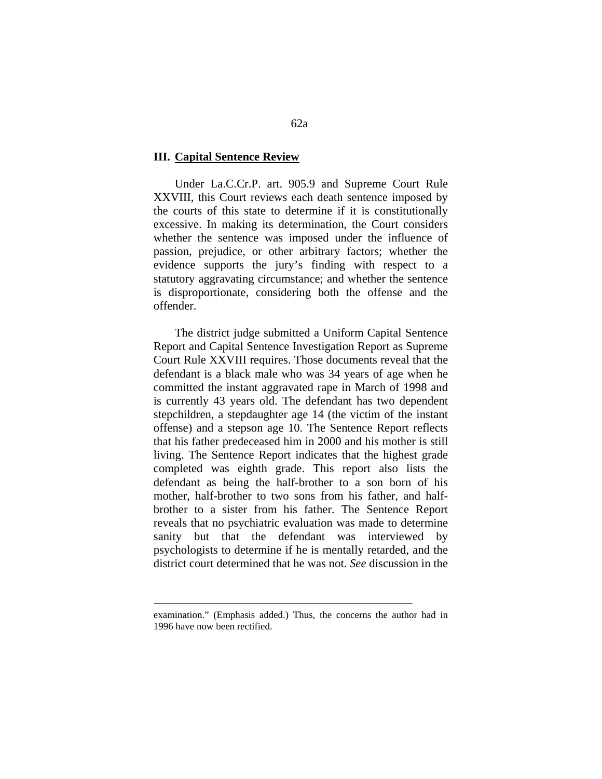### **III. Capital Sentence Review**

 Under La.C.Cr.P. art. 905.9 and Supreme Court Rule XXVIII, this Court reviews each death sentence imposed by the courts of this state to determine if it is constitutionally excessive. In making its determination, the Court considers whether the sentence was imposed under the influence of passion, prejudice, or other arbitrary factors; whether the evidence supports the jury's finding with respect to a statutory aggravating circumstance; and whether the sentence is disproportionate, considering both the offense and the offender.

 The district judge submitted a Uniform Capital Sentence Report and Capital Sentence Investigation Report as Supreme Court Rule XXVIII requires. Those documents reveal that the defendant is a black male who was 34 years of age when he committed the instant aggravated rape in March of 1998 and is currently 43 years old. The defendant has two dependent stepchildren, a stepdaughter age 14 (the victim of the instant offense) and a stepson age 10. The Sentence Report reflects that his father predeceased him in 2000 and his mother is still living. The Sentence Report indicates that the highest grade completed was eighth grade. This report also lists the defendant as being the half-brother to a son born of his mother, half-brother to two sons from his father, and halfbrother to a sister from his father. The Sentence Report reveals that no psychiatric evaluation was made to determine sanity but that the defendant was interviewed by psychologists to determine if he is mentally retarded, and the district court determined that he was not. *See* discussion in the

<u>.</u>

examination." (Emphasis added.) Thus, the concerns the author had in 1996 have now been rectified.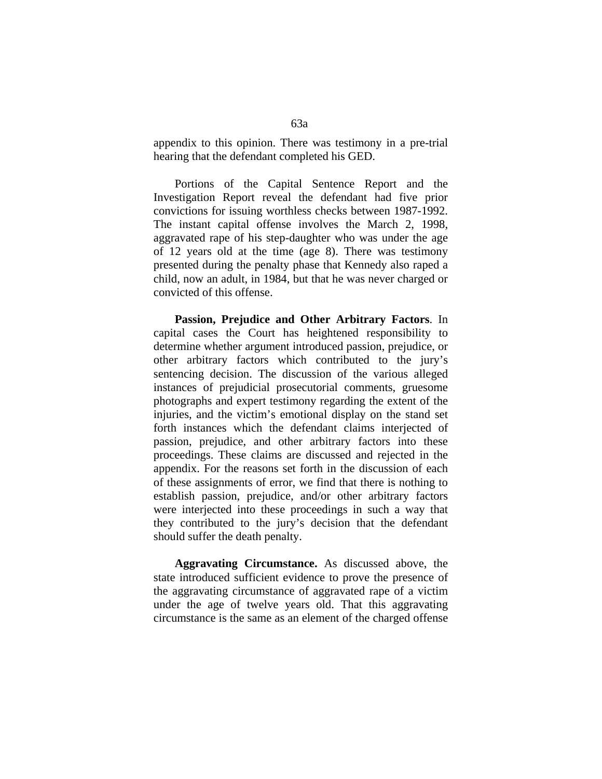appendix to this opinion. There was testimony in a pre-trial hearing that the defendant completed his GED.

 Portions of the Capital Sentence Report and the Investigation Report reveal the defendant had five prior convictions for issuing worthless checks between 1987-1992. The instant capital offense involves the March 2, 1998, aggravated rape of his step-daughter who was under the age of 12 years old at the time (age 8). There was testimony presented during the penalty phase that Kennedy also raped a child, now an adult, in 1984, but that he was never charged or convicted of this offense.

 **Passion, Prejudice and Other Arbitrary Factors**. In capital cases the Court has heightened responsibility to determine whether argument introduced passion, prejudice, or other arbitrary factors which contributed to the jury's sentencing decision. The discussion of the various alleged instances of prejudicial prosecutorial comments, gruesome photographs and expert testimony regarding the extent of the injuries, and the victim's emotional display on the stand set forth instances which the defendant claims interjected of passion, prejudice, and other arbitrary factors into these proceedings. These claims are discussed and rejected in the appendix. For the reasons set forth in the discussion of each of these assignments of error, we find that there is nothing to establish passion, prejudice, and/or other arbitrary factors were interjected into these proceedings in such a way that they contributed to the jury's decision that the defendant should suffer the death penalty.

 **Aggravating Circumstance.** As discussed above, the state introduced sufficient evidence to prove the presence of the aggravating circumstance of aggravated rape of a victim under the age of twelve years old. That this aggravating circumstance is the same as an element of the charged offense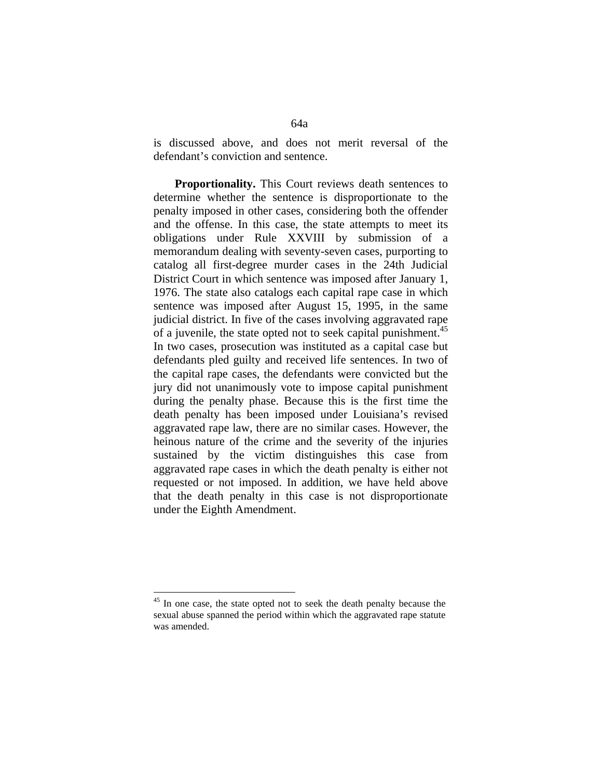is discussed above, and does not merit reversal of the defendant's conviction and sentence.

 **Proportionality.** This Court reviews death sentences to determine whether the sentence is disproportionate to the penalty imposed in other cases, considering both the offender and the offense. In this case, the state attempts to meet its obligations under Rule XXVIII by submission of a memorandum dealing with seventy-seven cases, purporting to catalog all first-degree murder cases in the 24th Judicial District Court in which sentence was imposed after January 1, 1976. The state also catalogs each capital rape case in which sentence was imposed after August 15, 1995, in the same judicial district. In five of the cases involving aggravated rape of a juvenile, the state opted not to seek capital punishment.<sup>45</sup> In two cases, prosecution was instituted as a capital case but defendants pled guilty and received life sentences. In two of the capital rape cases, the defendants were convicted but the jury did not unanimously vote to impose capital punishment during the penalty phase. Because this is the first time the death penalty has been imposed under Louisiana's revised aggravated rape law, there are no similar cases. However, the heinous nature of the crime and the severity of the injuries sustained by the victim distinguishes this case from aggravated rape cases in which the death penalty is either not requested or not imposed. In addition, we have held above that the death penalty in this case is not disproportionate under the Eighth Amendment.

<sup>&</sup>lt;sup>45</sup> In one case, the state opted not to seek the death penalty because the sexual abuse spanned the period within which the aggravated rape statute was amended.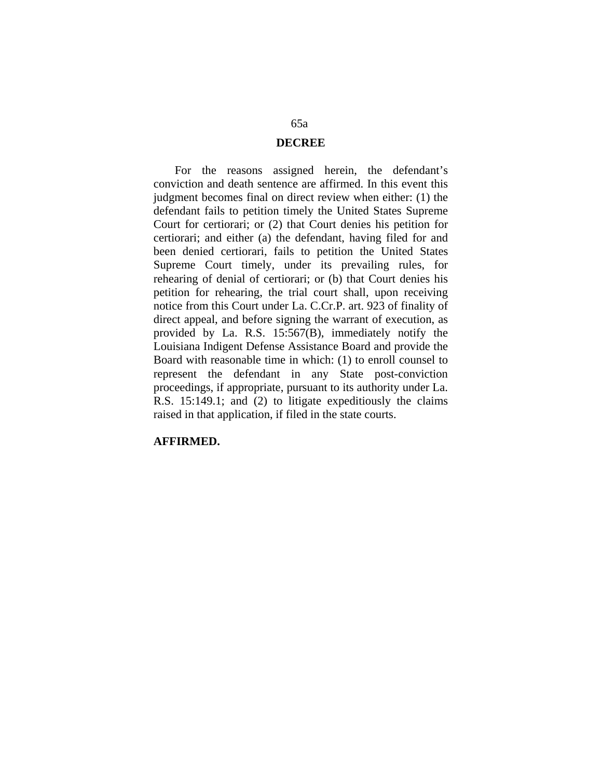#### **DECREE**

 For the reasons assigned herein, the defendant's conviction and death sentence are affirmed. In this event this judgment becomes final on direct review when either: (1) the defendant fails to petition timely the United States Supreme Court for certiorari; or (2) that Court denies his petition for certiorari; and either (a) the defendant, having filed for and been denied certiorari, fails to petition the United States Supreme Court timely, under its prevailing rules, for rehearing of denial of certiorari; or (b) that Court denies his petition for rehearing, the trial court shall, upon receiving notice from this Court under La. C.Cr.P. art. 923 of finality of direct appeal, and before signing the warrant of execution, as provided by La. R.S. 15:567(B), immediately notify the Louisiana Indigent Defense Assistance Board and provide the Board with reasonable time in which: (1) to enroll counsel to represent the defendant in any State post-conviction proceedings, if appropriate, pursuant to its authority under La. R.S. 15:149.1; and (2) to litigate expeditiously the claims raised in that application, if filed in the state courts.

#### **AFFIRMED.**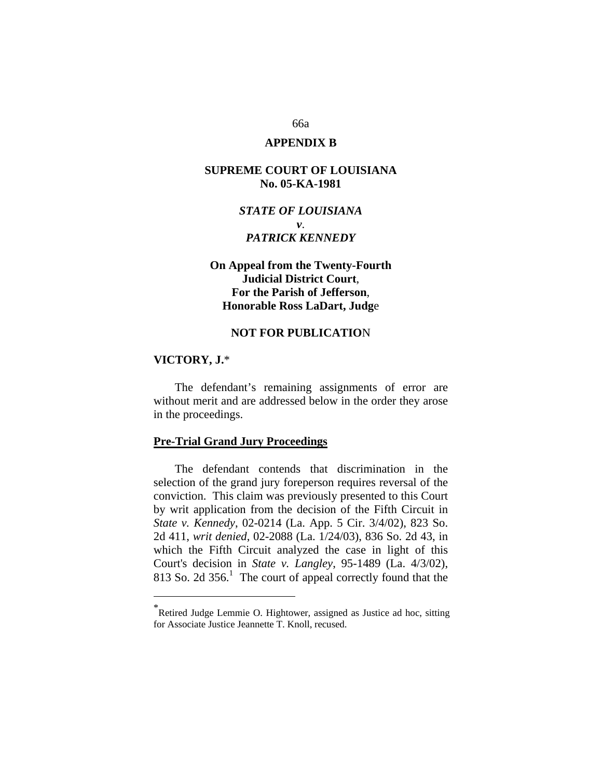## 66a

## **APPENDIX B**

## **SUPREME COURT OF LOUISIANA No. 05-KA-1981**

# *STATE OF LOUISIANA v*. *PATRICK KENNEDY*

# **On Appeal from the Twenty-Fourth Judicial District Court**, **For the Parish of Jefferson**, **Honorable Ross LaDart, Judg**e

### **NOT FOR PUBLICATIO**N

#### **VICTORY, J.**\*

 $\overline{a}$ 

 The defendant's remaining assignments of error are without merit and are addressed below in the order they arose in the proceedings.

## **Pre-Trial Grand Jury Proceedings**

 The defendant contends that discrimination in the selection of the grand jury foreperson requires reversal of the conviction. This claim was previously presented to this Court by writ application from the decision of the Fifth Circuit in *State v. Kennedy*, 02-0214 (La. App. 5 Cir. 3/4/02), 823 So. 2d 411, *writ denied*, 02-2088 (La. 1/24/03), 836 So. 2d 43, in which the Fifth Circuit analyzed the case in light of this Court's decision in *State v. Langley*, 95-1489 (La. 4/3/02), 813 So. 2d  $356<sup>1</sup>$ . The court of appeal correctly found that the

<sup>\*</sup>Retired Judge Lemmie O. Hightower, assigned as Justice ad hoc, sitting for Associate Justice Jeannette T. Knoll, recused.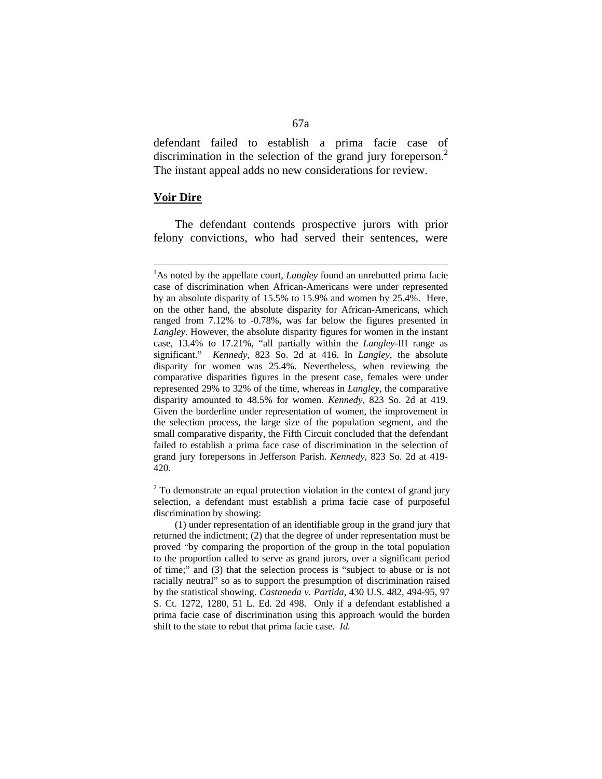defendant failed to establish a prima facie case of discrimination in the selection of the grand jury foreperson.<sup>2</sup> The instant appeal adds no new considerations for review.

### **Voir Dire**

<u>.</u>

 The defendant contends prospective jurors with prior felony convictions, who had served their sentences, were

 $2^2$  To demonstrate an equal protection violation in the context of grand jury selection, a defendant must establish a prima facie case of purposeful discrimination by showing:

<sup>&</sup>lt;sup>1</sup>As noted by the appellate court, *Langley* found an unrebutted prima facie case of discrimination when African-Americans were under represented by an absolute disparity of 15.5% to 15.9% and women by 25.4%. Here, on the other hand, the absolute disparity for African-Americans, which ranged from 7.12% to -0.78%, was far below the figures presented in *Langley*. However, the absolute disparity figures for women in the instant case, 13.4% to 17.21%, "all partially within the *Langley*-III range as significant." *Kennedy*, 823 So. 2d at 416. In *Langley*, the absolute disparity for women was 25.4%. Nevertheless, when reviewing the comparative disparities figures in the present case, females were under represented 29% to 32% of the time, whereas in *Langley*, the comparative disparity amounted to 48.5% for women. *Kennedy*, 823 So. 2d at 419. Given the borderline under representation of women, the improvement in the selection process, the large size of the population segment, and the small comparative disparity, the Fifth Circuit concluded that the defendant failed to establish a prima face case of discrimination in the selection of grand jury forepersons in Jefferson Parish. *Kennedy*, 823 So. 2d at 419- 420.

 <sup>(1)</sup> under representation of an identifiable group in the grand jury that returned the indictment; (2) that the degree of under representation must be proved "by comparing the proportion of the group in the total population to the proportion called to serve as grand jurors, over a significant period of time;" and (3) that the selection process is "subject to abuse or is not racially neutral" so as to support the presumption of discrimination raised by the statistical showing. *Castaneda v. Partida*, 430 U.S. 482, 494-95, 97 S. Ct. 1272, 1280, 51 L. Ed. 2d 498. Only if a defendant established a prima facie case of discrimination using this approach would the burden shift to the state to rebut that prima facie case. *Id.*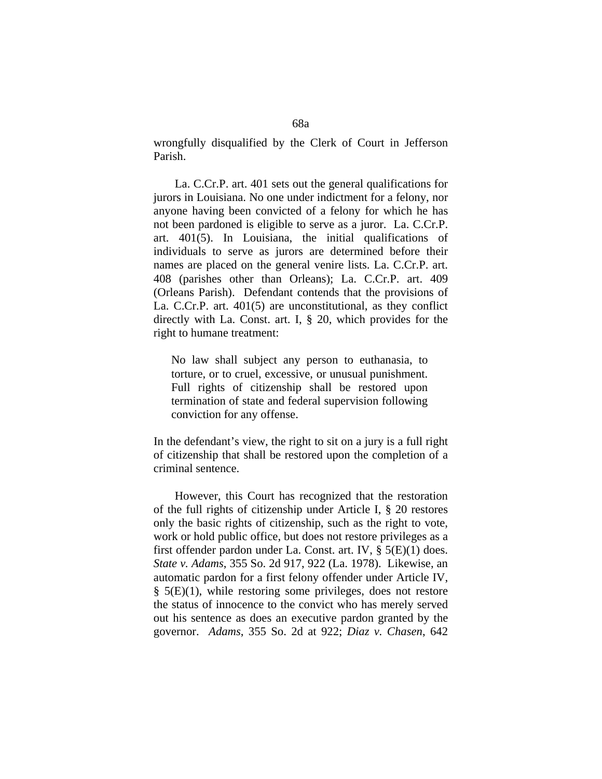wrongfully disqualified by the Clerk of Court in Jefferson Parish.

 La. C.Cr.P. art. 401 sets out the general qualifications for jurors in Louisiana. No one under indictment for a felony, nor anyone having been convicted of a felony for which he has not been pardoned is eligible to serve as a juror. La. C.Cr.P. art. 401(5). In Louisiana, the initial qualifications of individuals to serve as jurors are determined before their names are placed on the general venire lists. La. C.Cr.P. art. 408 (parishes other than Orleans); La. C.Cr.P. art. 409 (Orleans Parish). Defendant contends that the provisions of La. C.Cr.P. art. 401(5) are unconstitutional, as they conflict directly with La. Const. art. I, § 20, which provides for the right to humane treatment:

No law shall subject any person to euthanasia, to torture, or to cruel, excessive, or unusual punishment. Full rights of citizenship shall be restored upon termination of state and federal supervision following conviction for any offense.

In the defendant's view, the right to sit on a jury is a full right of citizenship that shall be restored upon the completion of a criminal sentence.

 However, this Court has recognized that the restoration of the full rights of citizenship under Article I, § 20 restores only the basic rights of citizenship, such as the right to vote, work or hold public office, but does not restore privileges as a first offender pardon under La. Const. art. IV, § 5(E)(1) does. *State v. Adams*, 355 So. 2d 917, 922 (La. 1978). Likewise, an automatic pardon for a first felony offender under Article IV,  $\S$  5(E)(1), while restoring some privileges, does not restore the status of innocence to the convict who has merely served out his sentence as does an executive pardon granted by the governor. *Adams*, 355 So. 2d at 922; *Diaz v. Chasen*, 642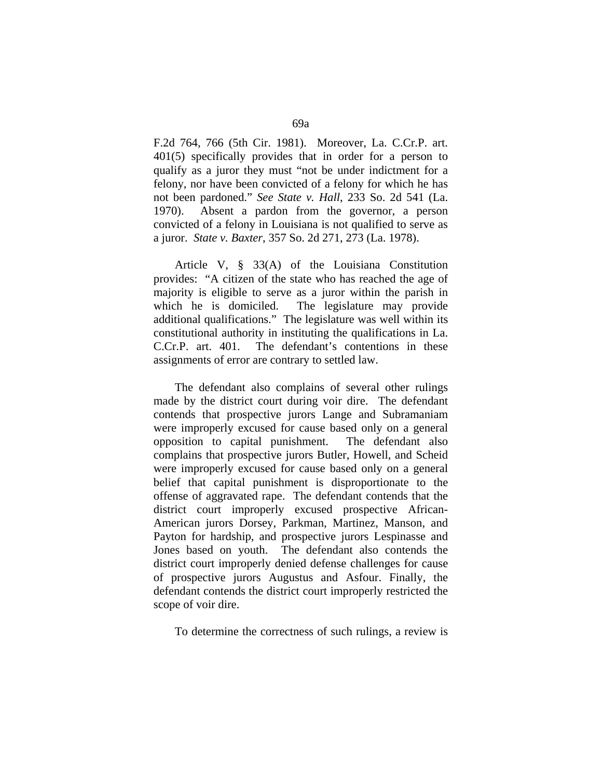F.2d 764, 766 (5th Cir. 1981). Moreover, La. C.Cr.P. art. 401(5) specifically provides that in order for a person to qualify as a juror they must "not be under indictment for a felony, nor have been convicted of a felony for which he has not been pardoned." *See State v. Hall*, 233 So. 2d 541 (La. 1970). Absent a pardon from the governor, a person convicted of a felony in Louisiana is not qualified to serve as a juror. *State v. Baxter*, 357 So. 2d 271, 273 (La. 1978).

 Article V, § 33(A) of the Louisiana Constitution provides: "A citizen of the state who has reached the age of majority is eligible to serve as a juror within the parish in which he is domiciled. The legislature may provide additional qualifications." The legislature was well within its constitutional authority in instituting the qualifications in La. C.Cr.P. art. 401. The defendant's contentions in these assignments of error are contrary to settled law.

 The defendant also complains of several other rulings made by the district court during voir dire. The defendant contends that prospective jurors Lange and Subramaniam were improperly excused for cause based only on a general opposition to capital punishment. The defendant also complains that prospective jurors Butler, Howell, and Scheid were improperly excused for cause based only on a general belief that capital punishment is disproportionate to the offense of aggravated rape. The defendant contends that the district court improperly excused prospective African-American jurors Dorsey, Parkman, Martinez, Manson, and Payton for hardship, and prospective jurors Lespinasse and Jones based on youth. The defendant also contends the district court improperly denied defense challenges for cause of prospective jurors Augustus and Asfour. Finally, the defendant contends the district court improperly restricted the scope of voir dire.

To determine the correctness of such rulings, a review is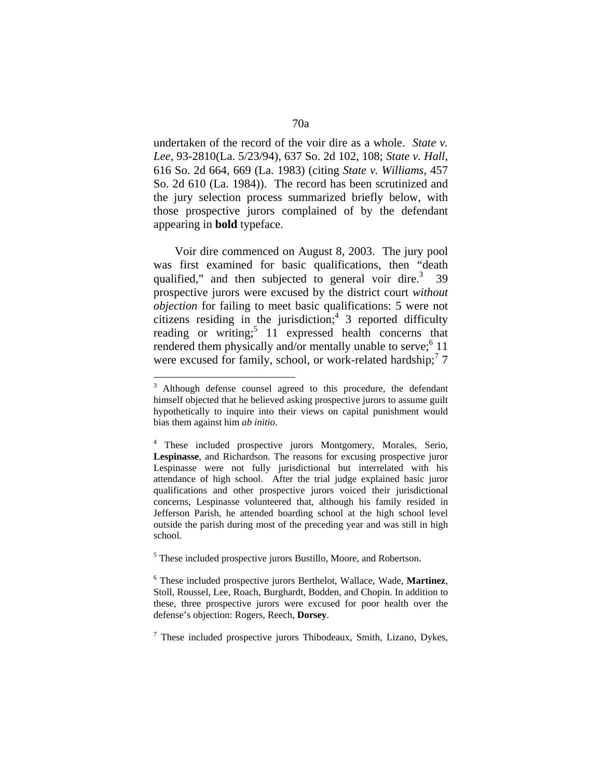undertaken of the record of the voir dire as a whole. *State v. Lee*, 93-2810(La. 5/23/94), 637 So. 2d 102, 108; *State v. Hall*, 616 So. 2d 664, 669 (La. 1983) (citing *State v. Williams*, 457 So. 2d 610 (La. 1984)). The record has been scrutinized and the jury selection process summarized briefly below, with those prospective jurors complained of by the defendant appearing in **bold** typeface.

 Voir dire commenced on August 8, 2003. The jury pool was first examined for basic qualifications, then "death qualified," and then subjected to general voir dire. $3\overline{3}$  39 prospective jurors were excused by the district court *without objection* for failing to meet basic qualifications: 5 were not citizens residing in the jurisdiction;<sup>4</sup> 3 reported difficulty reading or writing;<sup>5</sup> 11 expressed health concerns that rendered them physically and/or mentally unable to serve;  $6$  11 were excused for family, school, or work-related hardship;<sup>7</sup> 7

<sup>&</sup>lt;sup>3</sup> Although defense counsel agreed to this procedure, the defendant himself objected that he believed asking prospective jurors to assume guilt hypothetically to inquire into their views on capital punishment would bias them against him *ab initio*.

<sup>4</sup> These included prospective jurors Montgomery, Morales, Serio, **Lespinasse**, and Richardson. The reasons for excusing prospective juror Lespinasse were not fully jurisdictional but interrelated with his attendance of high school. After the trial judge explained basic juror qualifications and other prospective jurors voiced their jurisdictional concerns, Lespinasse volunteered that, although his family resided in Jefferson Parish, he attended boarding school at the high school level outside the parish during most of the preceding year and was still in high school.

<sup>&</sup>lt;sup>5</sup> These included prospective jurors Bustillo, Moore, and Robertson.

<sup>6</sup> These included prospective jurors Berthelot, Wallace, Wade, **Martinez**, Stoll, Roussel, Lee, Roach, Burghardt, Bodden, and Chopin. In addition to these, three prospective jurors were excused for poor health over the defense's objection: Rogers, Reech, **Dorsey**.

<sup>&</sup>lt;sup>7</sup> These included prospective jurors Thibodeaux, Smith, Lizano, Dykes,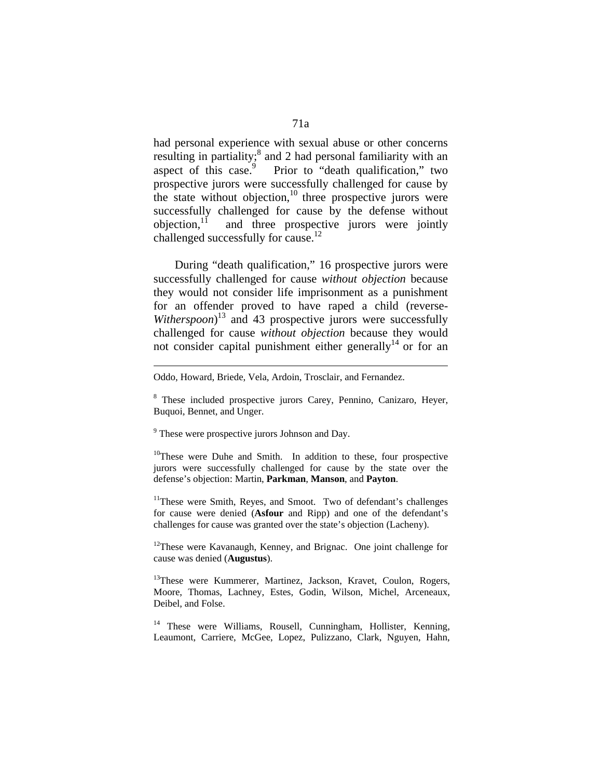had personal experience with sexual abuse or other concerns resulting in partiality;<sup>8</sup> and 2 had personal familiarity with an aspect of this case.<sup>9</sup> Prior to "death qualification," two prospective jurors were successfully challenged for cause by the state without objection, $10$  three prospective jurors were successfully challenged for cause by the defense without objection, $\frac{11}{11}$  and three prospective jurors were jointly and three prospective jurors were jointly challenged successfully for cause.<sup>12</sup>

 During "death qualification," 16 prospective jurors were successfully challenged for cause *without objection* because they would not consider life imprisonment as a punishment for an offender proved to have raped a child (reverse-Witherspoon)<sup>13</sup> and 43 prospective jurors were successfully challenged for cause *without objection* because they would not consider capital punishment either generally<sup>14</sup> or for an

<sup>9</sup> These were prospective jurors Johnson and Day.

<u>.</u>

 $10$ <sup>10</sup>These were Duhe and Smith. In addition to these, four prospective jurors were successfully challenged for cause by the state over the defense's objection: Martin, **Parkman**, **Manson**, and **Payton**.

<sup>11</sup>These were Smith, Reyes, and Smoot. Two of defendant's challenges for cause were denied (**Asfour** and Ripp) and one of the defendant's challenges for cause was granted over the state's objection (Lacheny).

 $12$ These were Kavanaugh, Kenney, and Brignac. One joint challenge for cause was denied (**Augustus**).

<sup>13</sup>These were Kummerer, Martinez, Jackson, Kravet, Coulon, Rogers, Moore, Thomas, Lachney, Estes, Godin, Wilson, Michel, Arceneaux, Deibel, and Folse.

<sup>14</sup> These were Williams, Rousell, Cunningham, Hollister, Kenning, Leaumont, Carriere, McGee, Lopez, Pulizzano, Clark, Nguyen, Hahn,

Oddo, Howard, Briede, Vela, Ardoin, Trosclair, and Fernandez.

<sup>&</sup>lt;sup>8</sup> These included prospective jurors Carey, Pennino, Canizaro, Heyer, Buquoi, Bennet, and Unger.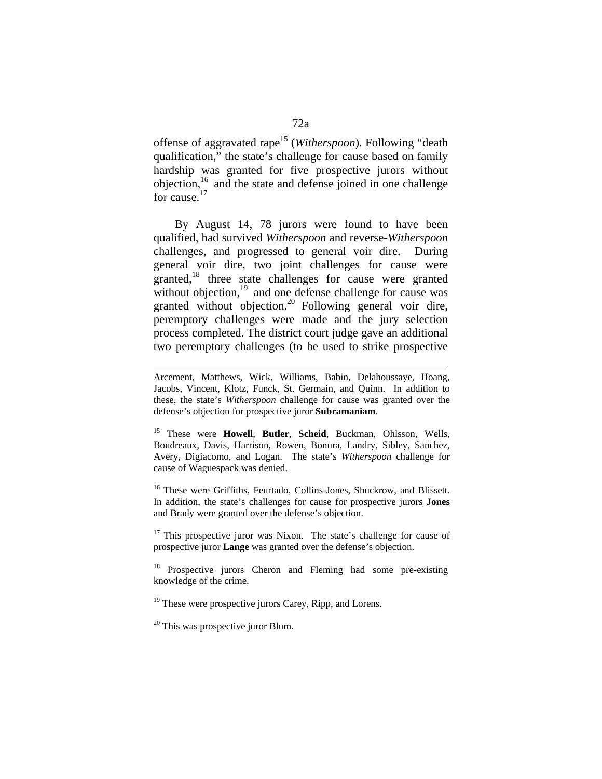offense of aggravated rape15 (*Witherspoon*). Following "death qualification," the state's challenge for cause based on family hardship was granted for five prospective jurors without  $objection<sup>16</sup>$  and the state and defense joined in one challenge for cause.17

 By August 14, 78 jurors were found to have been qualified, had survived *Witherspoon* and reverse-*Witherspoon* challenges, and progressed to general voir dire. During general voir dire, two joint challenges for cause were granted,<sup>18</sup> three state challenges for cause were granted without objection, $19$  and one defense challenge for cause was granted without objection.<sup>20</sup> Following general voir dire, peremptory challenges were made and the jury selection process completed. The district court judge gave an additional two peremptory challenges (to be used to strike prospective

<sup>16</sup> These were Griffiths, Feurtado, Collins-Jones, Shuckrow, and Blissett. In addition, the state's challenges for cause for prospective jurors **Jones** and Brady were granted over the defense's objection.

<sup>17</sup> This prospective juror was Nixon. The state's challenge for cause of prospective juror **Lange** was granted over the defense's objection.

<sup>18</sup> Prospective jurors Cheron and Fleming had some pre-existing knowledge of the crime.

<sup>19</sup> These were prospective jurors Carey, Ripp, and Lorens.

 $20$  This was prospective juror Blum.

<u>.</u>

Arcement, Matthews, Wick, Williams, Babin, Delahoussaye, Hoang, Jacobs, Vincent, Klotz, Funck, St. Germain, and Quinn. In addition to these, the state's *Witherspoon* challenge for cause was granted over the defense's objection for prospective juror **Subramaniam**.

<sup>15</sup> These were **Howell**, **Butler**, **Scheid**, Buckman, Ohlsson, Wells, Boudreaux, Davis, Harrison, Rowen, Bonura, Landry, Sibley, Sanchez, Avery, Digiacomo, and Logan. The state's *Witherspoon* challenge for cause of Waguespack was denied.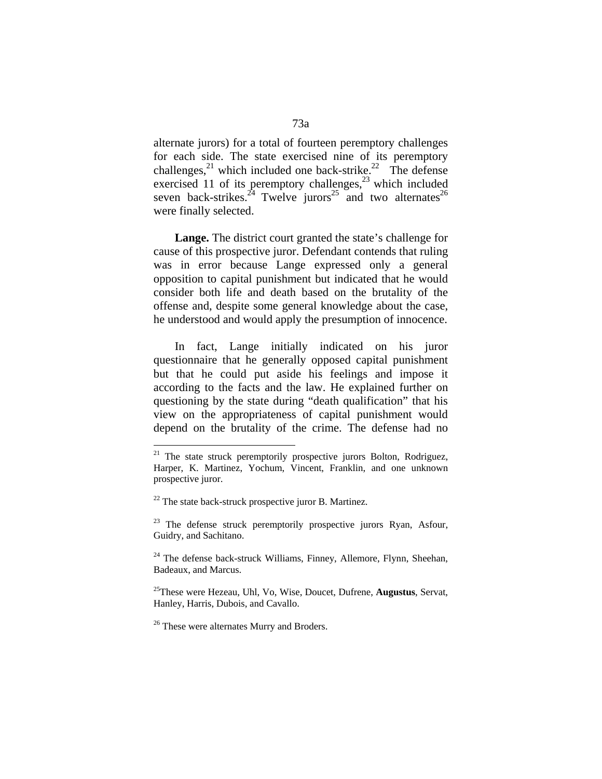alternate jurors) for a total of fourteen peremptory challenges for each side. The state exercised nine of its peremptory challenges,  $^{21}$  which included one back-strike.<sup>22</sup> The defense exercised 11 of its peremptory challenges, $^{23}$  which included seven back-strikes.<sup>24</sup> Twelve jurors<sup>25</sup> and two alternates<sup>26</sup> were finally selected.

 **Lange.** The district court granted the state's challenge for cause of this prospective juror. Defendant contends that ruling was in error because Lange expressed only a general opposition to capital punishment but indicated that he would consider both life and death based on the brutality of the offense and, despite some general knowledge about the case, he understood and would apply the presumption of innocence.

 In fact, Lange initially indicated on his juror questionnaire that he generally opposed capital punishment but that he could put aside his feelings and impose it according to the facts and the law. He explained further on questioning by the state during "death qualification" that his view on the appropriateness of capital punishment would depend on the brutality of the crime. The defense had no

 $21$  The state struck peremptorily prospective jurors Bolton, Rodriguez, Harper, K. Martinez, Yochum, Vincent, Franklin, and one unknown prospective juror.

 $22$  The state back-struck prospective juror B. Martinez.

 $23$  The defense struck peremptorily prospective jurors Ryan, Asfour, Guidry, and Sachitano.

 $24$  The defense back-struck Williams, Finney, Allemore, Flynn, Sheehan, Badeaux, and Marcus.

<sup>25</sup>These were Hezeau, Uhl, Vo, Wise, Doucet, Dufrene, **Augustus**, Servat, Hanley, Harris, Dubois, and Cavallo.

<sup>&</sup>lt;sup>26</sup> These were alternates Murry and Broders.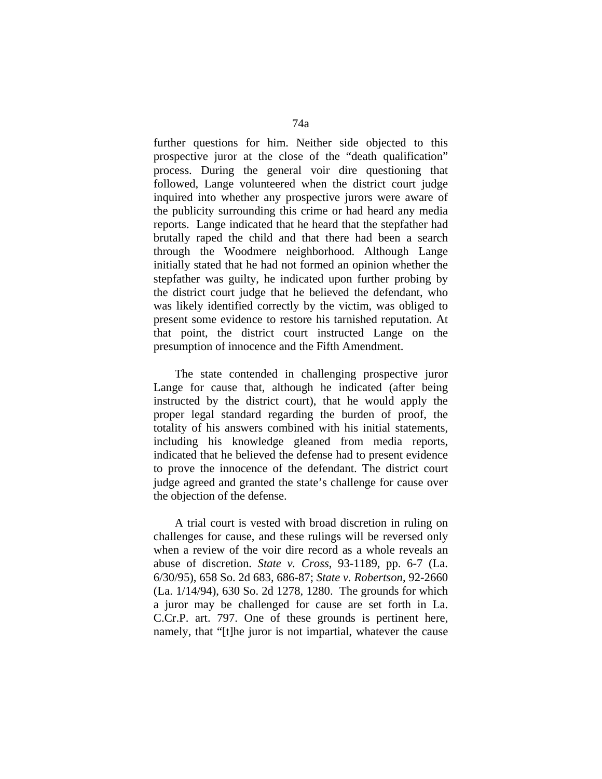further questions for him. Neither side objected to this prospective juror at the close of the "death qualification" process. During the general voir dire questioning that followed, Lange volunteered when the district court judge inquired into whether any prospective jurors were aware of the publicity surrounding this crime or had heard any media reports. Lange indicated that he heard that the stepfather had brutally raped the child and that there had been a search through the Woodmere neighborhood. Although Lange initially stated that he had not formed an opinion whether the stepfather was guilty, he indicated upon further probing by the district court judge that he believed the defendant, who was likely identified correctly by the victim, was obliged to present some evidence to restore his tarnished reputation. At that point, the district court instructed Lange on the presumption of innocence and the Fifth Amendment.

 The state contended in challenging prospective juror Lange for cause that, although he indicated (after being instructed by the district court), that he would apply the proper legal standard regarding the burden of proof, the totality of his answers combined with his initial statements, including his knowledge gleaned from media reports, indicated that he believed the defense had to present evidence to prove the innocence of the defendant. The district court judge agreed and granted the state's challenge for cause over the objection of the defense.

 A trial court is vested with broad discretion in ruling on challenges for cause, and these rulings will be reversed only when a review of the voir dire record as a whole reveals an abuse of discretion. *State v. Cross*, 93-1189, pp. 6-7 (La. 6/30/95), 658 So. 2d 683, 686-87; *State v. Robertson*, 92-2660 (La. 1/14/94), 630 So. 2d 1278, 1280. The grounds for which a juror may be challenged for cause are set forth in La. C.Cr.P. art. 797. One of these grounds is pertinent here, namely, that "[t]he juror is not impartial, whatever the cause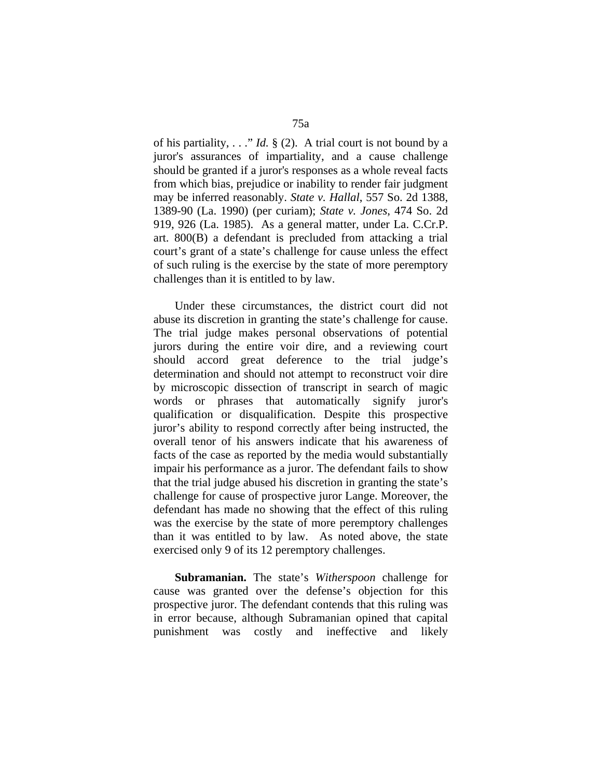of his partiality, . . ." *Id.* § (2). A trial court is not bound by a juror's assurances of impartiality, and a cause challenge should be granted if a juror's responses as a whole reveal facts from which bias, prejudice or inability to render fair judgment may be inferred reasonably. *State v. Hallal*, 557 So. 2d 1388, 1389-90 (La. 1990) (per curiam); *State v. Jones*, 474 So. 2d 919, 926 (La. 1985). As a general matter, under La. C.Cr.P. art. 800(B) a defendant is precluded from attacking a trial court's grant of a state's challenge for cause unless the effect of such ruling is the exercise by the state of more peremptory challenges than it is entitled to by law.

 Under these circumstances, the district court did not abuse its discretion in granting the state's challenge for cause. The trial judge makes personal observations of potential jurors during the entire voir dire, and a reviewing court should accord great deference to the trial judge's determination and should not attempt to reconstruct voir dire by microscopic dissection of transcript in search of magic words or phrases that automatically signify juror's qualification or disqualification. Despite this prospective juror's ability to respond correctly after being instructed, the overall tenor of his answers indicate that his awareness of facts of the case as reported by the media would substantially impair his performance as a juror. The defendant fails to show that the trial judge abused his discretion in granting the state's challenge for cause of prospective juror Lange. Moreover, the defendant has made no showing that the effect of this ruling was the exercise by the state of more peremptory challenges than it was entitled to by law. As noted above, the state exercised only 9 of its 12 peremptory challenges.

 **Subramanian.** The state's *Witherspoon* challenge for cause was granted over the defense's objection for this prospective juror. The defendant contends that this ruling was in error because, although Subramanian opined that capital punishment was costly and ineffective and likely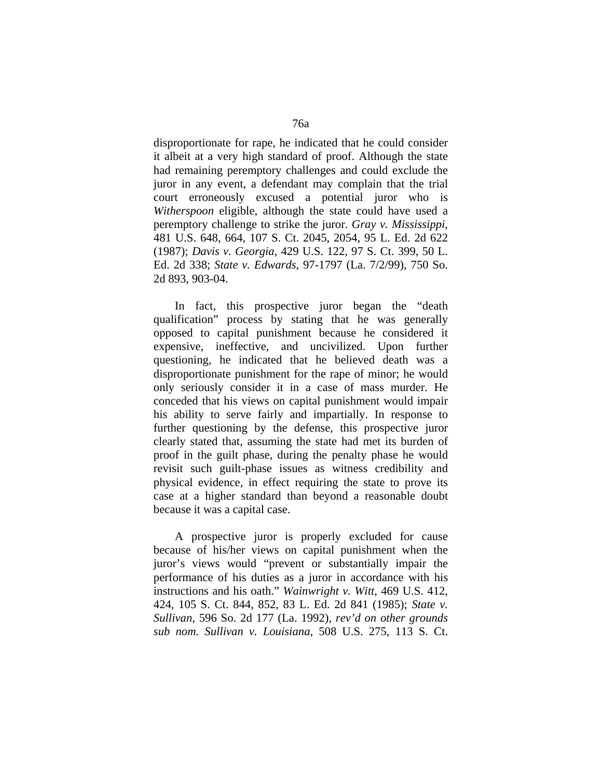disproportionate for rape, he indicated that he could consider it albeit at a very high standard of proof. Although the state had remaining peremptory challenges and could exclude the juror in any event, a defendant may complain that the trial court erroneously excused a potential juror who is *Witherspoon* eligible, although the state could have used a peremptory challenge to strike the juror. *Gray v. Mississippi*, 481 U.S. 648, 664, 107 S. Ct. 2045, 2054, 95 L. Ed. 2d 622 (1987); *Davis v. Georgia*, 429 U.S. 122, 97 S. Ct. 399, 50 L. Ed. 2d 338; *State v. Edwards*, 97-1797 (La. 7/2/99), 750 So. 2d 893, 903-04.

 In fact, this prospective juror began the "death qualification" process by stating that he was generally opposed to capital punishment because he considered it expensive, ineffective, and uncivilized. Upon further questioning, he indicated that he believed death was a disproportionate punishment for the rape of minor; he would only seriously consider it in a case of mass murder. He conceded that his views on capital punishment would impair his ability to serve fairly and impartially. In response to further questioning by the defense, this prospective juror clearly stated that, assuming the state had met its burden of proof in the guilt phase, during the penalty phase he would revisit such guilt-phase issues as witness credibility and physical evidence, in effect requiring the state to prove its case at a higher standard than beyond a reasonable doubt because it was a capital case.

 A prospective juror is properly excluded for cause because of his/her views on capital punishment when the juror's views would "prevent or substantially impair the performance of his duties as a juror in accordance with his instructions and his oath." *Wainwright v. Witt*, 469 U.S. 412, 424, 105 S. Ct. 844, 852, 83 L. Ed. 2d 841 (1985); *State v. Sullivan*, 596 So. 2d 177 (La. 1992), *rev'd on other grounds sub nom. Sullivan v. Louisiana*, 508 U.S. 275, 113 S. Ct.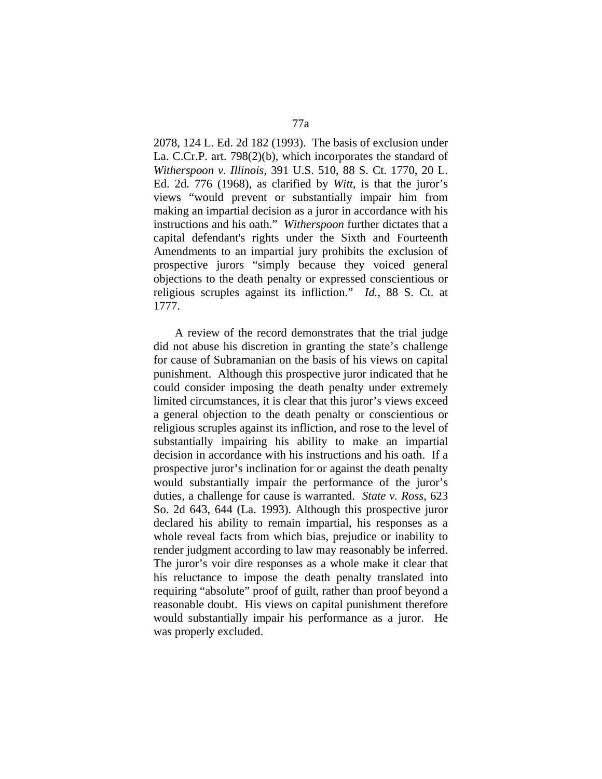2078, 124 L. Ed. 2d 182 (1993). The basis of exclusion under La. C.Cr.P. art. 798(2)(b), which incorporates the standard of *Witherspoon v. Illinois*, 391 U.S. 510, 88 S. Ct. 1770, 20 L. Ed. 2d. 776 (1968), as clarified by *Witt*, is that the juror's views "would prevent or substantially impair him from making an impartial decision as a juror in accordance with his instructions and his oath." *Witherspoon* further dictates that a capital defendant's rights under the Sixth and Fourteenth Amendments to an impartial jury prohibits the exclusion of prospective jurors "simply because they voiced general objections to the death penalty or expressed conscientious or religious scruples against its infliction." *Id.*, 88 S. Ct. at 1777.

 A review of the record demonstrates that the trial judge did not abuse his discretion in granting the state's challenge for cause of Subramanian on the basis of his views on capital punishment. Although this prospective juror indicated that he could consider imposing the death penalty under extremely limited circumstances, it is clear that this juror's views exceed a general objection to the death penalty or conscientious or religious scruples against its infliction, and rose to the level of substantially impairing his ability to make an impartial decision in accordance with his instructions and his oath. If a prospective juror's inclination for or against the death penalty would substantially impair the performance of the juror's duties, a challenge for cause is warranted. *State v. Ross*, 623 So. 2d 643, 644 (La. 1993). Although this prospective juror declared his ability to remain impartial, his responses as a whole reveal facts from which bias, prejudice or inability to render judgment according to law may reasonably be inferred. The juror's voir dire responses as a whole make it clear that his reluctance to impose the death penalty translated into requiring "absolute" proof of guilt, rather than proof beyond a reasonable doubt. His views on capital punishment therefore would substantially impair his performance as a juror. He was properly excluded.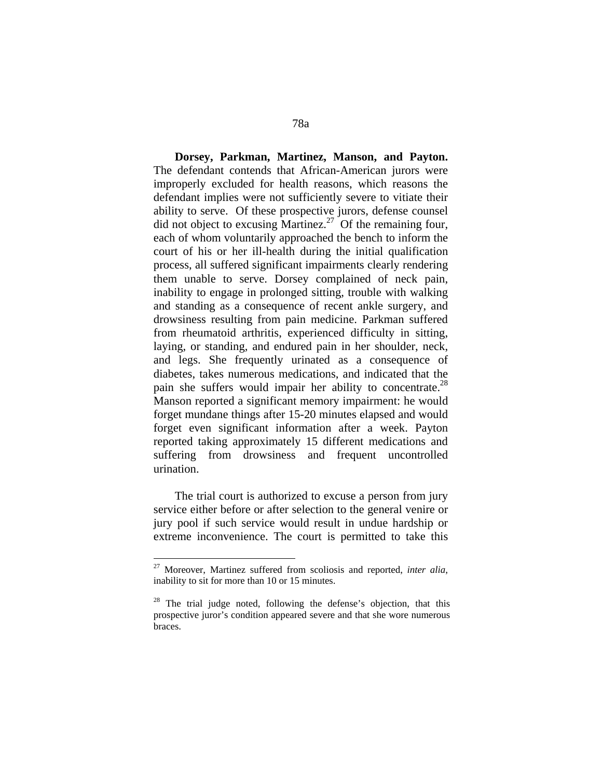**Dorsey, Parkman, Martinez, Manson, and Payton.**  The defendant contends that African-American jurors were improperly excluded for health reasons, which reasons the defendant implies were not sufficiently severe to vitiate their ability to serve. Of these prospective jurors, defense counsel did not object to excusing Martinez.<sup>27</sup> Of the remaining four, each of whom voluntarily approached the bench to inform the court of his or her ill-health during the initial qualification process, all suffered significant impairments clearly rendering them unable to serve. Dorsey complained of neck pain, inability to engage in prolonged sitting, trouble with walking and standing as a consequence of recent ankle surgery, and drowsiness resulting from pain medicine. Parkman suffered from rheumatoid arthritis, experienced difficulty in sitting, laying, or standing, and endured pain in her shoulder, neck, and legs. She frequently urinated as a consequence of diabetes, takes numerous medications, and indicated that the pain she suffers would impair her ability to concentrate.<sup>28</sup> Manson reported a significant memory impairment: he would forget mundane things after 15-20 minutes elapsed and would forget even significant information after a week. Payton reported taking approximately 15 different medications and suffering from drowsiness and frequent uncontrolled urination.

 The trial court is authorized to excuse a person from jury service either before or after selection to the general venire or jury pool if such service would result in undue hardship or extreme inconvenience. The court is permitted to take this

<sup>27</sup> Moreover, Martinez suffered from scoliosis and reported, *inter alia*, inability to sit for more than 10 or 15 minutes.

 $28$  The trial judge noted, following the defense's objection, that this prospective juror's condition appeared severe and that she wore numerous braces.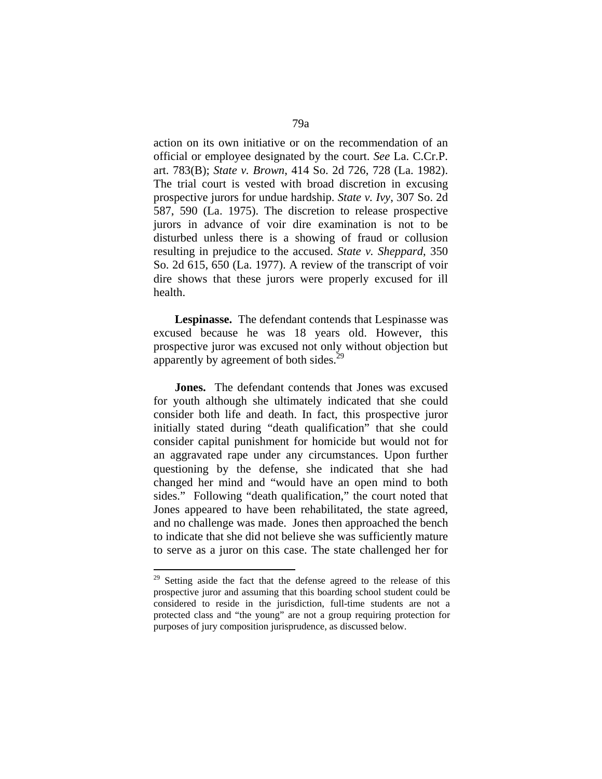action on its own initiative or on the recommendation of an official or employee designated by the court. *See* La. C.Cr.P. art. 783(B); *State v. Brown*, 414 So. 2d 726, 728 (La. 1982). The trial court is vested with broad discretion in excusing prospective jurors for undue hardship. *State v. Ivy*, 307 So. 2d 587, 590 (La. 1975). The discretion to release prospective jurors in advance of voir dire examination is not to be disturbed unless there is a showing of fraud or collusion resulting in prejudice to the accused. *State v. Sheppard*, 350 So. 2d 615, 650 (La. 1977). A review of the transcript of voir dire shows that these jurors were properly excused for ill health.

 **Lespinasse.** The defendant contends that Lespinasse was excused because he was 18 years old. However, this prospective juror was excused not only without objection but apparently by agreement of both sides.<sup>29</sup>

 **Jones.** The defendant contends that Jones was excused for youth although she ultimately indicated that she could consider both life and death. In fact, this prospective juror initially stated during "death qualification" that she could consider capital punishment for homicide but would not for an aggravated rape under any circumstances. Upon further questioning by the defense, she indicated that she had changed her mind and "would have an open mind to both sides." Following "death qualification," the court noted that Jones appeared to have been rehabilitated, the state agreed, and no challenge was made. Jones then approached the bench to indicate that she did not believe she was sufficiently mature to serve as a juror on this case. The state challenged her for

<sup>&</sup>lt;sup>29</sup> Setting aside the fact that the defense agreed to the release of this prospective juror and assuming that this boarding school student could be considered to reside in the jurisdiction, full-time students are not a protected class and "the young" are not a group requiring protection for purposes of jury composition jurisprudence, as discussed below.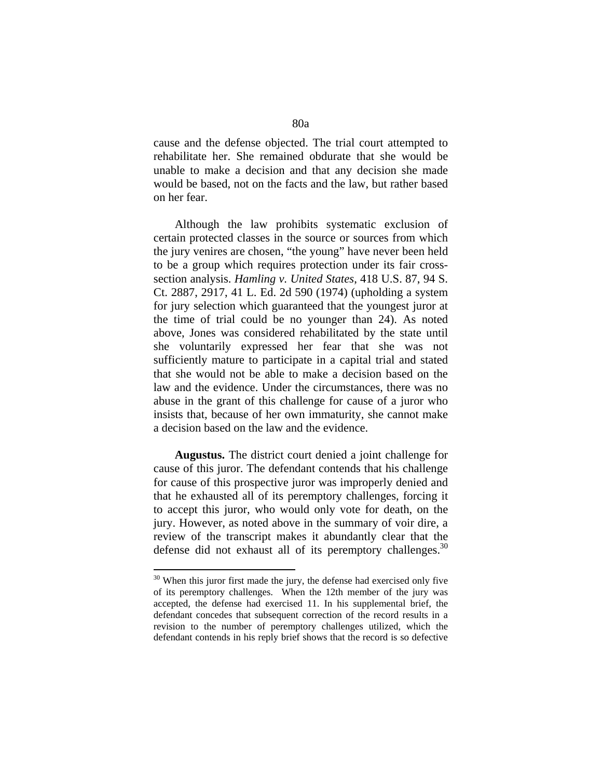cause and the defense objected. The trial court attempted to rehabilitate her. She remained obdurate that she would be unable to make a decision and that any decision she made would be based, not on the facts and the law, but rather based on her fear.

 Although the law prohibits systematic exclusion of certain protected classes in the source or sources from which the jury venires are chosen, "the young" have never been held to be a group which requires protection under its fair crosssection analysis. *Hamling v. United States*, 418 U.S. 87, 94 S. Ct. 2887, 2917, 41 L. Ed. 2d 590 (1974) (upholding a system for jury selection which guaranteed that the youngest juror at the time of trial could be no younger than 24). As noted above, Jones was considered rehabilitated by the state until she voluntarily expressed her fear that she was not sufficiently mature to participate in a capital trial and stated that she would not be able to make a decision based on the law and the evidence. Under the circumstances, there was no abuse in the grant of this challenge for cause of a juror who insists that, because of her own immaturity, she cannot make a decision based on the law and the evidence.

 **Augustus.** The district court denied a joint challenge for cause of this juror. The defendant contends that his challenge for cause of this prospective juror was improperly denied and that he exhausted all of its peremptory challenges, forcing it to accept this juror, who would only vote for death, on the jury. However, as noted above in the summary of voir dire, a review of the transcript makes it abundantly clear that the defense did not exhaust all of its peremptory challenges. $30$ 

 $30$  When this juror first made the jury, the defense had exercised only five of its peremptory challenges. When the 12th member of the jury was accepted, the defense had exercised 11. In his supplemental brief, the defendant concedes that subsequent correction of the record results in a revision to the number of peremptory challenges utilized, which the defendant contends in his reply brief shows that the record is so defective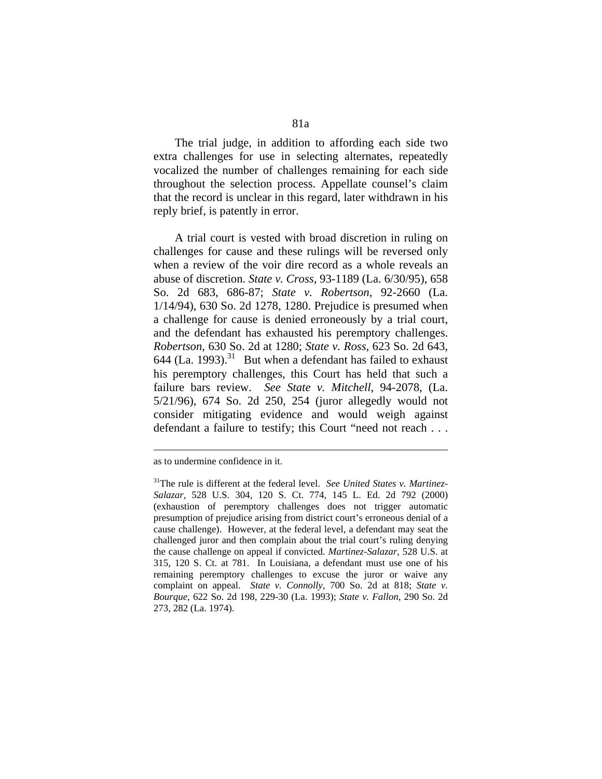The trial judge, in addition to affording each side two extra challenges for use in selecting alternates, repeatedly vocalized the number of challenges remaining for each side throughout the selection process. Appellate counsel's claim that the record is unclear in this regard, later withdrawn in his reply brief, is patently in error.

 A trial court is vested with broad discretion in ruling on challenges for cause and these rulings will be reversed only when a review of the voir dire record as a whole reveals an abuse of discretion. *State v. Cross*, 93-1189 (La. 6/30/95), 658 So. 2d 683, 686-87; *State v. Robertson*, 92-2660 (La. 1/14/94), 630 So. 2d 1278, 1280. Prejudice is presumed when a challenge for cause is denied erroneously by a trial court, and the defendant has exhausted his peremptory challenges. *Robertson*, 630 So. 2d at 1280; *State v. Ross*, 623 So. 2d 643, 644 (La.  $1993$ ).<sup>31</sup> But when a defendant has failed to exhaust his peremptory challenges, this Court has held that such a failure bars review. *See State v. Mitchell*, 94-2078, (La. 5/21/96), 674 So. 2d 250, 254 (juror allegedly would not consider mitigating evidence and would weigh against defendant a failure to testify; this Court "need not reach . . .

1

as to undermine confidence in it.

<sup>31</sup>The rule is different at the federal level. *See United States v. Martinez-Salazar*, 528 U.S. 304, 120 S. Ct. 774, 145 L. Ed. 2d 792 (2000) (exhaustion of peremptory challenges does not trigger automatic presumption of prejudice arising from district court's erroneous denial of a cause challenge). However, at the federal level, a defendant may seat the challenged juror and then complain about the trial court's ruling denying the cause challenge on appeal if convicted. *Martinez-Salazar*, 528 U.S. at 315, 120 S. Ct. at 781. In Louisiana, a defendant must use one of his remaining peremptory challenges to excuse the juror or waive any complaint on appeal. *State v. Connolly*, 700 So. 2d at 818; *State v. Bourque*, 622 So. 2d 198, 229-30 (La. 1993); *State v. Fallon*, 290 So. 2d 273, 282 (La. 1974).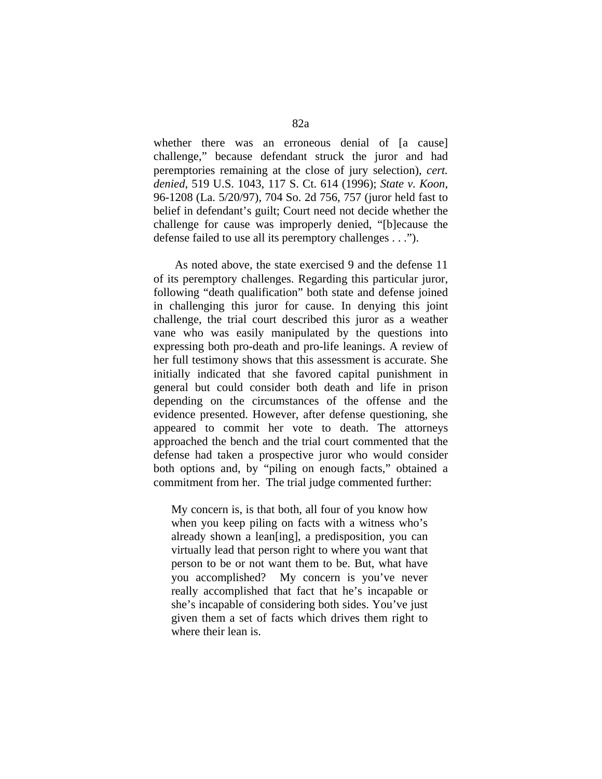whether there was an erroneous denial of [a cause] challenge," because defendant struck the juror and had peremptories remaining at the close of jury selection), *cert. denied*, 519 U.S. 1043, 117 S. Ct. 614 (1996); *State v. Koon*, 96-1208 (La. 5/20/97), 704 So. 2d 756, 757 (juror held fast to belief in defendant's guilt; Court need not decide whether the challenge for cause was improperly denied, "[b]ecause the defense failed to use all its peremptory challenges . . .").

 As noted above, the state exercised 9 and the defense 11 of its peremptory challenges. Regarding this particular juror, following "death qualification" both state and defense joined in challenging this juror for cause. In denying this joint challenge, the trial court described this juror as a weather vane who was easily manipulated by the questions into expressing both pro-death and pro-life leanings. A review of her full testimony shows that this assessment is accurate. She initially indicated that she favored capital punishment in general but could consider both death and life in prison depending on the circumstances of the offense and the evidence presented. However, after defense questioning, she appeared to commit her vote to death. The attorneys approached the bench and the trial court commented that the defense had taken a prospective juror who would consider both options and, by "piling on enough facts," obtained a commitment from her. The trial judge commented further:

My concern is, is that both, all four of you know how when you keep piling on facts with a witness who's already shown a lean[ing], a predisposition, you can virtually lead that person right to where you want that person to be or not want them to be. But, what have you accomplished? My concern is you've never really accomplished that fact that he's incapable or she's incapable of considering both sides. You've just given them a set of facts which drives them right to where their lean is.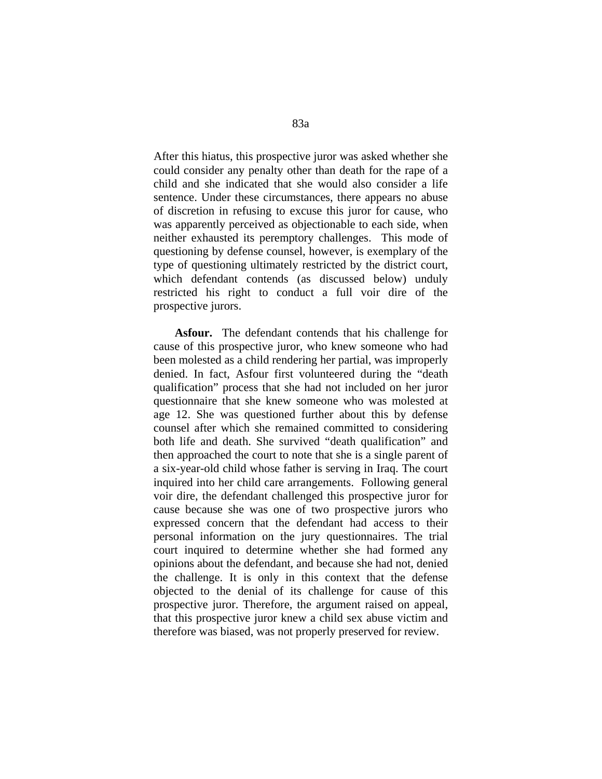After this hiatus, this prospective juror was asked whether she could consider any penalty other than death for the rape of a child and she indicated that she would also consider a life sentence. Under these circumstances, there appears no abuse of discretion in refusing to excuse this juror for cause, who was apparently perceived as objectionable to each side, when neither exhausted its peremptory challenges. This mode of questioning by defense counsel, however, is exemplary of the type of questioning ultimately restricted by the district court, which defendant contends (as discussed below) unduly restricted his right to conduct a full voir dire of the prospective jurors.

 **Asfour.** The defendant contends that his challenge for cause of this prospective juror, who knew someone who had been molested as a child rendering her partial, was improperly denied. In fact, Asfour first volunteered during the "death qualification" process that she had not included on her juror questionnaire that she knew someone who was molested at age 12. She was questioned further about this by defense counsel after which she remained committed to considering both life and death. She survived "death qualification" and then approached the court to note that she is a single parent of a six-year-old child whose father is serving in Iraq. The court inquired into her child care arrangements. Following general voir dire, the defendant challenged this prospective juror for cause because she was one of two prospective jurors who expressed concern that the defendant had access to their personal information on the jury questionnaires. The trial court inquired to determine whether she had formed any opinions about the defendant, and because she had not, denied the challenge. It is only in this context that the defense objected to the denial of its challenge for cause of this prospective juror. Therefore, the argument raised on appeal, that this prospective juror knew a child sex abuse victim and therefore was biased, was not properly preserved for review.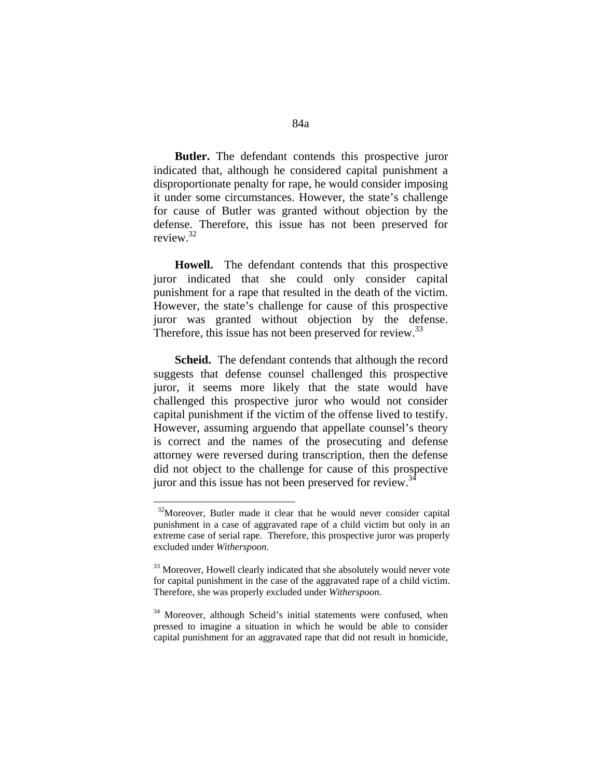**Butler.** The defendant contends this prospective juror indicated that, although he considered capital punishment a disproportionate penalty for rape, he would consider imposing it under some circumstances. However, the state's challenge for cause of Butler was granted without objection by the defense. Therefore, this issue has not been preserved for review.32

 **Howell.** The defendant contends that this prospective juror indicated that she could only consider capital punishment for a rape that resulted in the death of the victim. However, the state's challenge for cause of this prospective juror was granted without objection by the defense. Therefore, this issue has not been preserved for review.<sup>33</sup>

 **Scheid.** The defendant contends that although the record suggests that defense counsel challenged this prospective juror, it seems more likely that the state would have challenged this prospective juror who would not consider capital punishment if the victim of the offense lived to testify. However, assuming arguendo that appellate counsel's theory is correct and the names of the prosecuting and defense attorney were reversed during transcription, then the defense did not object to the challenge for cause of this prospective juror and this issue has not been preserved for review.<sup>34</sup>

<sup>&</sup>lt;sup>32</sup>Moreover, Butler made it clear that he would never consider capital punishment in a case of aggravated rape of a child victim but only in an extreme case of serial rape. Therefore, this prospective juror was properly excluded under *Witherspoon*.

<sup>&</sup>lt;sup>33</sup> Moreover, Howell clearly indicated that she absolutely would never vote for capital punishment in the case of the aggravated rape of a child victim. Therefore, she was properly excluded under *Witherspoon*.

<sup>&</sup>lt;sup>34</sup> Moreover, although Scheid's initial statements were confused, when pressed to imagine a situation in which he would be able to consider capital punishment for an aggravated rape that did not result in homicide,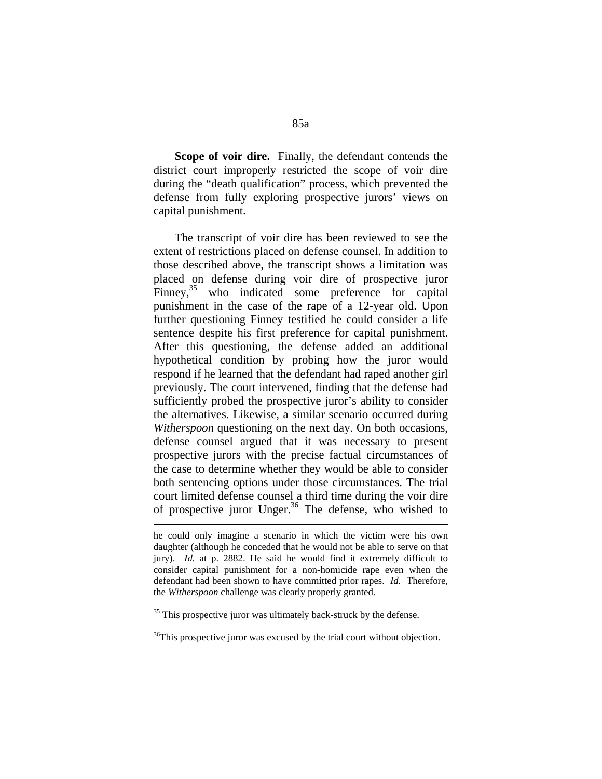**Scope of voir dire.** Finally, the defendant contends the district court improperly restricted the scope of voir dire during the "death qualification" process, which prevented the defense from fully exploring prospective jurors' views on capital punishment.

 The transcript of voir dire has been reviewed to see the extent of restrictions placed on defense counsel. In addition to those described above, the transcript shows a limitation was placed on defense during voir dire of prospective juror Finney,<sup>35</sup> who indicated some preference for capital punishment in the case of the rape of a 12-year old. Upon further questioning Finney testified he could consider a life sentence despite his first preference for capital punishment. After this questioning, the defense added an additional hypothetical condition by probing how the juror would respond if he learned that the defendant had raped another girl previously. The court intervened, finding that the defense had sufficiently probed the prospective juror's ability to consider the alternatives. Likewise, a similar scenario occurred during *Witherspoon* questioning on the next day. On both occasions, defense counsel argued that it was necessary to present prospective jurors with the precise factual circumstances of the case to determine whether they would be able to consider both sentencing options under those circumstances. The trial court limited defense counsel a third time during the voir dire of prospective juror Unger.<sup>36</sup> The defense, who wished to

1

he could only imagine a scenario in which the victim were his own daughter (although he conceded that he would not be able to serve on that jury). *Id.* at p. 2882. He said he would find it extremely difficult to consider capital punishment for a non-homicide rape even when the defendant had been shown to have committed prior rapes. *Id.* Therefore, the *Witherspoon* challenge was clearly properly granted.

<sup>&</sup>lt;sup>35</sup> This prospective juror was ultimately back-struck by the defense.

<sup>&</sup>lt;sup>36</sup>This prospective juror was excused by the trial court without objection.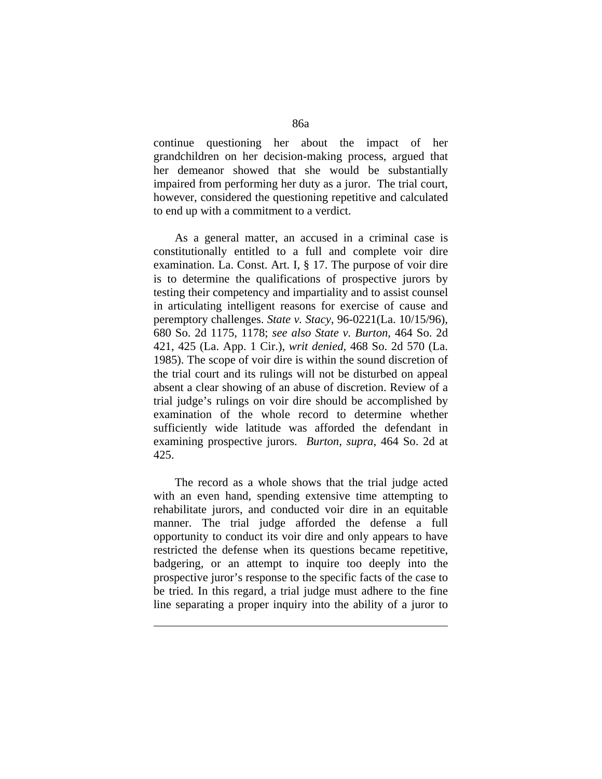continue questioning her about the impact of her grandchildren on her decision-making process, argued that her demeanor showed that she would be substantially impaired from performing her duty as a juror. The trial court, however, considered the questioning repetitive and calculated to end up with a commitment to a verdict.

 As a general matter, an accused in a criminal case is constitutionally entitled to a full and complete voir dire examination. La. Const. Art. I, § 17. The purpose of voir dire is to determine the qualifications of prospective jurors by testing their competency and impartiality and to assist counsel in articulating intelligent reasons for exercise of cause and peremptory challenges. *State v. Stacy*, 96-0221(La. 10/15/96), 680 So. 2d 1175, 1178; *see also State v. Burton*, 464 So. 2d 421, 425 (La. App. 1 Cir.), *writ denied*, 468 So. 2d 570 (La. 1985). The scope of voir dire is within the sound discretion of the trial court and its rulings will not be disturbed on appeal absent a clear showing of an abuse of discretion. Review of a trial judge's rulings on voir dire should be accomplished by examination of the whole record to determine whether sufficiently wide latitude was afforded the defendant in examining prospective jurors. *Burton*, *supra*, 464 So. 2d at 425.

 The record as a whole shows that the trial judge acted with an even hand, spending extensive time attempting to rehabilitate jurors, and conducted voir dire in an equitable manner. The trial judge afforded the defense a full opportunity to conduct its voir dire and only appears to have restricted the defense when its questions became repetitive, badgering, or an attempt to inquire too deeply into the prospective juror's response to the specific facts of the case to be tried. In this regard, a trial judge must adhere to the fine line separating a proper inquiry into the ability of a juror to

1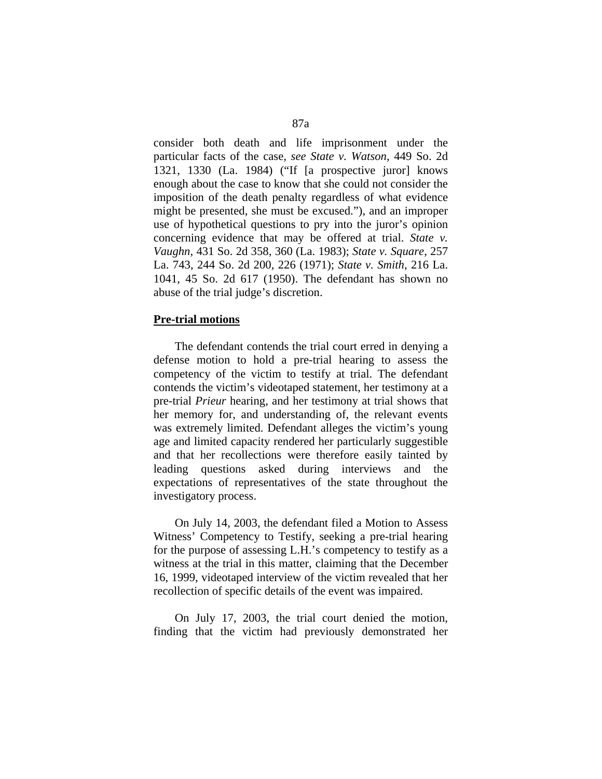consider both death and life imprisonment under the particular facts of the case, *see State v. Watson*, 449 So. 2d 1321, 1330 (La. 1984) ("If [a prospective juror] knows enough about the case to know that she could not consider the imposition of the death penalty regardless of what evidence might be presented, she must be excused."), and an improper use of hypothetical questions to pry into the juror's opinion concerning evidence that may be offered at trial. *State v. Vaughn*, 431 So. 2d 358, 360 (La. 1983); *State v. Square*, 257 La. 743, 244 So. 2d 200, 226 (1971); *State v. Smith*, 216 La. 1041, 45 So. 2d 617 (1950). The defendant has shown no abuse of the trial judge's discretion.

#### **Pre-trial motions**

 The defendant contends the trial court erred in denying a defense motion to hold a pre-trial hearing to assess the competency of the victim to testify at trial. The defendant contends the victim's videotaped statement, her testimony at a pre-trial *Prieur* hearing, and her testimony at trial shows that her memory for, and understanding of, the relevant events was extremely limited. Defendant alleges the victim's young age and limited capacity rendered her particularly suggestible and that her recollections were therefore easily tainted by leading questions asked during interviews and the expectations of representatives of the state throughout the investigatory process.

 On July 14, 2003, the defendant filed a Motion to Assess Witness' Competency to Testify, seeking a pre-trial hearing for the purpose of assessing L.H.'s competency to testify as a witness at the trial in this matter, claiming that the December 16, 1999, videotaped interview of the victim revealed that her recollection of specific details of the event was impaired.

 On July 17, 2003, the trial court denied the motion, finding that the victim had previously demonstrated her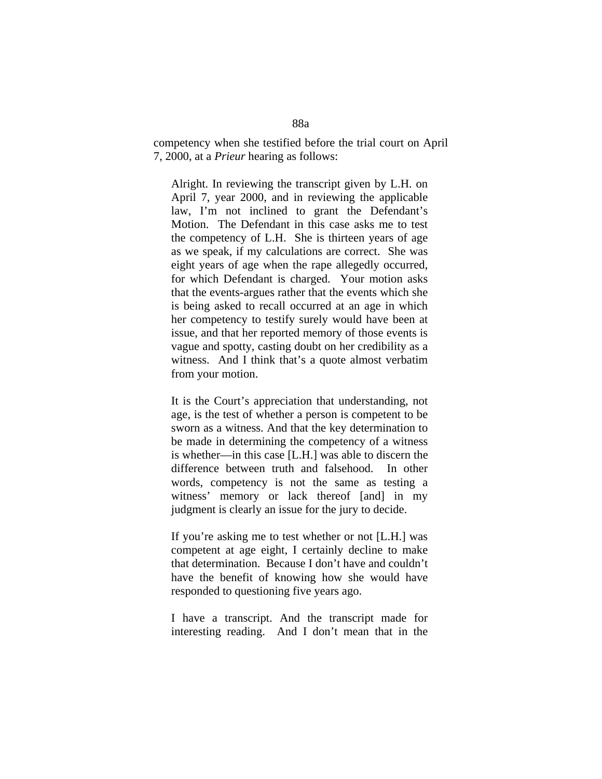competency when she testified before the trial court on April 7, 2000, at a *Prieur* hearing as follows:

Alright. In reviewing the transcript given by L.H. on April 7, year 2000, and in reviewing the applicable law, I'm not inclined to grant the Defendant's Motion. The Defendant in this case asks me to test the competency of L.H. She is thirteen years of age as we speak, if my calculations are correct. She was eight years of age when the rape allegedly occurred, for which Defendant is charged. Your motion asks that the events-argues rather that the events which she is being asked to recall occurred at an age in which her competency to testify surely would have been at issue, and that her reported memory of those events is vague and spotty, casting doubt on her credibility as a witness. And I think that's a quote almost verbatim from your motion.

It is the Court's appreciation that understanding, not age, is the test of whether a person is competent to be sworn as a witness. And that the key determination to be made in determining the competency of a witness is whether—in this case [L.H.] was able to discern the difference between truth and falsehood. In other words, competency is not the same as testing a witness' memory or lack thereof [and] in my judgment is clearly an issue for the jury to decide.

If you're asking me to test whether or not [L.H.] was competent at age eight, I certainly decline to make that determination. Because I don't have and couldn't have the benefit of knowing how she would have responded to questioning five years ago.

I have a transcript. And the transcript made for interesting reading. And I don't mean that in the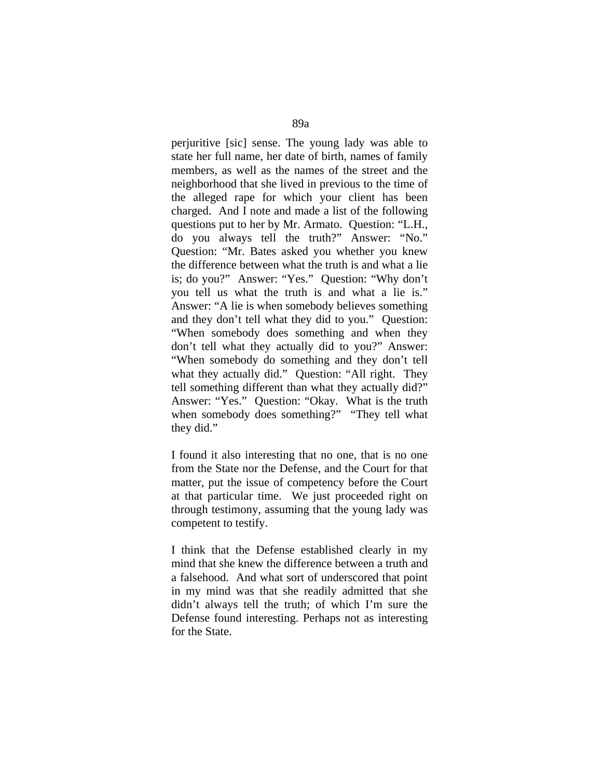perjuritive [sic] sense. The young lady was able to state her full name, her date of birth, names of family members, as well as the names of the street and the neighborhood that she lived in previous to the time of the alleged rape for which your client has been charged. And I note and made a list of the following questions put to her by Mr. Armato. Question: "L.H., do you always tell the truth?" Answer: "No." Question: "Mr. Bates asked you whether you knew the difference between what the truth is and what a lie is; do you?" Answer: "Yes." Question: "Why don't you tell us what the truth is and what a lie is." Answer: "A lie is when somebody believes something and they don't tell what they did to you." Question: "When somebody does something and when they don't tell what they actually did to you?" Answer: "When somebody do something and they don't tell what they actually did." Question: "All right. They tell something different than what they actually did?" Answer: "Yes." Question: "Okay. What is the truth when somebody does something?" "They tell what they did."

I found it also interesting that no one, that is no one from the State nor the Defense, and the Court for that matter, put the issue of competency before the Court at that particular time. We just proceeded right on through testimony, assuming that the young lady was competent to testify.

I think that the Defense established clearly in my mind that she knew the difference between a truth and a falsehood. And what sort of underscored that point in my mind was that she readily admitted that she didn't always tell the truth; of which I'm sure the Defense found interesting. Perhaps not as interesting for the State.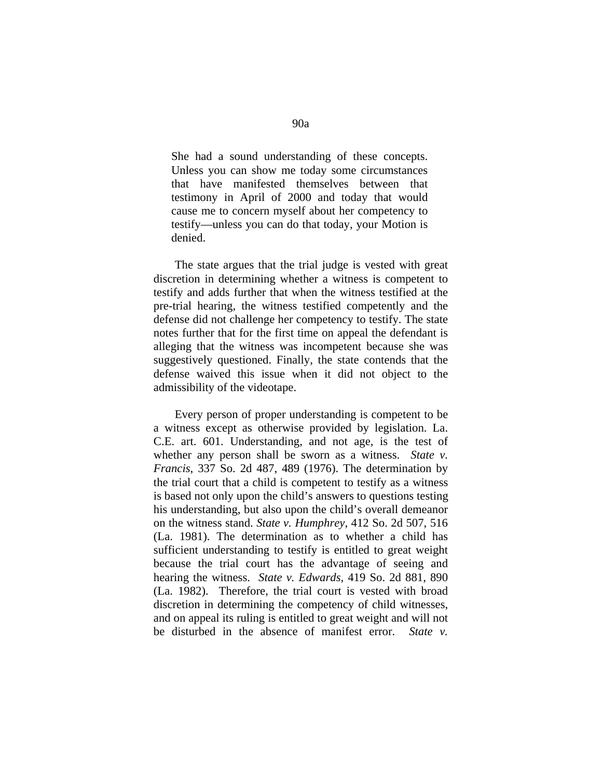She had a sound understanding of these concepts. Unless you can show me today some circumstances that have manifested themselves between that testimony in April of 2000 and today that would cause me to concern myself about her competency to testify—unless you can do that today, your Motion is denied.

 The state argues that the trial judge is vested with great discretion in determining whether a witness is competent to testify and adds further that when the witness testified at the pre-trial hearing, the witness testified competently and the defense did not challenge her competency to testify. The state notes further that for the first time on appeal the defendant is alleging that the witness was incompetent because she was suggestively questioned. Finally, the state contends that the defense waived this issue when it did not object to the admissibility of the videotape.

 Every person of proper understanding is competent to be a witness except as otherwise provided by legislation. La. C.E. art. 601. Understanding, and not age, is the test of whether any person shall be sworn as a witness. *State v. Francis*, 337 So. 2d 487, 489 (1976). The determination by the trial court that a child is competent to testify as a witness is based not only upon the child's answers to questions testing his understanding, but also upon the child's overall demeanor on the witness stand. *State v. Humphrey*, 412 So. 2d 507, 516 (La. 1981). The determination as to whether a child has sufficient understanding to testify is entitled to great weight because the trial court has the advantage of seeing and hearing the witness. *State v. Edwards*, 419 So. 2d 881, 890 (La. 1982). Therefore, the trial court is vested with broad discretion in determining the competency of child witnesses, and on appeal its ruling is entitled to great weight and will not be disturbed in the absence of manifest error. *State v.*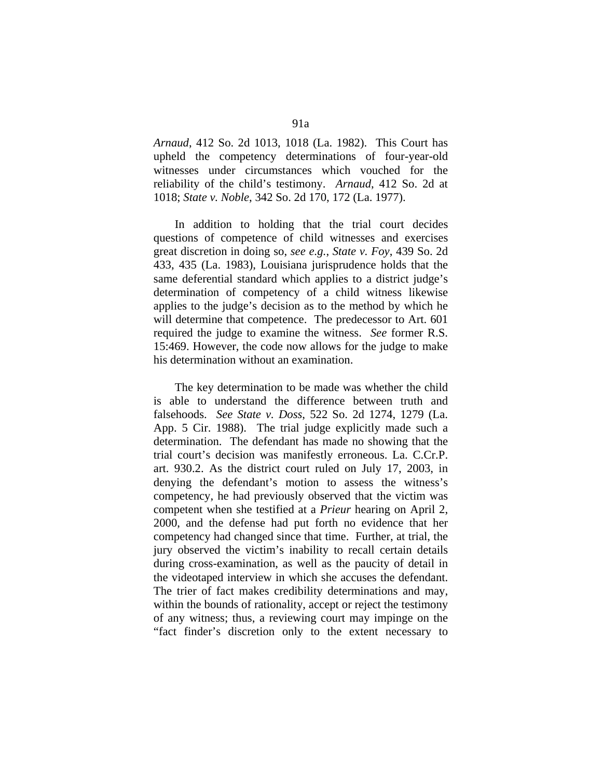*Arnaud*, 412 So. 2d 1013, 1018 (La. 1982). This Court has upheld the competency determinations of four-year-old witnesses under circumstances which vouched for the reliability of the child's testimony. *Arnaud*, 412 So. 2d at 1018; *State v. Noble*, 342 So. 2d 170, 172 (La. 1977).

 In addition to holding that the trial court decides questions of competence of child witnesses and exercises great discretion in doing so, *see e.g.*, *State v. Foy*, 439 So. 2d 433, 435 (La. 1983), Louisiana jurisprudence holds that the same deferential standard which applies to a district judge's determination of competency of a child witness likewise applies to the judge's decision as to the method by which he will determine that competence. The predecessor to Art. 601 required the judge to examine the witness. *See* former R.S. 15:469. However, the code now allows for the judge to make his determination without an examination.

 The key determination to be made was whether the child is able to understand the difference between truth and falsehoods. *See State v. Doss*, 522 So. 2d 1274, 1279 (La. App. 5 Cir. 1988). The trial judge explicitly made such a determination. The defendant has made no showing that the trial court's decision was manifestly erroneous. La. C.Cr.P. art. 930.2. As the district court ruled on July 17, 2003, in denying the defendant's motion to assess the witness's competency, he had previously observed that the victim was competent when she testified at a *Prieur* hearing on April 2, 2000, and the defense had put forth no evidence that her competency had changed since that time. Further, at trial, the jury observed the victim's inability to recall certain details during cross-examination, as well as the paucity of detail in the videotaped interview in which she accuses the defendant. The trier of fact makes credibility determinations and may, within the bounds of rationality, accept or reject the testimony of any witness; thus, a reviewing court may impinge on the "fact finder's discretion only to the extent necessary to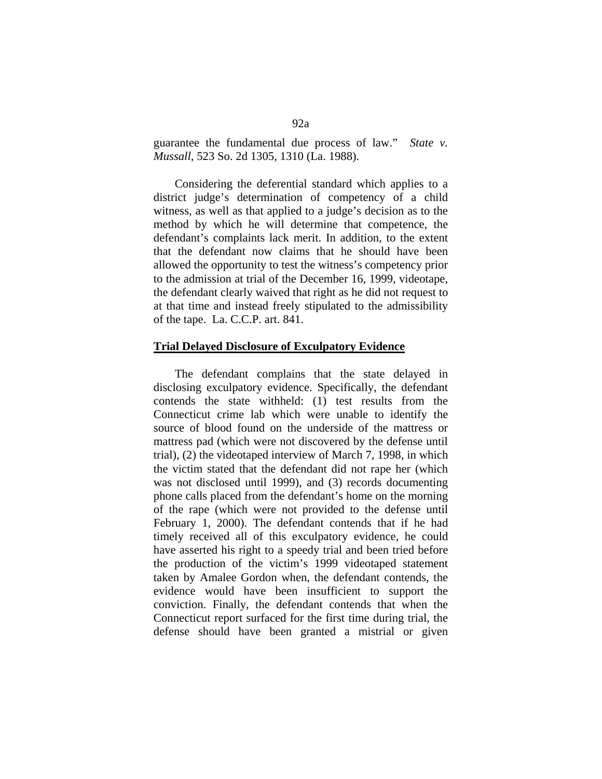guarantee the fundamental due process of law." *State v. Mussall*, 523 So. 2d 1305, 1310 (La. 1988).

 Considering the deferential standard which applies to a district judge's determination of competency of a child witness, as well as that applied to a judge's decision as to the method by which he will determine that competence, the defendant's complaints lack merit. In addition, to the extent that the defendant now claims that he should have been allowed the opportunity to test the witness's competency prior to the admission at trial of the December 16, 1999, videotape, the defendant clearly waived that right as he did not request to at that time and instead freely stipulated to the admissibility of the tape. La. C.C.P. art. 841.

## **Trial Delayed Disclosure of Exculpatory Evidence**

 The defendant complains that the state delayed in disclosing exculpatory evidence. Specifically, the defendant contends the state withheld: (1) test results from the Connecticut crime lab which were unable to identify the source of blood found on the underside of the mattress or mattress pad (which were not discovered by the defense until trial), (2) the videotaped interview of March 7, 1998, in which the victim stated that the defendant did not rape her (which was not disclosed until 1999), and (3) records documenting phone calls placed from the defendant's home on the morning of the rape (which were not provided to the defense until February 1, 2000). The defendant contends that if he had timely received all of this exculpatory evidence, he could have asserted his right to a speedy trial and been tried before the production of the victim's 1999 videotaped statement taken by Amalee Gordon when, the defendant contends, the evidence would have been insufficient to support the conviction. Finally, the defendant contends that when the Connecticut report surfaced for the first time during trial, the defense should have been granted a mistrial or given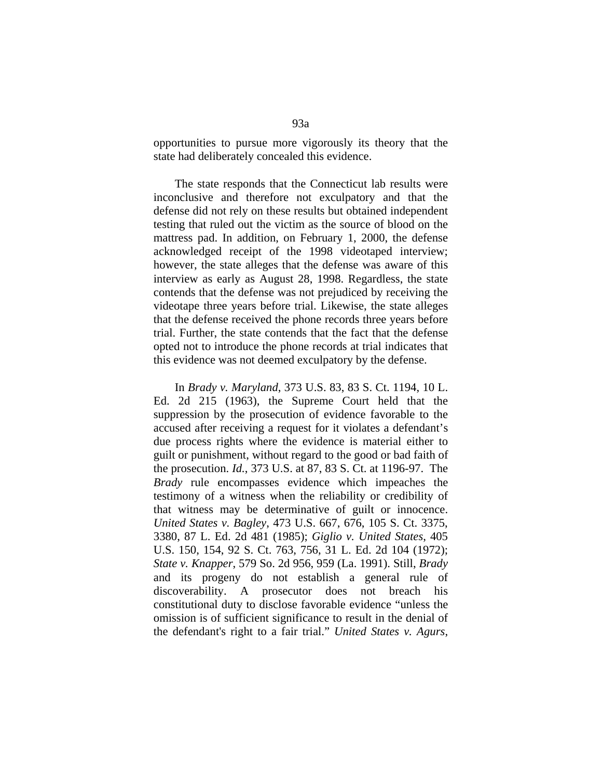opportunities to pursue more vigorously its theory that the state had deliberately concealed this evidence.

 The state responds that the Connecticut lab results were inconclusive and therefore not exculpatory and that the defense did not rely on these results but obtained independent testing that ruled out the victim as the source of blood on the mattress pad. In addition, on February 1, 2000, the defense acknowledged receipt of the 1998 videotaped interview; however, the state alleges that the defense was aware of this interview as early as August 28, 1998. Regardless, the state contends that the defense was not prejudiced by receiving the videotape three years before trial. Likewise, the state alleges that the defense received the phone records three years before trial. Further, the state contends that the fact that the defense opted not to introduce the phone records at trial indicates that this evidence was not deemed exculpatory by the defense.

 In *Brady v. Maryland*, 373 U.S. 83, 83 S. Ct. 1194, 10 L. Ed. 2d 215 (1963), the Supreme Court held that the suppression by the prosecution of evidence favorable to the accused after receiving a request for it violates a defendant's due process rights where the evidence is material either to guilt or punishment, without regard to the good or bad faith of the prosecution. *Id.*, 373 U.S. at 87, 83 S. Ct. at 1196-97. The *Brady* rule encompasses evidence which impeaches the testimony of a witness when the reliability or credibility of that witness may be determinative of guilt or innocence. *United States v. Bagley*, 473 U.S. 667, 676, 105 S. Ct. 3375, 3380, 87 L. Ed. 2d 481 (1985); *Giglio v. United States*, 405 U.S. 150, 154, 92 S. Ct. 763, 756, 31 L. Ed. 2d 104 (1972); *State v. Knapper*, 579 So. 2d 956, 959 (La. 1991). Still, *Brady* and its progeny do not establish a general rule of discoverability. A prosecutor does not breach his constitutional duty to disclose favorable evidence "unless the omission is of sufficient significance to result in the denial of the defendant's right to a fair trial." *United States v. Agurs*,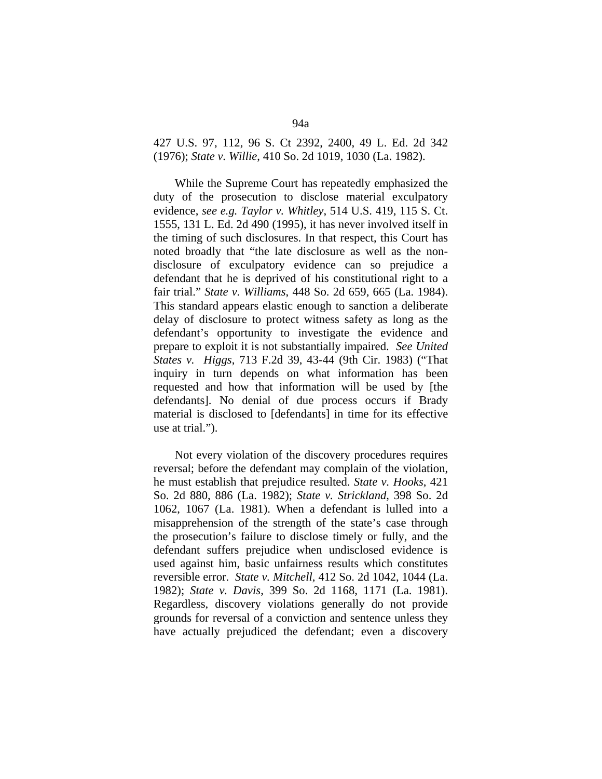# 427 U.S. 97, 112, 96 S. Ct 2392, 2400, 49 L. Ed. 2d 342 (1976); *State v. Willie*, 410 So. 2d 1019, 1030 (La. 1982).

 While the Supreme Court has repeatedly emphasized the duty of the prosecution to disclose material exculpatory evidence, *see e.g. Taylor v. Whitley*, 514 U.S. 419, 115 S. Ct. 1555, 131 L. Ed. 2d 490 (1995), it has never involved itself in the timing of such disclosures. In that respect, this Court has noted broadly that "the late disclosure as well as the nondisclosure of exculpatory evidence can so prejudice a defendant that he is deprived of his constitutional right to a fair trial." *State v. Williams*, 448 So. 2d 659, 665 (La. 1984). This standard appears elastic enough to sanction a deliberate delay of disclosure to protect witness safety as long as the defendant's opportunity to investigate the evidence and prepare to exploit it is not substantially impaired. *See United States v. Higgs*, 713 F.2d 39, 43-44 (9th Cir. 1983) ("That inquiry in turn depends on what information has been requested and how that information will be used by [the defendants]. No denial of due process occurs if Brady material is disclosed to [defendants] in time for its effective use at trial.").

 Not every violation of the discovery procedures requires reversal; before the defendant may complain of the violation, he must establish that prejudice resulted. *State v. Hooks*, 421 So. 2d 880, 886 (La. 1982); *State v. Strickland*, 398 So. 2d 1062, 1067 (La. 1981). When a defendant is lulled into a misapprehension of the strength of the state's case through the prosecution's failure to disclose timely or fully, and the defendant suffers prejudice when undisclosed evidence is used against him, basic unfairness results which constitutes reversible error. *State v. Mitchell*, 412 So. 2d 1042, 1044 (La. 1982); *State v. Davis*, 399 So. 2d 1168, 1171 (La. 1981). Regardless, discovery violations generally do not provide grounds for reversal of a conviction and sentence unless they have actually prejudiced the defendant; even a discovery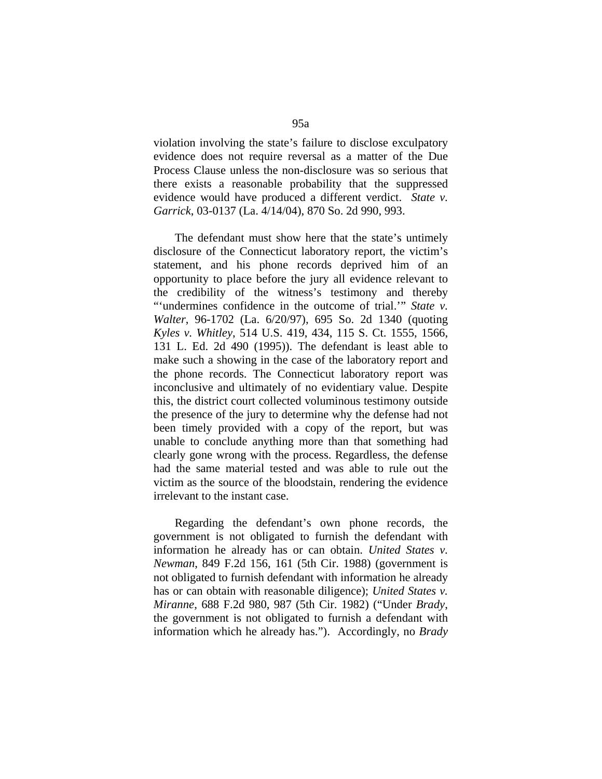violation involving the state's failure to disclose exculpatory evidence does not require reversal as a matter of the Due Process Clause unless the non-disclosure was so serious that there exists a reasonable probability that the suppressed evidence would have produced a different verdict. *State v. Garrick*, 03-0137 (La. 4/14/04), 870 So. 2d 990, 993.

 The defendant must show here that the state's untimely disclosure of the Connecticut laboratory report, the victim's statement, and his phone records deprived him of an opportunity to place before the jury all evidence relevant to the credibility of the witness's testimony and thereby "'undermines confidence in the outcome of trial."" *State v. Walter*, 96-1702 (La. 6/20/97), 695 So. 2d 1340 (quoting *Kyles v. Whitley*, 514 U.S. 419, 434, 115 S. Ct. 1555, 1566, 131 L. Ed. 2d 490 (1995)). The defendant is least able to make such a showing in the case of the laboratory report and the phone records. The Connecticut laboratory report was inconclusive and ultimately of no evidentiary value. Despite this, the district court collected voluminous testimony outside the presence of the jury to determine why the defense had not been timely provided with a copy of the report, but was unable to conclude anything more than that something had clearly gone wrong with the process. Regardless, the defense had the same material tested and was able to rule out the victim as the source of the bloodstain, rendering the evidence irrelevant to the instant case.

 Regarding the defendant's own phone records, the government is not obligated to furnish the defendant with information he already has or can obtain. *United States v. Newman*, 849 F.2d 156, 161 (5th Cir. 1988) (government is not obligated to furnish defendant with information he already has or can obtain with reasonable diligence); *United States v. Miranne*, 688 F.2d 980, 987 (5th Cir. 1982) ("Under *Brady*, the government is not obligated to furnish a defendant with information which he already has."). Accordingly, no *Brady*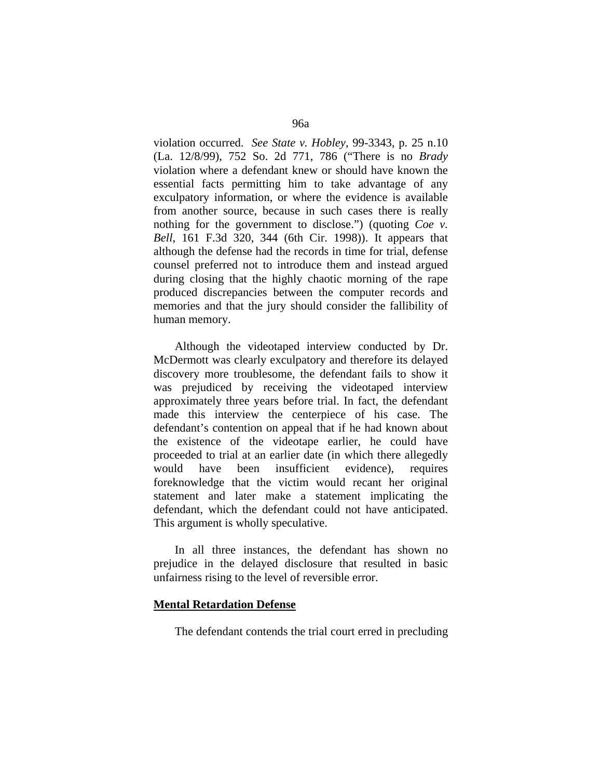violation occurred. *See State v. Hobley*, 99-3343, p. 25 n.10 (La. 12/8/99), 752 So. 2d 771, 786 ("There is no *Brady* violation where a defendant knew or should have known the essential facts permitting him to take advantage of any exculpatory information, or where the evidence is available from another source, because in such cases there is really nothing for the government to disclose.") (quoting *Coe v. Bell*, 161 F.3d 320, 344 (6th Cir. 1998)). It appears that although the defense had the records in time for trial, defense counsel preferred not to introduce them and instead argued during closing that the highly chaotic morning of the rape produced discrepancies between the computer records and memories and that the jury should consider the fallibility of human memory.

 Although the videotaped interview conducted by Dr. McDermott was clearly exculpatory and therefore its delayed discovery more troublesome, the defendant fails to show it was prejudiced by receiving the videotaped interview approximately three years before trial. In fact, the defendant made this interview the centerpiece of his case. The defendant's contention on appeal that if he had known about the existence of the videotape earlier, he could have proceeded to trial at an earlier date (in which there allegedly would have been insufficient evidence), requires foreknowledge that the victim would recant her original statement and later make a statement implicating the defendant, which the defendant could not have anticipated. This argument is wholly speculative.

 In all three instances, the defendant has shown no prejudice in the delayed disclosure that resulted in basic unfairness rising to the level of reversible error.

#### **Mental Retardation Defense**

The defendant contends the trial court erred in precluding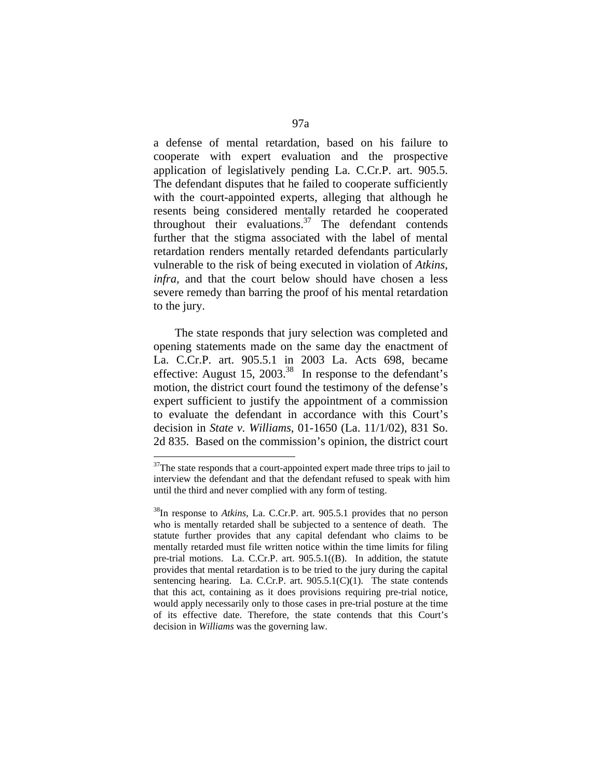a defense of mental retardation, based on his failure to cooperate with expert evaluation and the prospective application of legislatively pending La. C.Cr.P. art. 905.5. The defendant disputes that he failed to cooperate sufficiently with the court-appointed experts, alleging that although he resents being considered mentally retarded he cooperated throughout their evaluations.<sup>37</sup> The defendant contends further that the stigma associated with the label of mental retardation renders mentally retarded defendants particularly vulnerable to the risk of being executed in violation of *Atkins*, *infra,* and that the court below should have chosen a less severe remedy than barring the proof of his mental retardation to the jury.

 The state responds that jury selection was completed and opening statements made on the same day the enactment of La. C.Cr.P. art. 905.5.1 in 2003 La. Acts 698, became effective: August 15, 2003.<sup>38</sup> In response to the defendant's motion, the district court found the testimony of the defense's expert sufficient to justify the appointment of a commission to evaluate the defendant in accordance with this Court's decision in *State v. Williams*, 01-1650 (La. 11/1/02), 831 So. 2d 835. Based on the commission's opinion, the district court

 $37$ The state responds that a court-appointed expert made three trips to jail to interview the defendant and that the defendant refused to speak with him until the third and never complied with any form of testing.

<sup>38</sup>In response to *Atkins*, La. C.Cr.P. art. 905.5.1 provides that no person who is mentally retarded shall be subjected to a sentence of death. The statute further provides that any capital defendant who claims to be mentally retarded must file written notice within the time limits for filing pre-trial motions. La. C.Cr.P. art. 905.5.1((B). In addition, the statute provides that mental retardation is to be tried to the jury during the capital sentencing hearing. La. C.Cr.P. art.  $905.5.1(C)(1)$ . The state contends that this act, containing as it does provisions requiring pre-trial notice, would apply necessarily only to those cases in pre-trial posture at the time of its effective date. Therefore, the state contends that this Court's decision in *Williams* was the governing law.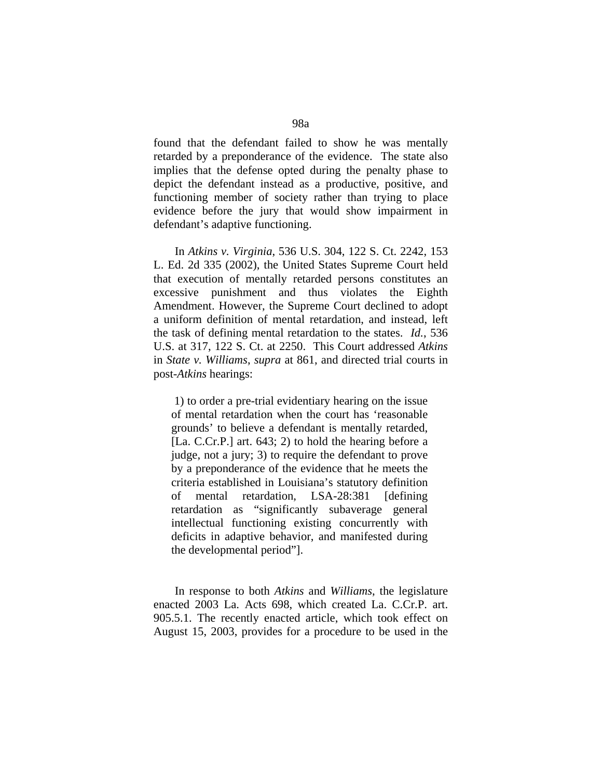found that the defendant failed to show he was mentally retarded by a preponderance of the evidence. The state also implies that the defense opted during the penalty phase to depict the defendant instead as a productive, positive, and functioning member of society rather than trying to place evidence before the jury that would show impairment in defendant's adaptive functioning.

 In *Atkins v. Virginia*, 536 U.S. 304, 122 S. Ct. 2242, 153 L. Ed. 2d 335 (2002), the United States Supreme Court held that execution of mentally retarded persons constitutes an excessive punishment and thus violates the Eighth Amendment. However, the Supreme Court declined to adopt a uniform definition of mental retardation, and instead, left the task of defining mental retardation to the states. *Id.*, 536 U.S. at 317, 122 S. Ct. at 2250. This Court addressed *Atkins* in *State v. Williams*, *supra* at 861, and directed trial courts in post-*Atkins* hearings:

 1) to order a pre-trial evidentiary hearing on the issue of mental retardation when the court has 'reasonable grounds' to believe a defendant is mentally retarded, [La. C.Cr.P.] art. 643; 2) to hold the hearing before a judge, not a jury; 3) to require the defendant to prove by a preponderance of the evidence that he meets the criteria established in Louisiana's statutory definition of mental retardation, LSA-28:381 [defining retardation as "significantly subaverage general intellectual functioning existing concurrently with deficits in adaptive behavior, and manifested during the developmental period"].

 In response to both *Atkins* and *Williams*, the legislature enacted 2003 La. Acts 698, which created La. C.Cr.P. art. 905.5.1. The recently enacted article, which took effect on August 15, 2003, provides for a procedure to be used in the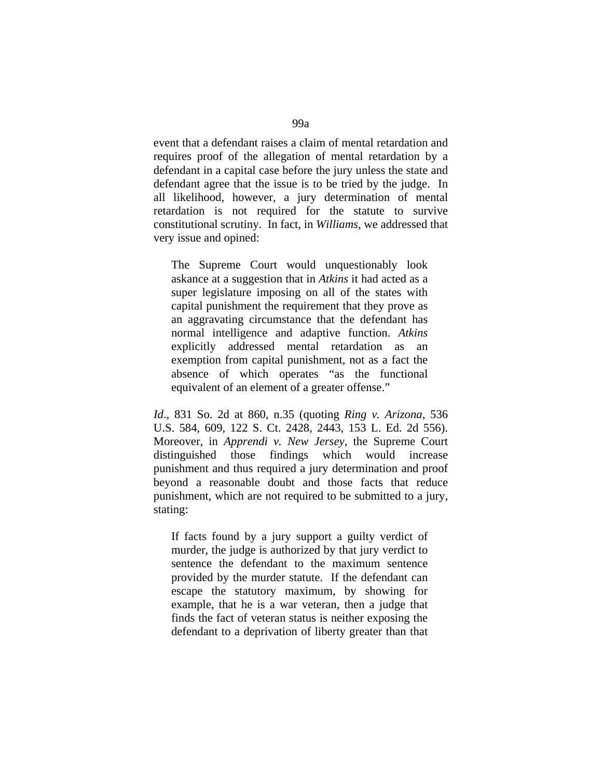event that a defendant raises a claim of mental retardation and requires proof of the allegation of mental retardation by a defendant in a capital case before the jury unless the state and defendant agree that the issue is to be tried by the judge. In all likelihood, however, a jury determination of mental retardation is not required for the statute to survive constitutional scrutiny. In fact, in *Williams*, we addressed that very issue and opined:

The Supreme Court would unquestionably look askance at a suggestion that in *Atkins* it had acted as a super legislature imposing on all of the states with capital punishment the requirement that they prove as an aggravating circumstance that the defendant has normal intelligence and adaptive function. *Atkins*  explicitly addressed mental retardation as an exemption from capital punishment, not as a fact the absence of which operates "as the functional equivalent of an element of a greater offense."

*Id*., 831 So. 2d at 860, n.35 (quoting *Ring v. Arizona*, 536 U.S. 584, 609, 122 S. Ct. 2428, 2443, 153 L. Ed. 2d 556). Moreover, in *Apprendi v. New Jersey*, the Supreme Court distinguished those findings which would increase punishment and thus required a jury determination and proof beyond a reasonable doubt and those facts that reduce punishment, which are not required to be submitted to a jury, stating:

If facts found by a jury support a guilty verdict of murder, the judge is authorized by that jury verdict to sentence the defendant to the maximum sentence provided by the murder statute. If the defendant can escape the statutory maximum, by showing for example, that he is a war veteran, then a judge that finds the fact of veteran status is neither exposing the defendant to a deprivation of liberty greater than that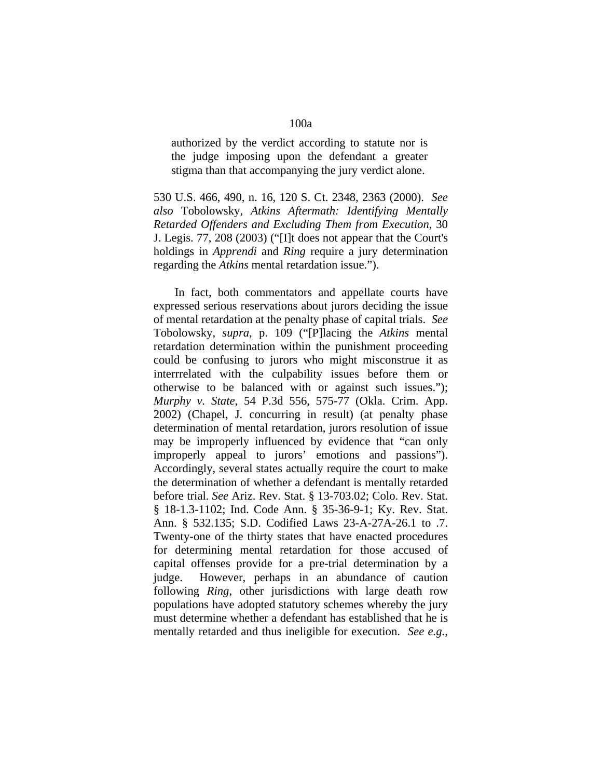authorized by the verdict according to statute nor is the judge imposing upon the defendant a greater stigma than that accompanying the jury verdict alone.

530 U.S. 466, 490, n. 16, 120 S. Ct. 2348, 2363 (2000). *See also* Tobolowsky, *Atkins Aftermath: Identifying Mentally Retarded Offenders and Excluding Them from Execution*, 30 J. Legis. 77, 208 (2003) ("[I]t does not appear that the Court's holdings in *Apprendi* and *Ring* require a jury determination regarding the *Atkins* mental retardation issue.").

 In fact, both commentators and appellate courts have expressed serious reservations about jurors deciding the issue of mental retardation at the penalty phase of capital trials. *See* Tobolowsky, *supra*, p. 109 ("[P]lacing the *Atkins* mental retardation determination within the punishment proceeding could be confusing to jurors who might misconstrue it as interrrelated with the culpability issues before them or otherwise to be balanced with or against such issues."); *Murphy v. State*, 54 P.3d 556, 575-77 (Okla. Crim. App. 2002) (Chapel, J. concurring in result) (at penalty phase determination of mental retardation, jurors resolution of issue may be improperly influenced by evidence that "can only improperly appeal to jurors' emotions and passions"). Accordingly, several states actually require the court to make the determination of whether a defendant is mentally retarded before trial. *See* Ariz. Rev. Stat. § 13-703.02; Colo. Rev. Stat. § 18-1.3-1102; Ind. Code Ann. § 35-36-9-1; Ky. Rev. Stat. Ann. § 532.135; S.D. Codified Laws 23-A-27A-26.1 to .7. Twenty-one of the thirty states that have enacted procedures for determining mental retardation for those accused of capital offenses provide for a pre-trial determination by a judge. However, perhaps in an abundance of caution following *Ring*, other jurisdictions with large death row populations have adopted statutory schemes whereby the jury must determine whether a defendant has established that he is mentally retarded and thus ineligible for execution. *See e.g.*,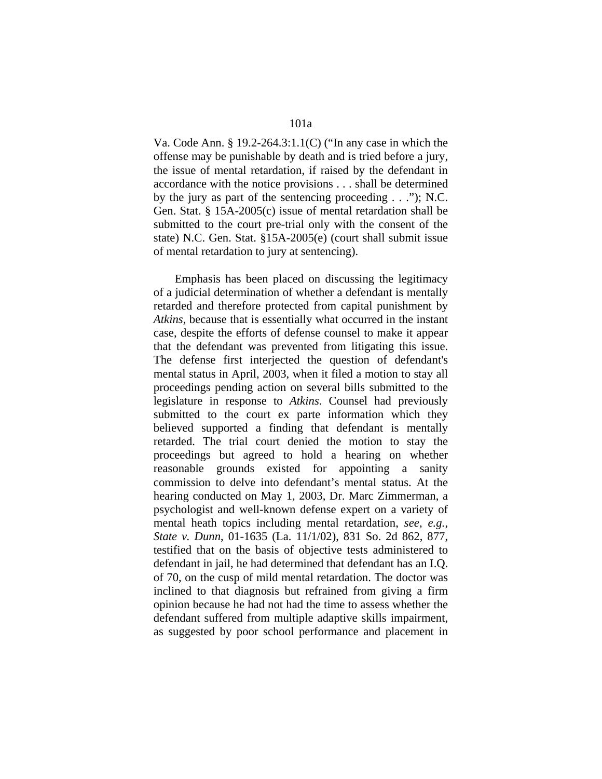Va. Code Ann. § 19.2-264.3:1.1(C) ("In any case in which the offense may be punishable by death and is tried before a jury, the issue of mental retardation, if raised by the defendant in accordance with the notice provisions . . . shall be determined by the jury as part of the sentencing proceeding . . ."); N.C. Gen. Stat. § 15A-2005(c) issue of mental retardation shall be submitted to the court pre-trial only with the consent of the state) N.C. Gen. Stat. §15A-2005(e) (court shall submit issue of mental retardation to jury at sentencing).

 Emphasis has been placed on discussing the legitimacy of a judicial determination of whether a defendant is mentally retarded and therefore protected from capital punishment by *Atkins,* because that is essentially what occurred in the instant case, despite the efforts of defense counsel to make it appear that the defendant was prevented from litigating this issue. The defense first interjected the question of defendant's mental status in April, 2003, when it filed a motion to stay all proceedings pending action on several bills submitted to the legislature in response to *Atkins*. Counsel had previously submitted to the court ex parte information which they believed supported a finding that defendant is mentally retarded. The trial court denied the motion to stay the proceedings but agreed to hold a hearing on whether reasonable grounds existed for appointing a sanity commission to delve into defendant's mental status. At the hearing conducted on May 1, 2003, Dr. Marc Zimmerman, a psychologist and well-known defense expert on a variety of mental heath topics including mental retardation, *see, e.g.*, *State v. Dunn*, 01-1635 (La. 11/1/02), 831 So. 2d 862, 877, testified that on the basis of objective tests administered to defendant in jail, he had determined that defendant has an I.Q. of 70, on the cusp of mild mental retardation. The doctor was inclined to that diagnosis but refrained from giving a firm opinion because he had not had the time to assess whether the defendant suffered from multiple adaptive skills impairment, as suggested by poor school performance and placement in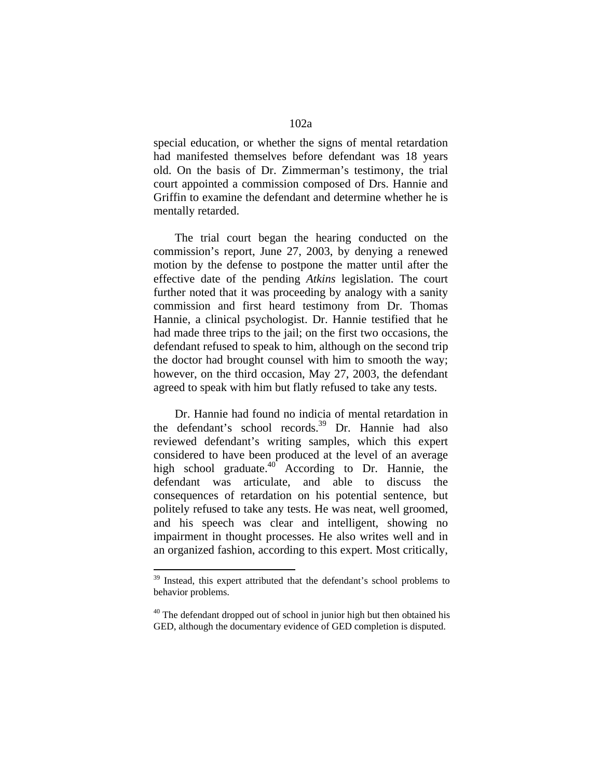special education, or whether the signs of mental retardation had manifested themselves before defendant was 18 years old. On the basis of Dr. Zimmerman's testimony, the trial court appointed a commission composed of Drs. Hannie and Griffin to examine the defendant and determine whether he is mentally retarded.

 The trial court began the hearing conducted on the commission's report, June 27, 2003, by denying a renewed motion by the defense to postpone the matter until after the effective date of the pending *Atkins* legislation. The court further noted that it was proceeding by analogy with a sanity commission and first heard testimony from Dr. Thomas Hannie, a clinical psychologist. Dr. Hannie testified that he had made three trips to the jail; on the first two occasions, the defendant refused to speak to him, although on the second trip the doctor had brought counsel with him to smooth the way; however, on the third occasion, May 27, 2003, the defendant agreed to speak with him but flatly refused to take any tests.

 Dr. Hannie had found no indicia of mental retardation in the defendant's school records.39 Dr. Hannie had also reviewed defendant's writing samples, which this expert considered to have been produced at the level of an average high school graduate. $40^{4}$  According to Dr. Hannie, the defendant was articulate, and able to discuss the consequences of retardation on his potential sentence, but politely refused to take any tests. He was neat, well groomed, and his speech was clear and intelligent, showing no impairment in thought processes. He also writes well and in an organized fashion, according to this expert. Most critically,

<sup>&</sup>lt;sup>39</sup> Instead, this expert attributed that the defendant's school problems to behavior problems.

 $40$  The defendant dropped out of school in junior high but then obtained his GED, although the documentary evidence of GED completion is disputed.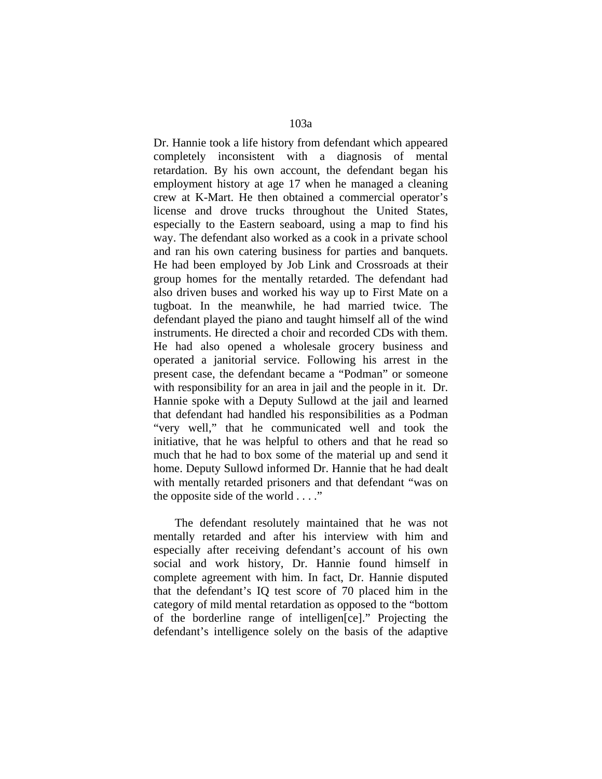Dr. Hannie took a life history from defendant which appeared completely inconsistent with a diagnosis of mental retardation. By his own account, the defendant began his employment history at age 17 when he managed a cleaning crew at K-Mart. He then obtained a commercial operator's license and drove trucks throughout the United States, especially to the Eastern seaboard, using a map to find his way. The defendant also worked as a cook in a private school and ran his own catering business for parties and banquets. He had been employed by Job Link and Crossroads at their group homes for the mentally retarded. The defendant had also driven buses and worked his way up to First Mate on a tugboat. In the meanwhile, he had married twice. The defendant played the piano and taught himself all of the wind instruments. He directed a choir and recorded CDs with them. He had also opened a wholesale grocery business and operated a janitorial service. Following his arrest in the present case, the defendant became a "Podman" or someone with responsibility for an area in jail and the people in it. Dr. Hannie spoke with a Deputy Sullowd at the jail and learned that defendant had handled his responsibilities as a Podman "very well," that he communicated well and took the initiative, that he was helpful to others and that he read so much that he had to box some of the material up and send it home. Deputy Sullowd informed Dr. Hannie that he had dealt with mentally retarded prisoners and that defendant "was on the opposite side of the world . . . ."

 The defendant resolutely maintained that he was not mentally retarded and after his interview with him and especially after receiving defendant's account of his own social and work history, Dr. Hannie found himself in complete agreement with him. In fact, Dr. Hannie disputed that the defendant's IQ test score of 70 placed him in the category of mild mental retardation as opposed to the "bottom of the borderline range of intelligen[ce]." Projecting the defendant's intelligence solely on the basis of the adaptive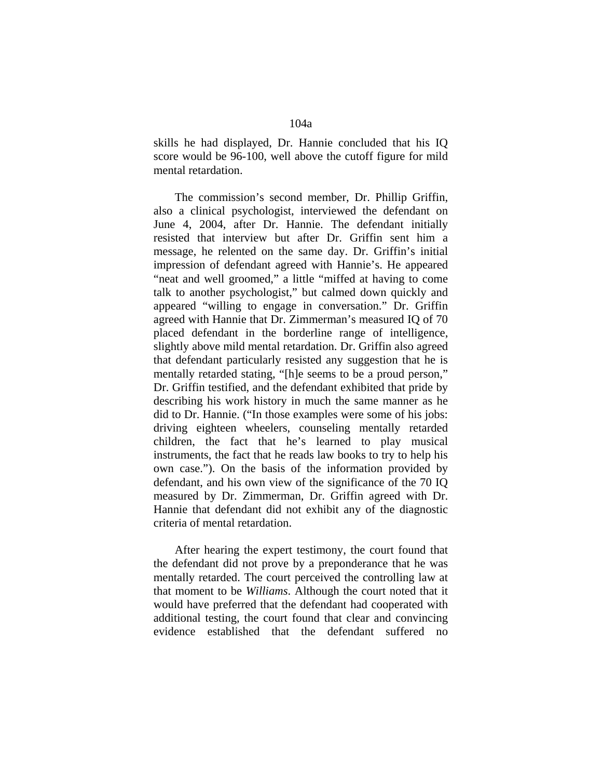skills he had displayed, Dr. Hannie concluded that his IQ score would be 96-100, well above the cutoff figure for mild mental retardation.

 The commission's second member, Dr. Phillip Griffin, also a clinical psychologist, interviewed the defendant on June 4, 2004, after Dr. Hannie. The defendant initially resisted that interview but after Dr. Griffin sent him a message, he relented on the same day. Dr. Griffin's initial impression of defendant agreed with Hannie's. He appeared "neat and well groomed," a little "miffed at having to come talk to another psychologist," but calmed down quickly and appeared "willing to engage in conversation." Dr. Griffin agreed with Hannie that Dr. Zimmerman's measured IQ of 70 placed defendant in the borderline range of intelligence, slightly above mild mental retardation. Dr. Griffin also agreed that defendant particularly resisted any suggestion that he is mentally retarded stating, "[h]e seems to be a proud person," Dr. Griffin testified, and the defendant exhibited that pride by describing his work history in much the same manner as he did to Dr. Hannie. ("In those examples were some of his jobs: driving eighteen wheelers, counseling mentally retarded children, the fact that he's learned to play musical instruments, the fact that he reads law books to try to help his own case."). On the basis of the information provided by defendant, and his own view of the significance of the 70 IQ measured by Dr. Zimmerman, Dr. Griffin agreed with Dr. Hannie that defendant did not exhibit any of the diagnostic criteria of mental retardation.

 After hearing the expert testimony, the court found that the defendant did not prove by a preponderance that he was mentally retarded. The court perceived the controlling law at that moment to be *Williams*. Although the court noted that it would have preferred that the defendant had cooperated with additional testing, the court found that clear and convincing evidence established that the defendant suffered no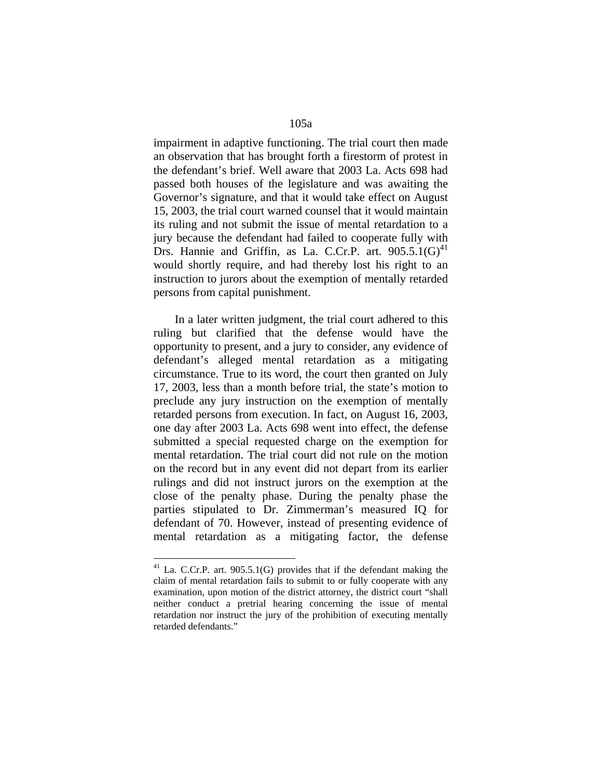impairment in adaptive functioning. The trial court then made an observation that has brought forth a firestorm of protest in the defendant's brief. Well aware that 2003 La. Acts 698 had passed both houses of the legislature and was awaiting the Governor's signature, and that it would take effect on August 15, 2003, the trial court warned counsel that it would maintain its ruling and not submit the issue of mental retardation to a jury because the defendant had failed to cooperate fully with Drs. Hannie and Griffin, as La. C.Cr.P. art.  $905.5.1(G)^{41}$ would shortly require, and had thereby lost his right to an instruction to jurors about the exemption of mentally retarded persons from capital punishment.

 In a later written judgment, the trial court adhered to this ruling but clarified that the defense would have the opportunity to present, and a jury to consider, any evidence of defendant's alleged mental retardation as a mitigating circumstance. True to its word, the court then granted on July 17, 2003, less than a month before trial, the state's motion to preclude any jury instruction on the exemption of mentally retarded persons from execution. In fact, on August 16, 2003, one day after 2003 La. Acts 698 went into effect, the defense submitted a special requested charge on the exemption for mental retardation. The trial court did not rule on the motion on the record but in any event did not depart from its earlier rulings and did not instruct jurors on the exemption at the close of the penalty phase. During the penalty phase the parties stipulated to Dr. Zimmerman's measured IQ for defendant of 70. However, instead of presenting evidence of mental retardation as a mitigating factor, the defense

 $41$  La. C.Cr.P. art. 905.5.1(G) provides that if the defendant making the claim of mental retardation fails to submit to or fully cooperate with any examination, upon motion of the district attorney, the district court "shall neither conduct a pretrial hearing concerning the issue of mental retardation nor instruct the jury of the prohibition of executing mentally retarded defendants."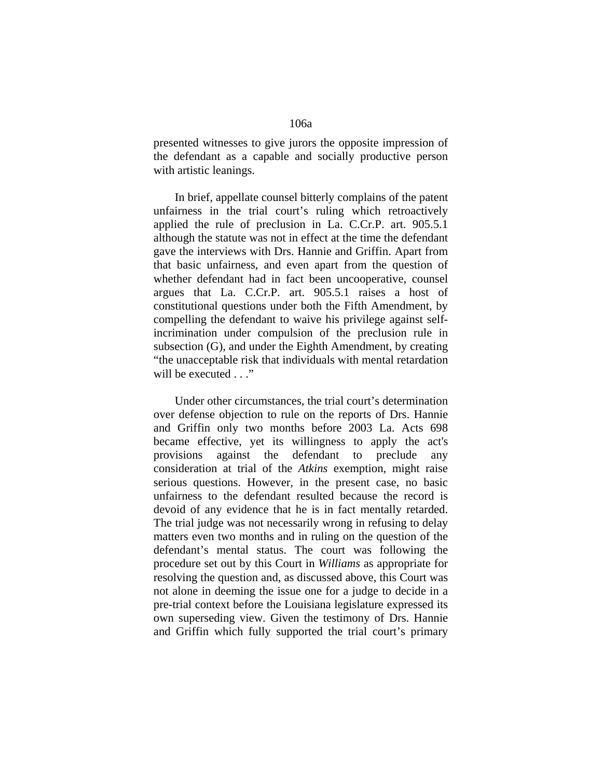presented witnesses to give jurors the opposite impression of the defendant as a capable and socially productive person with artistic leanings.

 In brief, appellate counsel bitterly complains of the patent unfairness in the trial court's ruling which retroactively applied the rule of preclusion in La. C.Cr.P. art. 905.5.1 although the statute was not in effect at the time the defendant gave the interviews with Drs. Hannie and Griffin. Apart from that basic unfairness, and even apart from the question of whether defendant had in fact been uncooperative, counsel argues that La. C.Cr.P. art. 905.5.1 raises a host of constitutional questions under both the Fifth Amendment, by compelling the defendant to waive his privilege against selfincrimination under compulsion of the preclusion rule in subsection (G), and under the Eighth Amendment, by creating "the unacceptable risk that individuals with mental retardation will be executed . . ."

 Under other circumstances, the trial court's determination over defense objection to rule on the reports of Drs. Hannie and Griffin only two months before 2003 La. Acts 698 became effective, yet its willingness to apply the act's provisions against the defendant to preclude any consideration at trial of the *Atkins* exemption, might raise serious questions. However, in the present case, no basic unfairness to the defendant resulted because the record is devoid of any evidence that he is in fact mentally retarded. The trial judge was not necessarily wrong in refusing to delay matters even two months and in ruling on the question of the defendant's mental status. The court was following the procedure set out by this Court in *Williams* as appropriate for resolving the question and, as discussed above, this Court was not alone in deeming the issue one for a judge to decide in a pre-trial context before the Louisiana legislature expressed its own superseding view. Given the testimony of Drs. Hannie and Griffin which fully supported the trial court's primary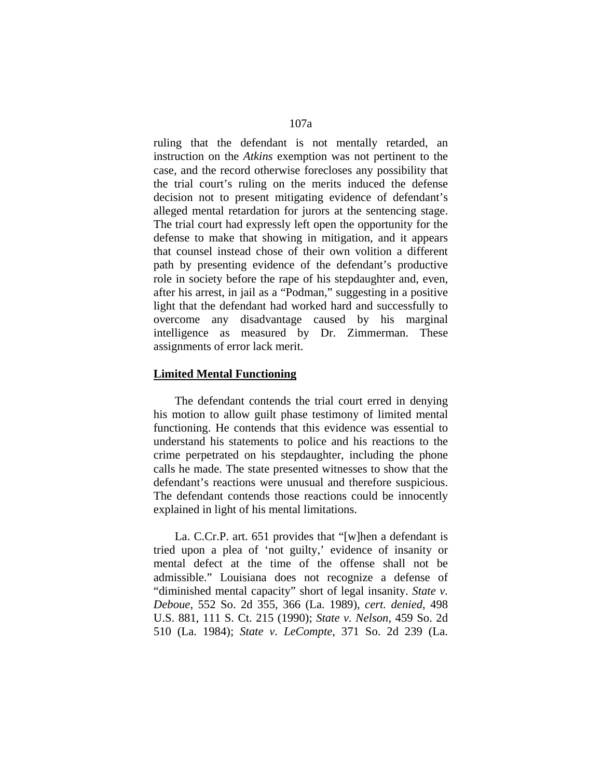ruling that the defendant is not mentally retarded, an instruction on the *Atkins* exemption was not pertinent to the case, and the record otherwise forecloses any possibility that the trial court's ruling on the merits induced the defense decision not to present mitigating evidence of defendant's alleged mental retardation for jurors at the sentencing stage. The trial court had expressly left open the opportunity for the defense to make that showing in mitigation, and it appears that counsel instead chose of their own volition a different path by presenting evidence of the defendant's productive role in society before the rape of his stepdaughter and, even, after his arrest, in jail as a "Podman," suggesting in a positive light that the defendant had worked hard and successfully to overcome any disadvantage caused by his marginal intelligence as measured by Dr. Zimmerman. These assignments of error lack merit.

## **Limited Mental Functioning**

 The defendant contends the trial court erred in denying his motion to allow guilt phase testimony of limited mental functioning. He contends that this evidence was essential to understand his statements to police and his reactions to the crime perpetrated on his stepdaughter, including the phone calls he made. The state presented witnesses to show that the defendant's reactions were unusual and therefore suspicious. The defendant contends those reactions could be innocently explained in light of his mental limitations.

 La. C.Cr.P. art. 651 provides that "[w]hen a defendant is tried upon a plea of 'not guilty,' evidence of insanity or mental defect at the time of the offense shall not be admissible." Louisiana does not recognize a defense of "diminished mental capacity" short of legal insanity. *State v. Deboue*, 552 So. 2d 355, 366 (La. 1989), *cert. denied*, 498 U.S. 881, 111 S. Ct. 215 (1990); *State v. Nelson*, 459 So. 2d 510 (La. 1984); *State v. LeCompte*, 371 So. 2d 239 (La.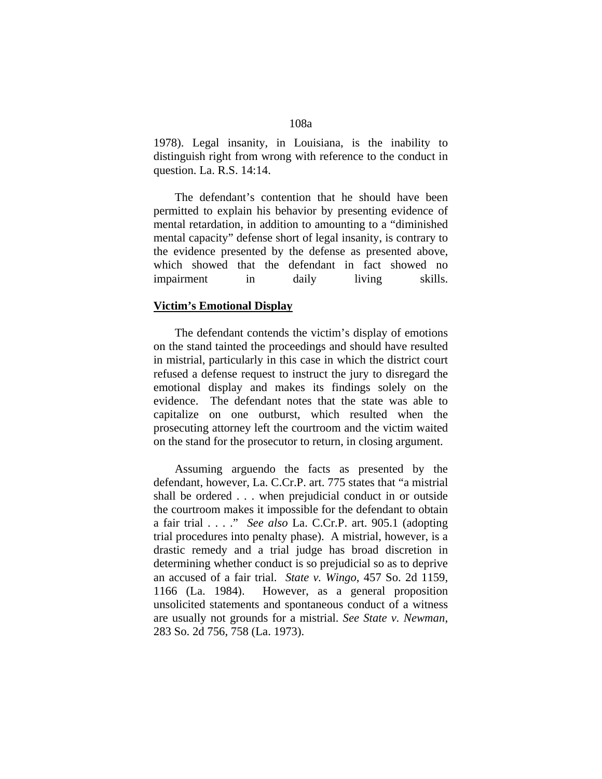1978). Legal insanity, in Louisiana, is the inability to distinguish right from wrong with reference to the conduct in question. La. R.S. 14:14.

 The defendant's contention that he should have been permitted to explain his behavior by presenting evidence of mental retardation, in addition to amounting to a "diminished mental capacity" defense short of legal insanity, is contrary to the evidence presented by the defense as presented above, which showed that the defendant in fact showed no impairment in daily living skills.

## **Victim's Emotional Display**

 The defendant contends the victim's display of emotions on the stand tainted the proceedings and should have resulted in mistrial, particularly in this case in which the district court refused a defense request to instruct the jury to disregard the emotional display and makes its findings solely on the evidence. The defendant notes that the state was able to capitalize on one outburst, which resulted when the prosecuting attorney left the courtroom and the victim waited on the stand for the prosecutor to return, in closing argument.

 Assuming arguendo the facts as presented by the defendant, however, La. C.Cr.P. art. 775 states that "a mistrial shall be ordered . . . when prejudicial conduct in or outside the courtroom makes it impossible for the defendant to obtain a fair trial . . . ." *See also* La. C.Cr.P. art. 905.1 (adopting trial procedures into penalty phase). A mistrial, however, is a drastic remedy and a trial judge has broad discretion in determining whether conduct is so prejudicial so as to deprive an accused of a fair trial. *State v. Wingo*, 457 So. 2d 1159, 1166 (La. 1984). However, as a general proposition unsolicited statements and spontaneous conduct of a witness are usually not grounds for a mistrial. *See State v. Newman*, 283 So. 2d 756, 758 (La. 1973).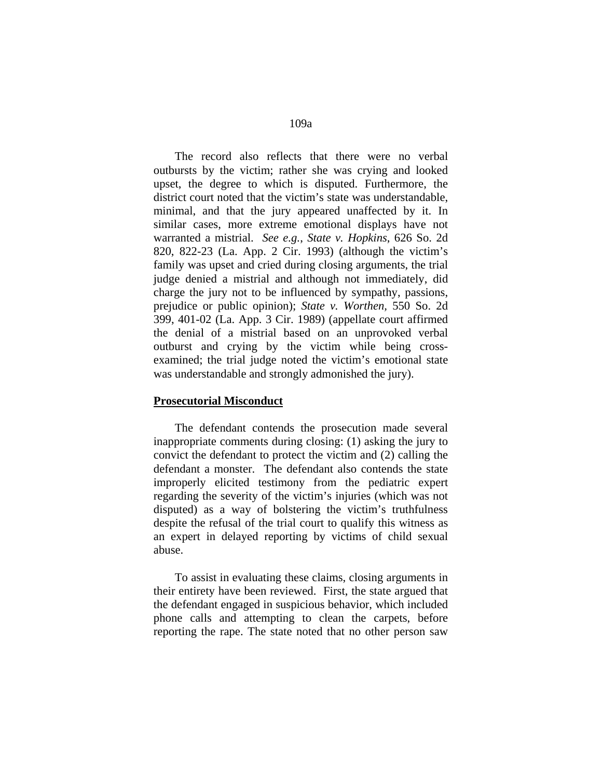The record also reflects that there were no verbal outbursts by the victim; rather she was crying and looked upset, the degree to which is disputed. Furthermore, the district court noted that the victim's state was understandable, minimal, and that the jury appeared unaffected by it. In similar cases, more extreme emotional displays have not warranted a mistrial. *See e.g.*, *State v. Hopkins*, 626 So. 2d 820, 822-23 (La. App. 2 Cir. 1993) (although the victim's family was upset and cried during closing arguments, the trial judge denied a mistrial and although not immediately, did charge the jury not to be influenced by sympathy, passions, prejudice or public opinion); *State v. Worthen,* 550 So. 2d 399, 401-02 (La. App. 3 Cir. 1989) (appellate court affirmed the denial of a mistrial based on an unprovoked verbal outburst and crying by the victim while being crossexamined; the trial judge noted the victim's emotional state was understandable and strongly admonished the jury).

### **Prosecutorial Misconduct**

 The defendant contends the prosecution made several inappropriate comments during closing: (1) asking the jury to convict the defendant to protect the victim and (2) calling the defendant a monster. The defendant also contends the state improperly elicited testimony from the pediatric expert regarding the severity of the victim's injuries (which was not disputed) as a way of bolstering the victim's truthfulness despite the refusal of the trial court to qualify this witness as an expert in delayed reporting by victims of child sexual abuse.

 To assist in evaluating these claims, closing arguments in their entirety have been reviewed. First, the state argued that the defendant engaged in suspicious behavior, which included phone calls and attempting to clean the carpets, before reporting the rape. The state noted that no other person saw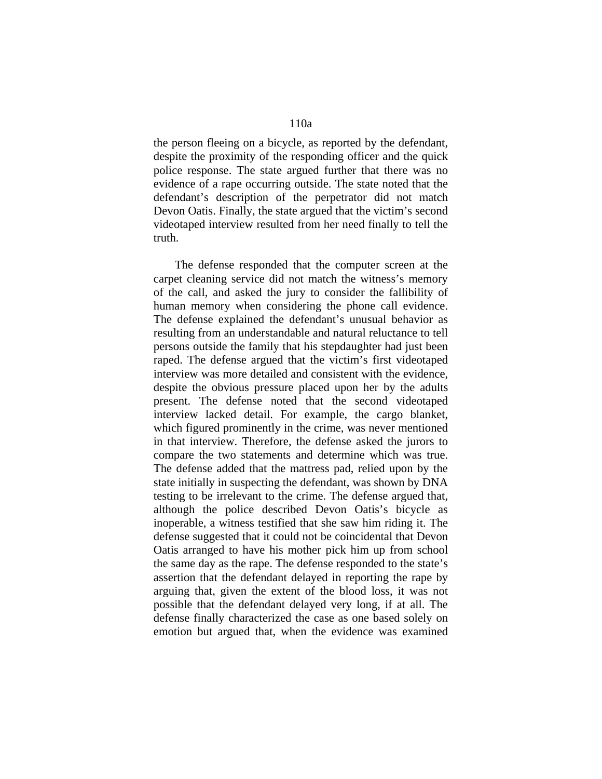the person fleeing on a bicycle, as reported by the defendant, despite the proximity of the responding officer and the quick police response. The state argued further that there was no evidence of a rape occurring outside. The state noted that the defendant's description of the perpetrator did not match Devon Oatis. Finally, the state argued that the victim's second videotaped interview resulted from her need finally to tell the truth.

 The defense responded that the computer screen at the carpet cleaning service did not match the witness's memory of the call, and asked the jury to consider the fallibility of human memory when considering the phone call evidence. The defense explained the defendant's unusual behavior as resulting from an understandable and natural reluctance to tell persons outside the family that his stepdaughter had just been raped. The defense argued that the victim's first videotaped interview was more detailed and consistent with the evidence, despite the obvious pressure placed upon her by the adults present. The defense noted that the second videotaped interview lacked detail. For example, the cargo blanket, which figured prominently in the crime, was never mentioned in that interview. Therefore, the defense asked the jurors to compare the two statements and determine which was true. The defense added that the mattress pad, relied upon by the state initially in suspecting the defendant, was shown by DNA testing to be irrelevant to the crime. The defense argued that, although the police described Devon Oatis's bicycle as inoperable, a witness testified that she saw him riding it. The defense suggested that it could not be coincidental that Devon Oatis arranged to have his mother pick him up from school the same day as the rape. The defense responded to the state's assertion that the defendant delayed in reporting the rape by arguing that, given the extent of the blood loss, it was not possible that the defendant delayed very long, if at all. The defense finally characterized the case as one based solely on emotion but argued that, when the evidence was examined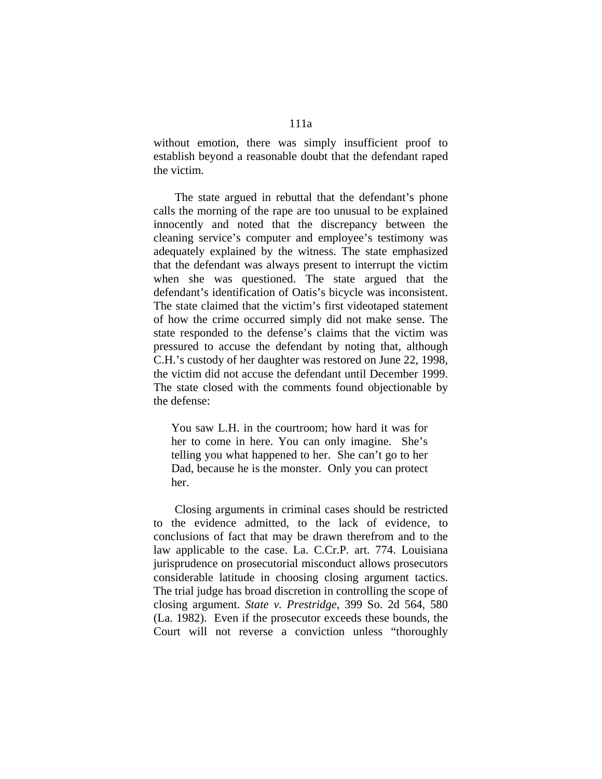without emotion, there was simply insufficient proof to establish beyond a reasonable doubt that the defendant raped the victim.

 The state argued in rebuttal that the defendant's phone calls the morning of the rape are too unusual to be explained innocently and noted that the discrepancy between the cleaning service's computer and employee's testimony was adequately explained by the witness. The state emphasized that the defendant was always present to interrupt the victim when she was questioned. The state argued that the defendant's identification of Oatis's bicycle was inconsistent. The state claimed that the victim's first videotaped statement of how the crime occurred simply did not make sense. The state responded to the defense's claims that the victim was pressured to accuse the defendant by noting that, although C.H.'s custody of her daughter was restored on June 22, 1998, the victim did not accuse the defendant until December 1999. The state closed with the comments found objectionable by the defense:

You saw L.H. in the courtroom; how hard it was for her to come in here. You can only imagine. She's telling you what happened to her. She can't go to her Dad, because he is the monster. Only you can protect her.

 Closing arguments in criminal cases should be restricted to the evidence admitted, to the lack of evidence, to conclusions of fact that may be drawn therefrom and to the law applicable to the case. La. C.Cr.P. art. 774. Louisiana jurisprudence on prosecutorial misconduct allows prosecutors considerable latitude in choosing closing argument tactics. The trial judge has broad discretion in controlling the scope of closing argument. *State v. Prestridge*, 399 So. 2d 564, 580 (La. 1982). Even if the prosecutor exceeds these bounds, the Court will not reverse a conviction unless "thoroughly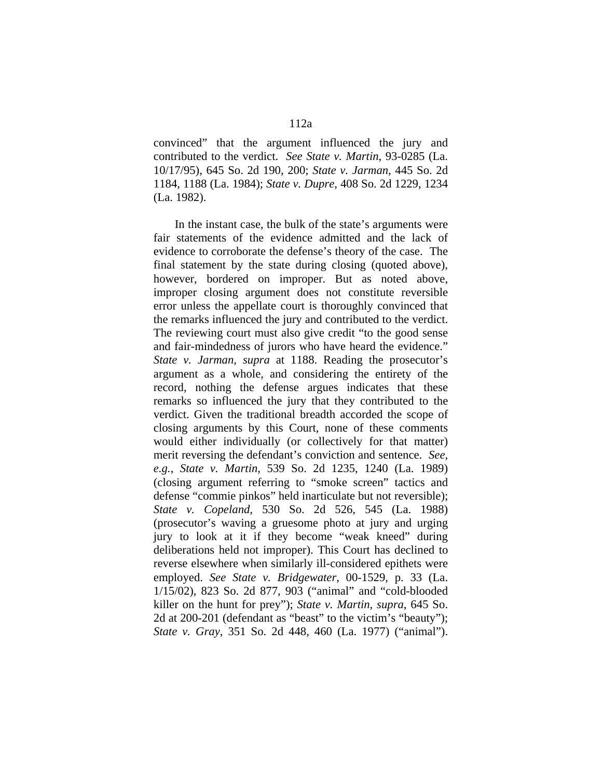convinced" that the argument influenced the jury and contributed to the verdict. *See State v. Martin*, 93-0285 (La. 10/17/95), 645 So. 2d 190, 200; *State v. Jarman*, 445 So. 2d 1184, 1188 (La. 1984); *State v. Dupre*, 408 So. 2d 1229, 1234 (La. 1982).

 In the instant case, the bulk of the state's arguments were fair statements of the evidence admitted and the lack of evidence to corroborate the defense's theory of the case. The final statement by the state during closing (quoted above), however, bordered on improper. But as noted above, improper closing argument does not constitute reversible error unless the appellate court is thoroughly convinced that the remarks influenced the jury and contributed to the verdict. The reviewing court must also give credit "to the good sense and fair-mindedness of jurors who have heard the evidence." *State v. Jarman*, *supra* at 1188. Reading the prosecutor's argument as a whole, and considering the entirety of the record, nothing the defense argues indicates that these remarks so influenced the jury that they contributed to the verdict. Given the traditional breadth accorded the scope of closing arguments by this Court, none of these comments would either individually (or collectively for that matter) merit reversing the defendant's conviction and sentence. *See, e.g.*, *State v. Martin*, 539 So. 2d 1235, 1240 (La. 1989) (closing argument referring to "smoke screen" tactics and defense "commie pinkos" held inarticulate but not reversible); *State v. Copeland*, 530 So. 2d 526, 545 (La. 1988) (prosecutor's waving a gruesome photo at jury and urging jury to look at it if they become "weak kneed" during deliberations held not improper). This Court has declined to reverse elsewhere when similarly ill-considered epithets were employed. *See State v. Bridgewater*, 00-1529, p. 33 (La. 1/15/02), 823 So. 2d 877, 903 ("animal" and "cold-blooded killer on the hunt for prey"); *State v. Martin*, *supra*, 645 So. 2d at 200-201 (defendant as "beast" to the victim's "beauty"); *State v. Gray*, 351 So. 2d 448, 460 (La. 1977) ("animal").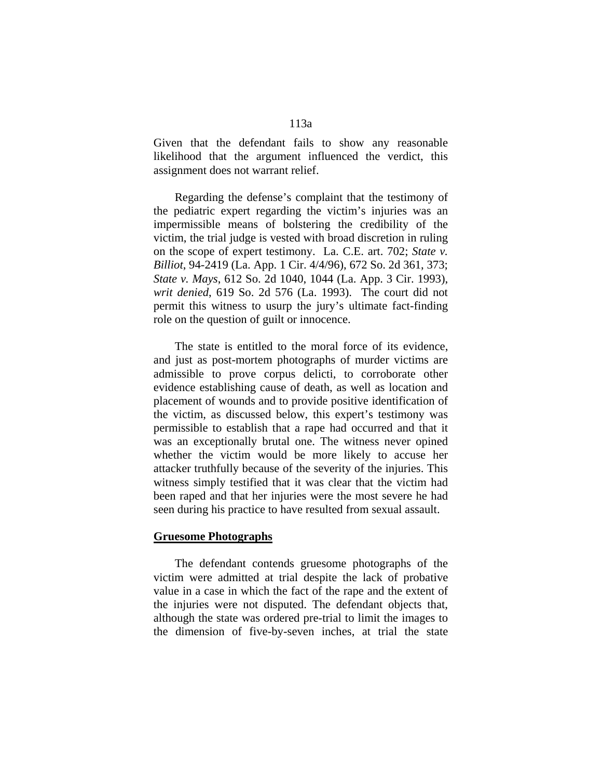Given that the defendant fails to show any reasonable likelihood that the argument influenced the verdict, this assignment does not warrant relief.

 Regarding the defense's complaint that the testimony of the pediatric expert regarding the victim's injuries was an impermissible means of bolstering the credibility of the victim, the trial judge is vested with broad discretion in ruling on the scope of expert testimony. La. C.E. art. 702; *State v. Billiot*, 94-2419 (La. App. 1 Cir. 4/4/96), 672 So. 2d 361, 373; *State v. Mays*, 612 So. 2d 1040, 1044 (La. App. 3 Cir. 1993), *writ denied*, 619 So. 2d 576 (La. 1993). The court did not permit this witness to usurp the jury's ultimate fact-finding role on the question of guilt or innocence.

 The state is entitled to the moral force of its evidence, and just as post-mortem photographs of murder victims are admissible to prove corpus delicti, to corroborate other evidence establishing cause of death, as well as location and placement of wounds and to provide positive identification of the victim, as discussed below, this expert's testimony was permissible to establish that a rape had occurred and that it was an exceptionally brutal one. The witness never opined whether the victim would be more likely to accuse her attacker truthfully because of the severity of the injuries. This witness simply testified that it was clear that the victim had been raped and that her injuries were the most severe he had seen during his practice to have resulted from sexual assault.

### **Gruesome Photographs**

 The defendant contends gruesome photographs of the victim were admitted at trial despite the lack of probative value in a case in which the fact of the rape and the extent of the injuries were not disputed. The defendant objects that, although the state was ordered pre-trial to limit the images to the dimension of five-by-seven inches, at trial the state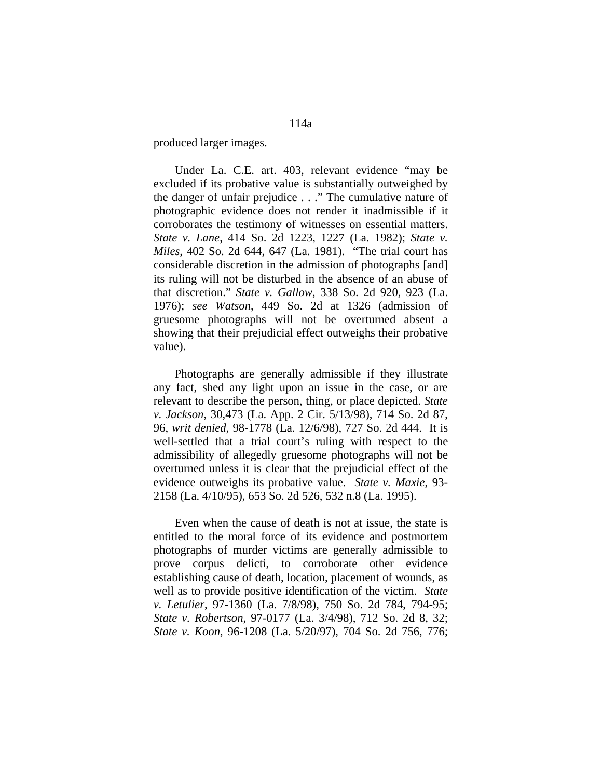produced larger images.

 Under La. C.E. art. 403, relevant evidence "may be excluded if its probative value is substantially outweighed by the danger of unfair prejudice . . ." The cumulative nature of photographic evidence does not render it inadmissible if it corroborates the testimony of witnesses on essential matters. *State v. Lane*, 414 So. 2d 1223, 1227 (La. 1982); *State v. Miles*, 402 So. 2d 644, 647 (La. 1981). "The trial court has considerable discretion in the admission of photographs [and] its ruling will not be disturbed in the absence of an abuse of that discretion." *State v. Gallow*, 338 So. 2d 920, 923 (La. 1976); *see Watson*, 449 So. 2d at 1326 (admission of gruesome photographs will not be overturned absent a showing that their prejudicial effect outweighs their probative value).

 Photographs are generally admissible if they illustrate any fact, shed any light upon an issue in the case, or are relevant to describe the person, thing, or place depicted. *State v. Jackson*, 30,473 (La. App. 2 Cir. 5/13/98), 714 So. 2d 87, 96, *writ denied*, 98-1778 (La. 12/6/98), 727 So. 2d 444. It is well-settled that a trial court's ruling with respect to the admissibility of allegedly gruesome photographs will not be overturned unless it is clear that the prejudicial effect of the evidence outweighs its probative value. *State v. Maxie*, 93- 2158 (La. 4/10/95), 653 So. 2d 526, 532 n.8 (La. 1995).

 Even when the cause of death is not at issue, the state is entitled to the moral force of its evidence and postmortem photographs of murder victims are generally admissible to prove corpus delicti, to corroborate other evidence establishing cause of death, location, placement of wounds, as well as to provide positive identification of the victim. *State v. Letulier*, 97-1360 (La. 7/8/98), 750 So. 2d 784, 794-95; *State v. Robertson*, 97-0177 (La. 3/4/98), 712 So. 2d 8, 32; *State v. Koon*, 96-1208 (La. 5/20/97), 704 So. 2d 756, 776;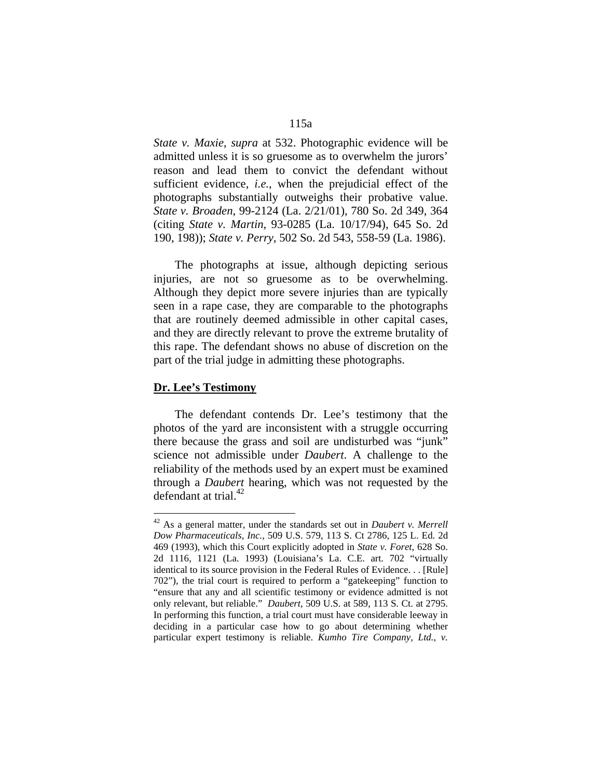*State v. Maxie*, *supra* at 532. Photographic evidence will be admitted unless it is so gruesome as to overwhelm the jurors' reason and lead them to convict the defendant without sufficient evidence, *i.e.*, when the prejudicial effect of the photographs substantially outweighs their probative value. *State v. Broaden*, 99-2124 (La. 2/21/01), 780 So. 2d 349, 364 (citing *State v. Martin*, 93-0285 (La. 10/17/94), 645 So. 2d 190, 198)); *State v. Perry*, 502 So. 2d 543, 558-59 (La. 1986).

 The photographs at issue, although depicting serious injuries, are not so gruesome as to be overwhelming. Although they depict more severe injuries than are typically seen in a rape case, they are comparable to the photographs that are routinely deemed admissible in other capital cases, and they are directly relevant to prove the extreme brutality of this rape. The defendant shows no abuse of discretion on the part of the trial judge in admitting these photographs.

#### **Dr. Lee's Testimony**

 $\overline{a}$ 

 The defendant contends Dr. Lee's testimony that the photos of the yard are inconsistent with a struggle occurring there because the grass and soil are undisturbed was "junk" science not admissible under *Daubert*. A challenge to the reliability of the methods used by an expert must be examined through a *Daubert* hearing, which was not requested by the defendant at trial. $42$ 

<sup>42</sup> As a general matter, under the standards set out in *Daubert v. Merrell Dow Pharmaceuticals, Inc.*, 509 U.S. 579, 113 S. Ct 2786, 125 L. Ed. 2d 469 (1993), which this Court explicitly adopted in *State v. Foret*, 628 So. 2d 1116, 1121 (La. 1993) (Louisiana's La. C.E. art. 702 "virtually identical to its source provision in the Federal Rules of Evidence. . . [Rule] 702"), the trial court is required to perform a "gatekeeping" function to "ensure that any and all scientific testimony or evidence admitted is not only relevant, but reliable." *Daubert*, 509 U.S. at 589, 113 S. Ct. at 2795. In performing this function, a trial court must have considerable leeway in deciding in a particular case how to go about determining whether particular expert testimony is reliable. *Kumho Tire Company, Ltd., v.*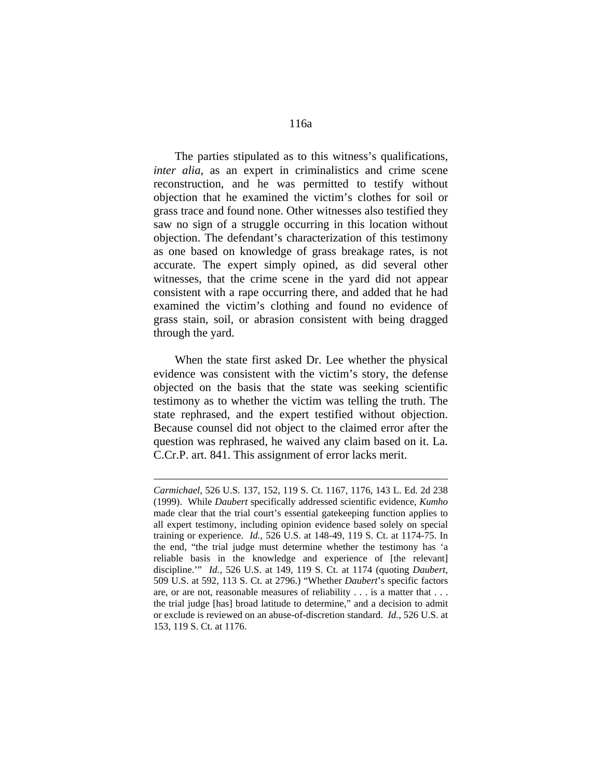The parties stipulated as to this witness's qualifications, *inter alia*, as an expert in criminalistics and crime scene reconstruction, and he was permitted to testify without objection that he examined the victim's clothes for soil or grass trace and found none. Other witnesses also testified they saw no sign of a struggle occurring in this location without objection. The defendant's characterization of this testimony as one based on knowledge of grass breakage rates, is not accurate. The expert simply opined, as did several other witnesses, that the crime scene in the yard did not appear consistent with a rape occurring there, and added that he had examined the victim's clothing and found no evidence of grass stain, soil, or abrasion consistent with being dragged through the yard.

 When the state first asked Dr. Lee whether the physical evidence was consistent with the victim's story, the defense objected on the basis that the state was seeking scientific testimony as to whether the victim was telling the truth. The state rephrased, and the expert testified without objection. Because counsel did not object to the claimed error after the question was rephrased, he waived any claim based on it. La. C.Cr.P. art. 841. This assignment of error lacks merit.

1

*Carmichael*, 526 U.S. 137, 152, 119 S. Ct. 1167, 1176, 143 L. Ed. 2d 238 (1999). While *Daubert* specifically addressed scientific evidence, *Kumho* made clear that the trial court's essential gatekeeping function applies to all expert testimony, including opinion evidence based solely on special training or experience. *Id.*, 526 U.S. at 148-49, 119 S. Ct. at 1174-75. In the end, "the trial judge must determine whether the testimony has 'a reliable basis in the knowledge and experience of [the relevant] discipline.'" *Id.*, 526 U.S. at 149, 119 S. Ct. at 1174 (quoting *Daubert*, 509 U.S. at 592, 113 S. Ct. at 2796.) "Whether *Daubert*'s specific factors are, or are not, reasonable measures of reliability . . . is a matter that . . . the trial judge [has] broad latitude to determine," and a decision to admit or exclude is reviewed on an abuse-of-discretion standard. *Id.,* 526 U.S. at 153, 119 S. Ct. at 1176.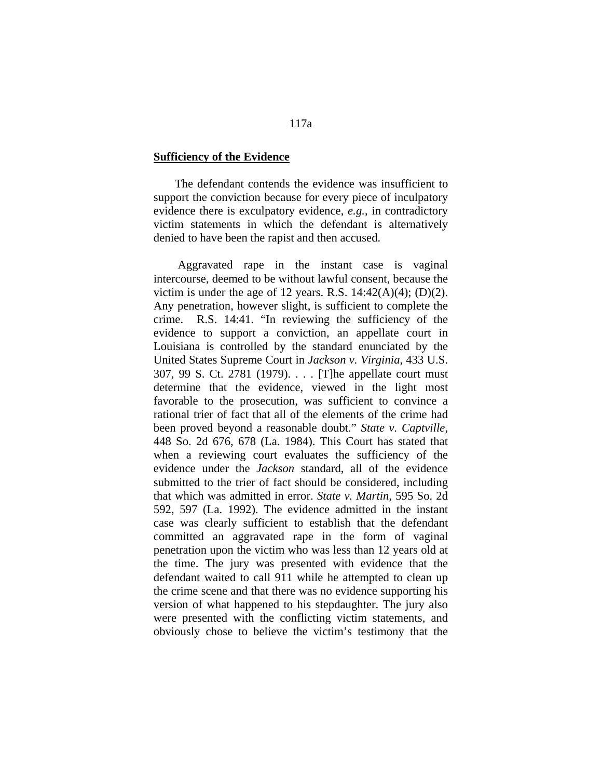### **Sufficiency of the Evidence**

 The defendant contends the evidence was insufficient to support the conviction because for every piece of inculpatory evidence there is exculpatory evidence, *e.g.*, in contradictory victim statements in which the defendant is alternatively denied to have been the rapist and then accused.

 Aggravated rape in the instant case is vaginal intercourse, deemed to be without lawful consent, because the victim is under the age of 12 years. R.S.  $14:42(A)(4)$ ; (D)(2). Any penetration, however slight, is sufficient to complete the crime. R.S. 14:41. "In reviewing the sufficiency of the evidence to support a conviction, an appellate court in Louisiana is controlled by the standard enunciated by the United States Supreme Court in *Jackson v. Virginia*, 433 U.S. 307, 99 S. Ct. 2781 (1979). . . . [T]he appellate court must determine that the evidence, viewed in the light most favorable to the prosecution, was sufficient to convince a rational trier of fact that all of the elements of the crime had been proved beyond a reasonable doubt." *State v. Captville*, 448 So. 2d 676, 678 (La. 1984). This Court has stated that when a reviewing court evaluates the sufficiency of the evidence under the *Jackson* standard, all of the evidence submitted to the trier of fact should be considered, including that which was admitted in error. *State v. Martin*, 595 So. 2d 592, 597 (La. 1992). The evidence admitted in the instant case was clearly sufficient to establish that the defendant committed an aggravated rape in the form of vaginal penetration upon the victim who was less than 12 years old at the time. The jury was presented with evidence that the defendant waited to call 911 while he attempted to clean up the crime scene and that there was no evidence supporting his version of what happened to his stepdaughter. The jury also were presented with the conflicting victim statements, and obviously chose to believe the victim's testimony that the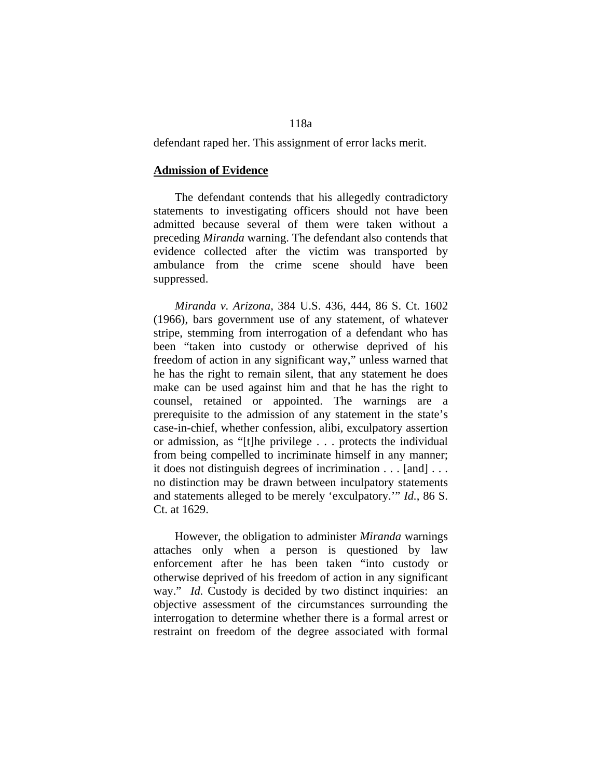# 118a

defendant raped her. This assignment of error lacks merit.

#### **Admission of Evidence**

 The defendant contends that his allegedly contradictory statements to investigating officers should not have been admitted because several of them were taken without a preceding *Miranda* warning. The defendant also contends that evidence collected after the victim was transported by ambulance from the crime scene should have been suppressed.

 *Miranda v. Arizona*, 384 U.S. 436, 444, 86 S. Ct. 1602 (1966), bars government use of any statement, of whatever stripe, stemming from interrogation of a defendant who has been "taken into custody or otherwise deprived of his freedom of action in any significant way," unless warned that he has the right to remain silent, that any statement he does make can be used against him and that he has the right to counsel, retained or appointed. The warnings are a prerequisite to the admission of any statement in the state's case-in-chief, whether confession, alibi, exculpatory assertion or admission, as "[t]he privilege . . . protects the individual from being compelled to incriminate himself in any manner; it does not distinguish degrees of incrimination . . . [and] . . . no distinction may be drawn between inculpatory statements and statements alleged to be merely 'exculpatory.'" *Id.*, 86 S. Ct. at 1629.

 However, the obligation to administer *Miranda* warnings attaches only when a person is questioned by law enforcement after he has been taken "into custody or otherwise deprived of his freedom of action in any significant way." *Id.* Custody is decided by two distinct inquiries: an objective assessment of the circumstances surrounding the interrogation to determine whether there is a formal arrest or restraint on freedom of the degree associated with formal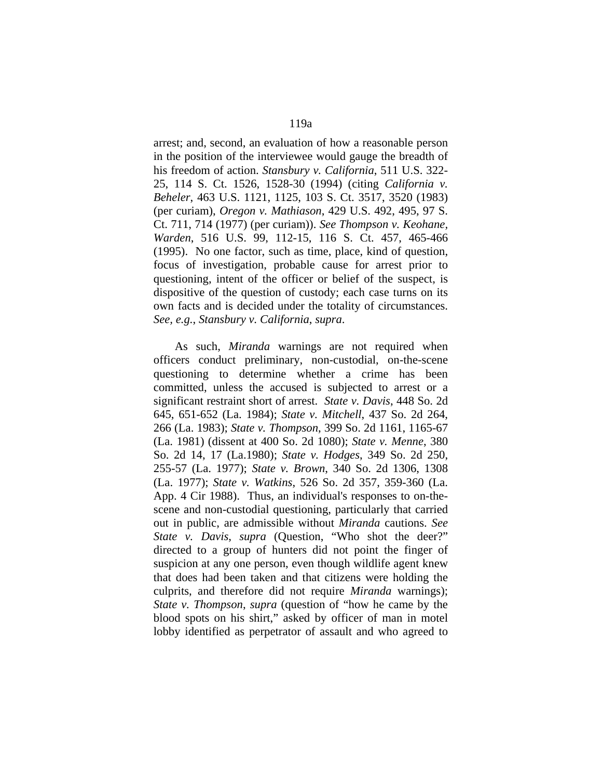arrest; and, second, an evaluation of how a reasonable person in the position of the interviewee would gauge the breadth of his freedom of action. *Stansbury v. California*, 511 U.S. 322- 25, 114 S. Ct. 1526, 1528-30 (1994) (citing *California v. Beheler*, 463 U.S. 1121, 1125, 103 S. Ct. 3517, 3520 (1983) (per curiam), *Oregon v. Mathiason*, 429 U.S. 492, 495, 97 S. Ct. 711, 714 (1977) (per curiam)). *See Thompson v. Keohane, Warden*, 516 U.S. 99, 112-15, 116 S. Ct. 457, 465-466 (1995). No one factor, such as time, place, kind of question, focus of investigation, probable cause for arrest prior to questioning, intent of the officer or belief of the suspect, is dispositive of the question of custody; each case turns on its own facts and is decided under the totality of circumstances. *See, e.g.*, *Stansbury v. California*, *supra*.

 As such, *Miranda* warnings are not required when officers conduct preliminary, non-custodial, on-the-scene questioning to determine whether a crime has been committed, unless the accused is subjected to arrest or a significant restraint short of arrest. *State v. Davis*, 448 So. 2d 645, 651-652 (La. 1984); *State v. Mitchell*, 437 So. 2d 264, 266 (La. 1983); *State v. Thompson*, 399 So. 2d 1161, 1165-67 (La. 1981) (dissent at 400 So. 2d 1080); *State v. Menne*, 380 So. 2d 14, 17 (La.1980); *State v. Hodges*, 349 So. 2d 250, 255-57 (La. 1977); *State v. Brown*, 340 So. 2d 1306, 1308 (La. 1977); *State v. Watkins*, 526 So. 2d 357, 359-360 (La. App. 4 Cir 1988). Thus, an individual's responses to on-thescene and non-custodial questioning, particularly that carried out in public, are admissible without *Miranda* cautions. *See State v. Davis*, *supra* (Question, "Who shot the deer?" directed to a group of hunters did not point the finger of suspicion at any one person, even though wildlife agent knew that does had been taken and that citizens were holding the culprits, and therefore did not require *Miranda* warnings); *State v. Thompson*, *supra* (question of "how he came by the blood spots on his shirt," asked by officer of man in motel lobby identified as perpetrator of assault and who agreed to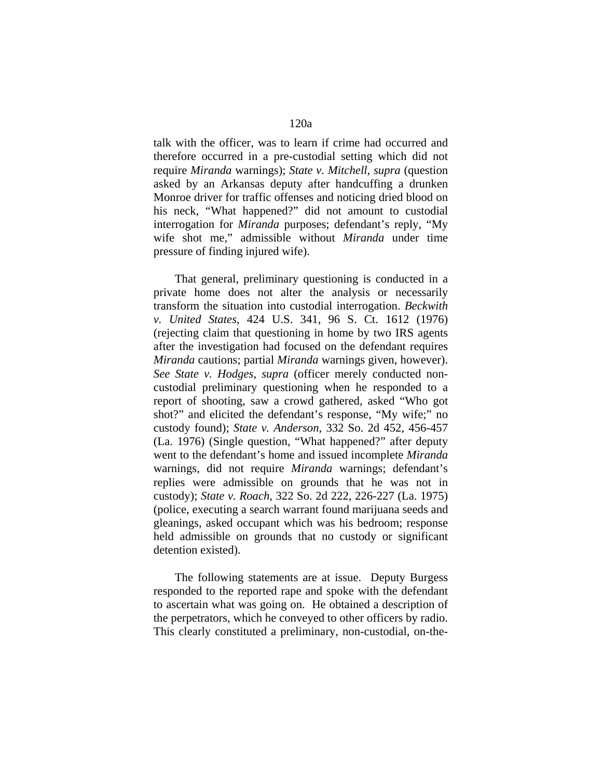talk with the officer, was to learn if crime had occurred and therefore occurred in a pre-custodial setting which did not require *Miranda* warnings); *State v. Mitchell*, *supra* (question asked by an Arkansas deputy after handcuffing a drunken Monroe driver for traffic offenses and noticing dried blood on his neck, "What happened?" did not amount to custodial interrogation for *Miranda* purposes; defendant's reply, "My wife shot me," admissible without *Miranda* under time pressure of finding injured wife).

 That general, preliminary questioning is conducted in a private home does not alter the analysis or necessarily transform the situation into custodial interrogation. *Beckwith v. United States*, 424 U.S. 341, 96 S. Ct. 1612 (1976) (rejecting claim that questioning in home by two IRS agents after the investigation had focused on the defendant requires *Miranda* cautions; partial *Miranda* warnings given, however). *See State v. Hodges*, *supra* (officer merely conducted noncustodial preliminary questioning when he responded to a report of shooting, saw a crowd gathered, asked "Who got shot?" and elicited the defendant's response, "My wife;" no custody found); *State v. Anderson*, 332 So. 2d 452, 456-457 (La. 1976) (Single question, "What happened?" after deputy went to the defendant's home and issued incomplete *Miranda* warnings, did not require *Miranda* warnings; defendant's replies were admissible on grounds that he was not in custody); *State v. Roach*, 322 So. 2d 222, 226-227 (La. 1975) (police, executing a search warrant found marijuana seeds and gleanings, asked occupant which was his bedroom; response held admissible on grounds that no custody or significant detention existed).

 The following statements are at issue. Deputy Burgess responded to the reported rape and spoke with the defendant to ascertain what was going on. He obtained a description of the perpetrators, which he conveyed to other officers by radio. This clearly constituted a preliminary, non-custodial, on-the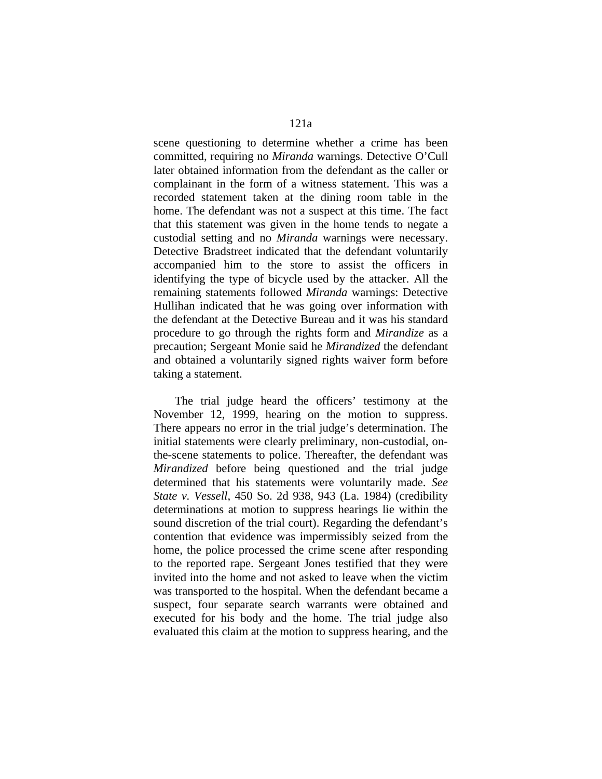scene questioning to determine whether a crime has been committed, requiring no *Miranda* warnings. Detective O'Cull later obtained information from the defendant as the caller or complainant in the form of a witness statement. This was a recorded statement taken at the dining room table in the home. The defendant was not a suspect at this time. The fact that this statement was given in the home tends to negate a custodial setting and no *Miranda* warnings were necessary. Detective Bradstreet indicated that the defendant voluntarily accompanied him to the store to assist the officers in identifying the type of bicycle used by the attacker. All the remaining statements followed *Miranda* warnings: Detective Hullihan indicated that he was going over information with the defendant at the Detective Bureau and it was his standard procedure to go through the rights form and *Mirandize* as a precaution; Sergeant Monie said he *Mirandized* the defendant and obtained a voluntarily signed rights waiver form before taking a statement.

 The trial judge heard the officers' testimony at the November 12, 1999, hearing on the motion to suppress. There appears no error in the trial judge's determination. The initial statements were clearly preliminary, non-custodial, onthe-scene statements to police. Thereafter, the defendant was *Mirandized* before being questioned and the trial judge determined that his statements were voluntarily made. *See State v. Vessell*, 450 So. 2d 938, 943 (La. 1984) (credibility determinations at motion to suppress hearings lie within the sound discretion of the trial court). Regarding the defendant's contention that evidence was impermissibly seized from the home, the police processed the crime scene after responding to the reported rape. Sergeant Jones testified that they were invited into the home and not asked to leave when the victim was transported to the hospital. When the defendant became a suspect, four separate search warrants were obtained and executed for his body and the home. The trial judge also evaluated this claim at the motion to suppress hearing, and the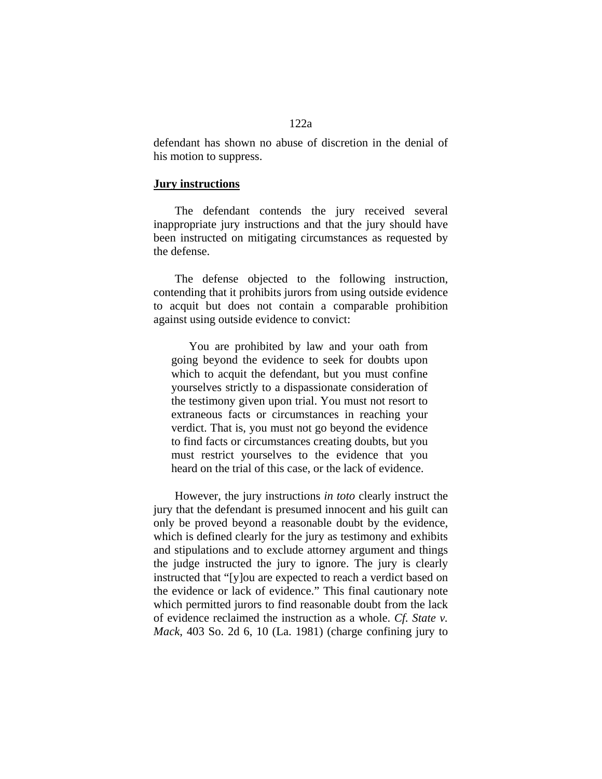defendant has shown no abuse of discretion in the denial of his motion to suppress.

### **Jury instructions**

 The defendant contends the jury received several inappropriate jury instructions and that the jury should have been instructed on mitigating circumstances as requested by the defense.

 The defense objected to the following instruction, contending that it prohibits jurors from using outside evidence to acquit but does not contain a comparable prohibition against using outside evidence to convict:

 You are prohibited by law and your oath from going beyond the evidence to seek for doubts upon which to acquit the defendant, but you must confine yourselves strictly to a dispassionate consideration of the testimony given upon trial. You must not resort to extraneous facts or circumstances in reaching your verdict. That is, you must not go beyond the evidence to find facts or circumstances creating doubts, but you must restrict yourselves to the evidence that you heard on the trial of this case, or the lack of evidence.

 However, the jury instructions *in toto* clearly instruct the jury that the defendant is presumed innocent and his guilt can only be proved beyond a reasonable doubt by the evidence, which is defined clearly for the jury as testimony and exhibits and stipulations and to exclude attorney argument and things the judge instructed the jury to ignore. The jury is clearly instructed that "[y]ou are expected to reach a verdict based on the evidence or lack of evidence." This final cautionary note which permitted jurors to find reasonable doubt from the lack of evidence reclaimed the instruction as a whole. *Cf. State v. Mack*, 403 So. 2d 6, 10 (La. 1981) (charge confining jury to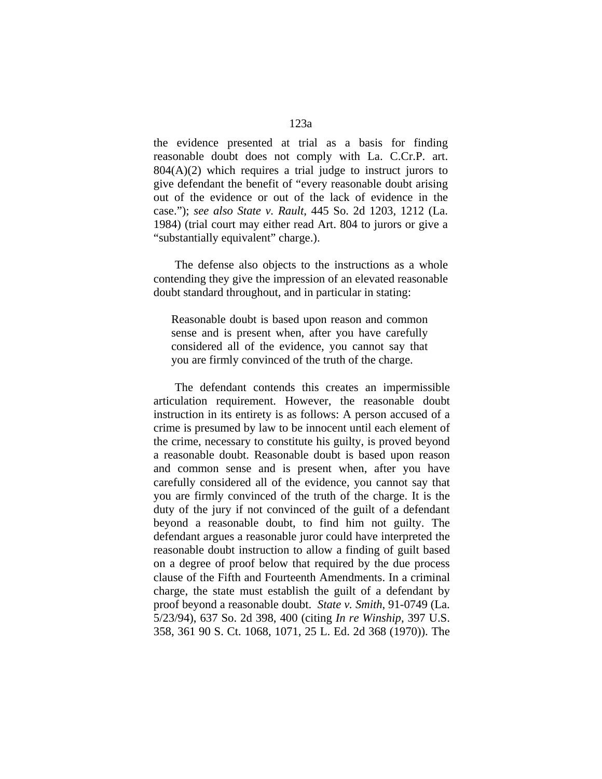the evidence presented at trial as a basis for finding reasonable doubt does not comply with La. C.Cr.P. art.  $804(A)(2)$  which requires a trial judge to instruct jurors to give defendant the benefit of "every reasonable doubt arising out of the evidence or out of the lack of evidence in the case."); *see also State v. Rault*, 445 So. 2d 1203, 1212 (La. 1984) (trial court may either read Art. 804 to jurors or give a "substantially equivalent" charge.).

 The defense also objects to the instructions as a whole contending they give the impression of an elevated reasonable doubt standard throughout, and in particular in stating:

Reasonable doubt is based upon reason and common sense and is present when, after you have carefully considered all of the evidence, you cannot say that you are firmly convinced of the truth of the charge.

 The defendant contends this creates an impermissible articulation requirement. However, the reasonable doubt instruction in its entirety is as follows: A person accused of a crime is presumed by law to be innocent until each element of the crime, necessary to constitute his guilty, is proved beyond a reasonable doubt. Reasonable doubt is based upon reason and common sense and is present when, after you have carefully considered all of the evidence, you cannot say that you are firmly convinced of the truth of the charge. It is the duty of the jury if not convinced of the guilt of a defendant beyond a reasonable doubt, to find him not guilty. The defendant argues a reasonable juror could have interpreted the reasonable doubt instruction to allow a finding of guilt based on a degree of proof below that required by the due process clause of the Fifth and Fourteenth Amendments. In a criminal charge, the state must establish the guilt of a defendant by proof beyond a reasonable doubt. *State v. Smith*, 91-0749 (La. 5/23/94), 637 So. 2d 398, 400 (citing *In re Winship*, 397 U.S. 358, 361 90 S. Ct. 1068, 1071, 25 L. Ed. 2d 368 (1970)). The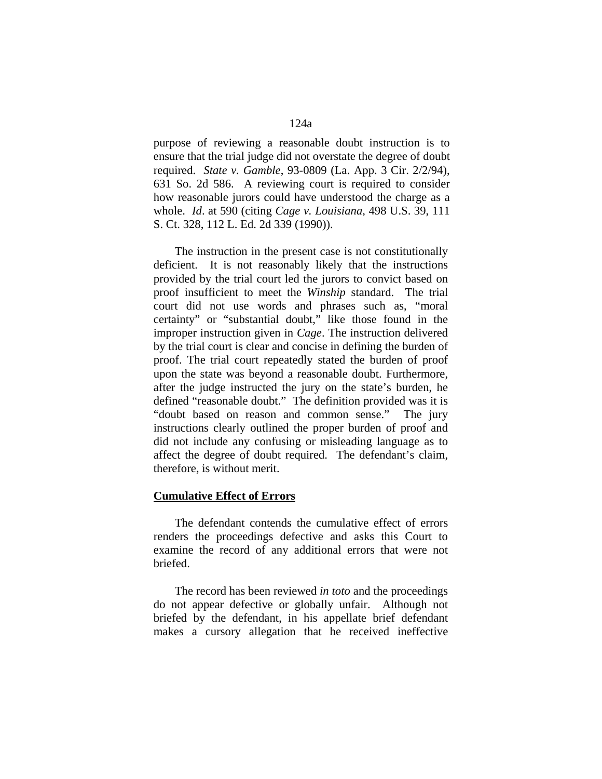purpose of reviewing a reasonable doubt instruction is to ensure that the trial judge did not overstate the degree of doubt required. *State v. Gamble*, 93-0809 (La. App. 3 Cir. 2/2/94), 631 So. 2d 586. A reviewing court is required to consider how reasonable jurors could have understood the charge as a whole. *Id*. at 590 (citing *Cage v. Louisiana*, 498 U.S. 39, 111 S. Ct. 328, 112 L. Ed. 2d 339 (1990)).

 The instruction in the present case is not constitutionally deficient. It is not reasonably likely that the instructions provided by the trial court led the jurors to convict based on proof insufficient to meet the *Winship* standard. The trial court did not use words and phrases such as, "moral certainty" or "substantial doubt," like those found in the improper instruction given in *Cage*. The instruction delivered by the trial court is clear and concise in defining the burden of proof. The trial court repeatedly stated the burden of proof upon the state was beyond a reasonable doubt. Furthermore, after the judge instructed the jury on the state's burden, he defined "reasonable doubt." The definition provided was it is "doubt based on reason and common sense." The jury instructions clearly outlined the proper burden of proof and did not include any confusing or misleading language as to affect the degree of doubt required. The defendant's claim, therefore, is without merit.

#### **Cumulative Effect of Errors**

 The defendant contends the cumulative effect of errors renders the proceedings defective and asks this Court to examine the record of any additional errors that were not briefed.

 The record has been reviewed *in toto* and the proceedings do not appear defective or globally unfair. Although not briefed by the defendant, in his appellate brief defendant makes a cursory allegation that he received ineffective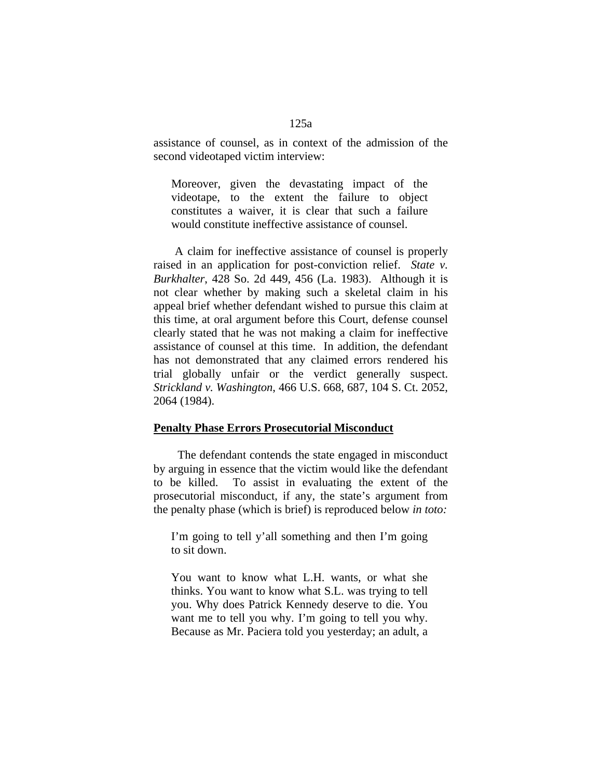assistance of counsel, as in context of the admission of the second videotaped victim interview:

Moreover, given the devastating impact of the videotape, to the extent the failure to object constitutes a waiver, it is clear that such a failure would constitute ineffective assistance of counsel.

 A claim for ineffective assistance of counsel is properly raised in an application for post-conviction relief. *State v. Burkhalter*, 428 So. 2d 449, 456 (La. 1983). Although it is not clear whether by making such a skeletal claim in his appeal brief whether defendant wished to pursue this claim at this time, at oral argument before this Court, defense counsel clearly stated that he was not making a claim for ineffective assistance of counsel at this time. In addition, the defendant has not demonstrated that any claimed errors rendered his trial globally unfair or the verdict generally suspect. *Strickland v. Washington*, 466 U.S. 668, 687, 104 S. Ct. 2052, 2064 (1984).

#### **Penalty Phase Errors Prosecutorial Misconduct**

 The defendant contends the state engaged in misconduct by arguing in essence that the victim would like the defendant to be killed. To assist in evaluating the extent of the prosecutorial misconduct, if any, the state's argument from the penalty phase (which is brief) is reproduced below *in toto:* 

I'm going to tell y'all something and then I'm going to sit down.

You want to know what L.H. wants, or what she thinks. You want to know what S.L. was trying to tell you. Why does Patrick Kennedy deserve to die. You want me to tell you why. I'm going to tell you why. Because as Mr. Paciera told you yesterday; an adult, a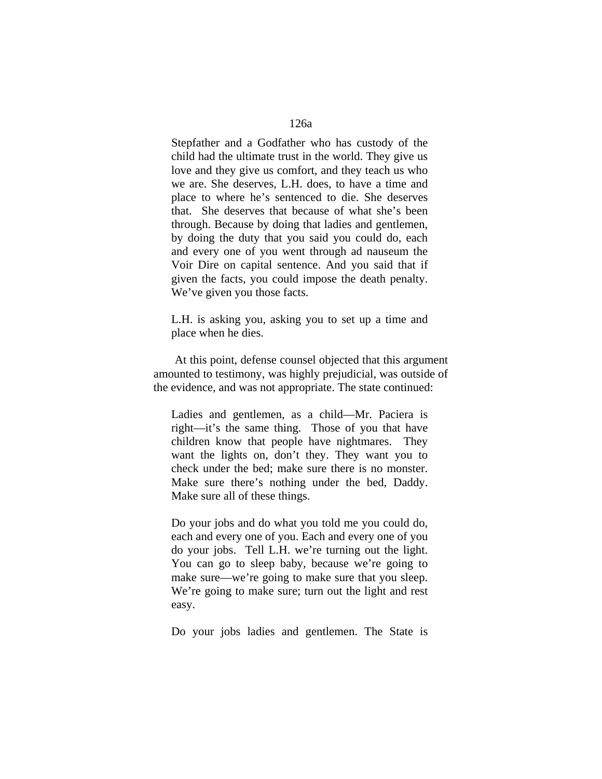Stepfather and a Godfather who has custody of the child had the ultimate trust in the world. They give us love and they give us comfort, and they teach us who we are. She deserves, L.H. does, to have a time and place to where he's sentenced to die. She deserves that. She deserves that because of what she's been through. Because by doing that ladies and gentlemen, by doing the duty that you said you could do, each and every one of you went through ad nauseum the Voir Dire on capital sentence. And you said that if given the facts, you could impose the death penalty. We've given you those facts.

L.H. is asking you, asking you to set up a time and place when he dies.

 At this point, defense counsel objected that this argument amounted to testimony, was highly prejudicial, was outside of the evidence, and was not appropriate. The state continued:

Ladies and gentlemen, as a child—Mr. Paciera is right—it's the same thing. Those of you that have children know that people have nightmares. They want the lights on, don't they. They want you to check under the bed; make sure there is no monster. Make sure there's nothing under the bed, Daddy. Make sure all of these things.

Do your jobs and do what you told me you could do, each and every one of you. Each and every one of you do your jobs. Tell L.H. we're turning out the light. You can go to sleep baby, because we're going to make sure—we're going to make sure that you sleep. We're going to make sure; turn out the light and rest easy.

Do your jobs ladies and gentlemen. The State is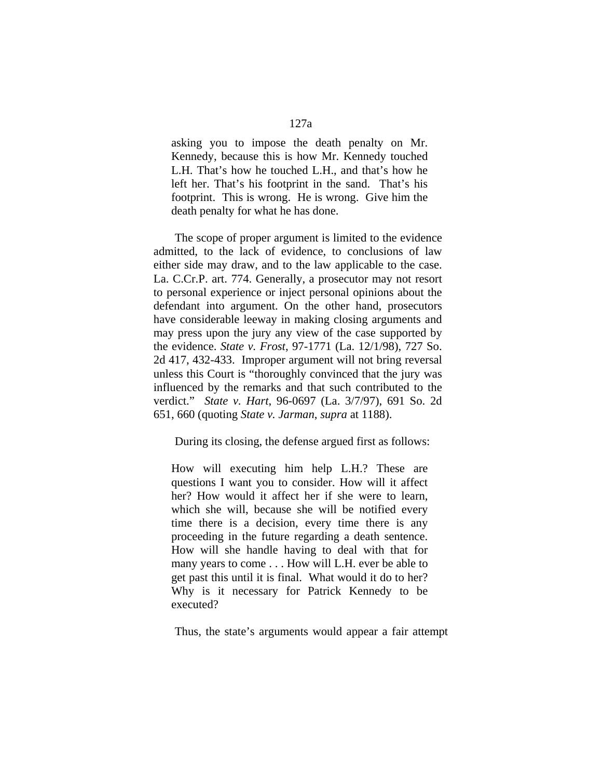asking you to impose the death penalty on Mr. Kennedy, because this is how Mr. Kennedy touched L.H. That's how he touched L.H., and that's how he left her. That's his footprint in the sand. That's his footprint. This is wrong. He is wrong. Give him the death penalty for what he has done.

 The scope of proper argument is limited to the evidence admitted, to the lack of evidence, to conclusions of law either side may draw, and to the law applicable to the case. La. C.Cr.P. art. 774. Generally, a prosecutor may not resort to personal experience or inject personal opinions about the defendant into argument. On the other hand, prosecutors have considerable leeway in making closing arguments and may press upon the jury any view of the case supported by the evidence. *State v. Frost*, 97-1771 (La. 12/1/98), 727 So. 2d 417, 432-433. Improper argument will not bring reversal unless this Court is "thoroughly convinced that the jury was influenced by the remarks and that such contributed to the verdict." *State v. Hart*, 96-0697 (La. 3/7/97), 691 So. 2d 651, 660 (quoting *State v. Jarman*, *supra* at 1188).

During its closing, the defense argued first as follows:

How will executing him help L.H.? These are questions I want you to consider. How will it affect her? How would it affect her if she were to learn, which she will, because she will be notified every time there is a decision, every time there is any proceeding in the future regarding a death sentence. How will she handle having to deal with that for many years to come . . . How will L.H. ever be able to get past this until it is final. What would it do to her? Why is it necessary for Patrick Kennedy to be executed?

Thus, the state's arguments would appear a fair attempt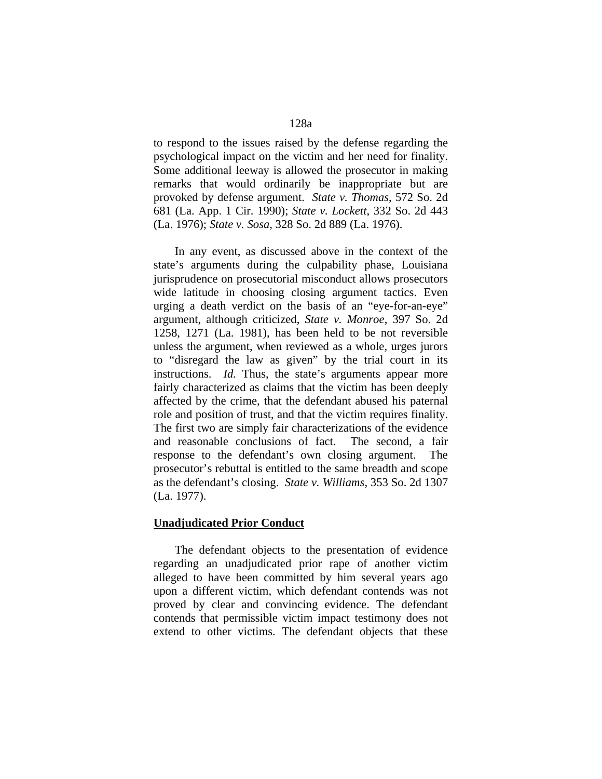to respond to the issues raised by the defense regarding the psychological impact on the victim and her need for finality. Some additional leeway is allowed the prosecutor in making remarks that would ordinarily be inappropriate but are provoked by defense argument. *State v. Thomas*, 572 So. 2d 681 (La. App. 1 Cir. 1990); *State v. Lockett*, 332 So. 2d 443 (La. 1976); *State v. Sosa*, 328 So. 2d 889 (La. 1976).

 In any event, as discussed above in the context of the state's arguments during the culpability phase, Louisiana jurisprudence on prosecutorial misconduct allows prosecutors wide latitude in choosing closing argument tactics. Even urging a death verdict on the basis of an "eye-for-an-eye" argument, although criticized, *State v. Monroe*, 397 So. 2d 1258, 1271 (La. 1981), has been held to be not reversible unless the argument, when reviewed as a whole, urges jurors to "disregard the law as given" by the trial court in its instructions. *Id.* Thus, the state's arguments appear more fairly characterized as claims that the victim has been deeply affected by the crime, that the defendant abused his paternal role and position of trust, and that the victim requires finality. The first two are simply fair characterizations of the evidence and reasonable conclusions of fact. The second, a fair response to the defendant's own closing argument. The prosecutor's rebuttal is entitled to the same breadth and scope as the defendant's closing. *State v. Williams*, 353 So. 2d 1307 (La. 1977).

## **Unadjudicated Prior Conduct**

 The defendant objects to the presentation of evidence regarding an unadjudicated prior rape of another victim alleged to have been committed by him several years ago upon a different victim, which defendant contends was not proved by clear and convincing evidence. The defendant contends that permissible victim impact testimony does not extend to other victims. The defendant objects that these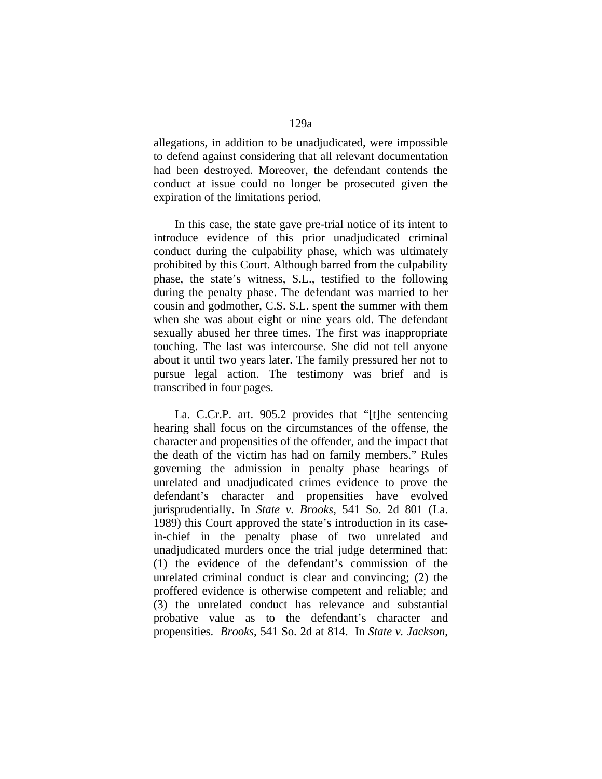allegations, in addition to be unadjudicated, were impossible to defend against considering that all relevant documentation had been destroyed. Moreover, the defendant contends the conduct at issue could no longer be prosecuted given the expiration of the limitations period.

 In this case, the state gave pre-trial notice of its intent to introduce evidence of this prior unadjudicated criminal conduct during the culpability phase, which was ultimately prohibited by this Court. Although barred from the culpability phase, the state's witness, S.L., testified to the following during the penalty phase. The defendant was married to her cousin and godmother, C.S. S.L. spent the summer with them when she was about eight or nine years old. The defendant sexually abused her three times. The first was inappropriate touching. The last was intercourse. She did not tell anyone about it until two years later. The family pressured her not to pursue legal action. The testimony was brief and is transcribed in four pages.

 La. C.Cr.P. art. 905.2 provides that "[t]he sentencing hearing shall focus on the circumstances of the offense, the character and propensities of the offender, and the impact that the death of the victim has had on family members." Rules governing the admission in penalty phase hearings of unrelated and unadjudicated crimes evidence to prove the defendant's character and propensities have evolved jurisprudentially. In *State v. Brooks*, 541 So. 2d 801 (La. 1989) this Court approved the state's introduction in its casein-chief in the penalty phase of two unrelated and unadjudicated murders once the trial judge determined that: (1) the evidence of the defendant's commission of the unrelated criminal conduct is clear and convincing; (2) the proffered evidence is otherwise competent and reliable; and (3) the unrelated conduct has relevance and substantial probative value as to the defendant's character and propensities. *Brooks*, 541 So. 2d at 814. In *State v. Jackson*,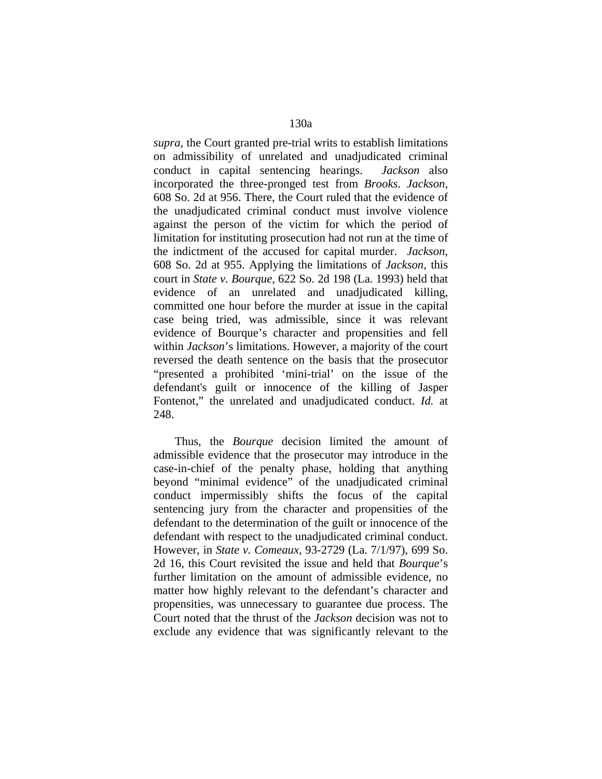*supra*, the Court granted pre-trial writs to establish limitations on admissibility of unrelated and unadjudicated criminal conduct in capital sentencing hearings. *Jackson* also incorporated the three-pronged test from *Brooks*. *Jackson*, 608 So. 2d at 956. There, the Court ruled that the evidence of the unadjudicated criminal conduct must involve violence against the person of the victim for which the period of limitation for instituting prosecution had not run at the time of the indictment of the accused for capital murder. *Jackson*, 608 So. 2d at 955. Applying the limitations of *Jackson*, this court in *State v. Bourque*, 622 So. 2d 198 (La. 1993) held that evidence of an unrelated and unadjudicated killing, committed one hour before the murder at issue in the capital case being tried, was admissible, since it was relevant evidence of Bourque's character and propensities and fell within *Jackson*'s limitations. However, a majority of the court reversed the death sentence on the basis that the prosecutor "presented a prohibited 'mini-trial' on the issue of the defendant's guilt or innocence of the killing of Jasper Fontenot," the unrelated and unadjudicated conduct. *Id.* at 248.

 Thus, the *Bourque* decision limited the amount of admissible evidence that the prosecutor may introduce in the case-in-chief of the penalty phase, holding that anything beyond "minimal evidence" of the unadjudicated criminal conduct impermissibly shifts the focus of the capital sentencing jury from the character and propensities of the defendant to the determination of the guilt or innocence of the defendant with respect to the unadjudicated criminal conduct. However, in *State v. Comeaux*, 93-2729 (La. 7/1/97), 699 So. 2d 16, this Court revisited the issue and held that *Bourque*'s further limitation on the amount of admissible evidence, no matter how highly relevant to the defendant's character and propensities, was unnecessary to guarantee due process. The Court noted that the thrust of the *Jackson* decision was not to exclude any evidence that was significantly relevant to the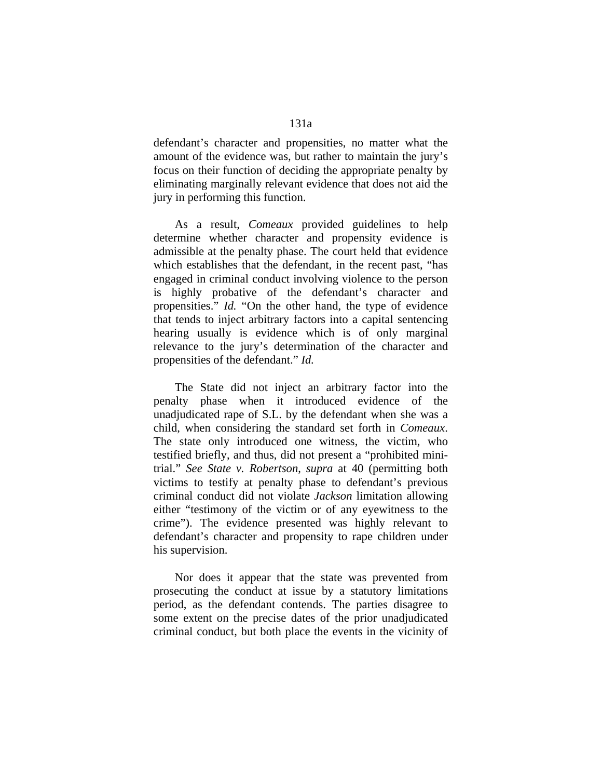defendant's character and propensities, no matter what the amount of the evidence was, but rather to maintain the jury's focus on their function of deciding the appropriate penalty by eliminating marginally relevant evidence that does not aid the jury in performing this function.

 As a result, *Comeaux* provided guidelines to help determine whether character and propensity evidence is admissible at the penalty phase. The court held that evidence which establishes that the defendant, in the recent past, "has engaged in criminal conduct involving violence to the person is highly probative of the defendant's character and propensities." *Id.* "On the other hand, the type of evidence that tends to inject arbitrary factors into a capital sentencing hearing usually is evidence which is of only marginal relevance to the jury's determination of the character and propensities of the defendant." *Id.* 

 The State did not inject an arbitrary factor into the penalty phase when it introduced evidence of the unadjudicated rape of S.L. by the defendant when she was a child, when considering the standard set forth in *Comeaux*. The state only introduced one witness, the victim, who testified briefly, and thus, did not present a "prohibited minitrial." *See State v. Robertson*, *supra* at 40 (permitting both victims to testify at penalty phase to defendant's previous criminal conduct did not violate *Jackson* limitation allowing either "testimony of the victim or of any eyewitness to the crime"). The evidence presented was highly relevant to defendant's character and propensity to rape children under his supervision.

 Nor does it appear that the state was prevented from prosecuting the conduct at issue by a statutory limitations period, as the defendant contends. The parties disagree to some extent on the precise dates of the prior unadjudicated criminal conduct, but both place the events in the vicinity of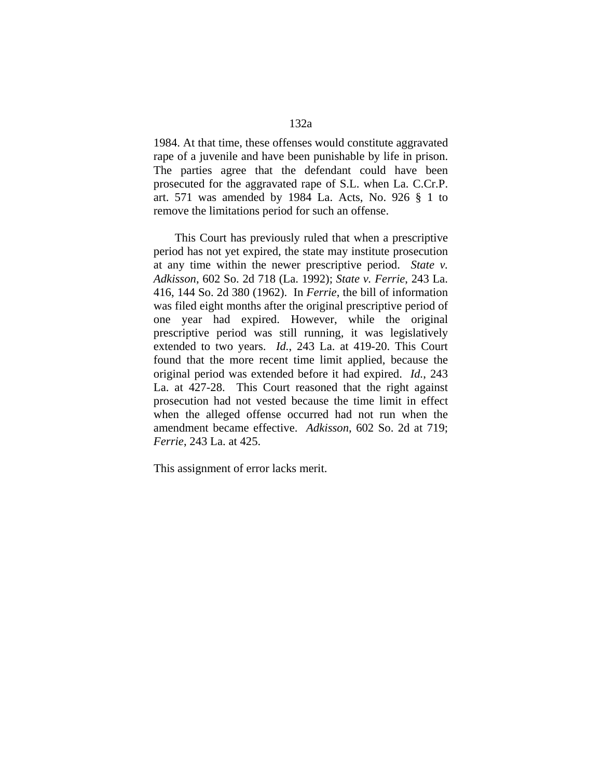1984. At that time, these offenses would constitute aggravated rape of a juvenile and have been punishable by life in prison. The parties agree that the defendant could have been prosecuted for the aggravated rape of S.L. when La. C.Cr.P. art. 571 was amended by 1984 La. Acts, No. 926 § 1 to remove the limitations period for such an offense.

 This Court has previously ruled that when a prescriptive period has not yet expired, the state may institute prosecution at any time within the newer prescriptive period. *State v. Adkisson*, 602 So. 2d 718 (La. 1992); *State v. Ferrie*, 243 La. 416, 144 So. 2d 380 (1962). In *Ferrie*, the bill of information was filed eight months after the original prescriptive period of one year had expired. However, while the original prescriptive period was still running, it was legislatively extended to two years. *Id.*, 243 La. at 419-20. This Court found that the more recent time limit applied, because the original period was extended before it had expired. *Id.*, 243 La. at 427-28. This Court reasoned that the right against prosecution had not vested because the time limit in effect when the alleged offense occurred had not run when the amendment became effective. *Adkisson*, 602 So. 2d at 719; *Ferrie*, 243 La. at 425.

This assignment of error lacks merit.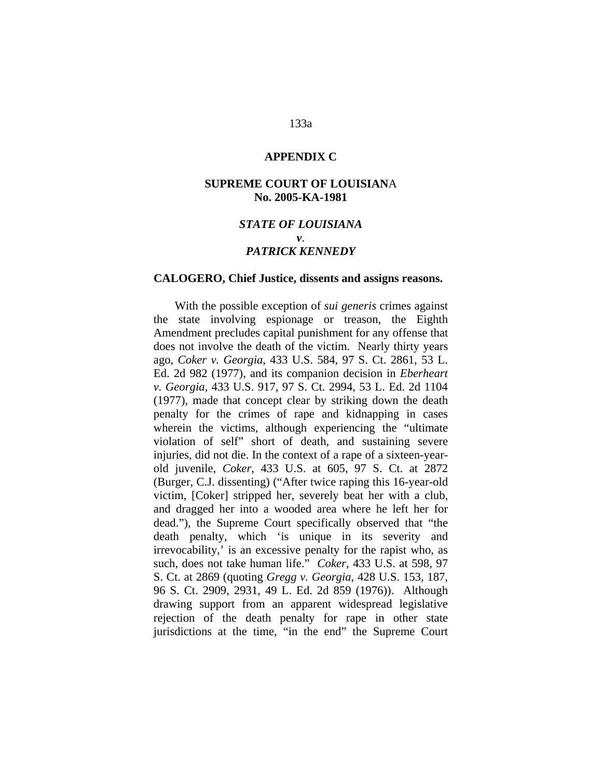#### **APPENDIX C**

### **SUPREME COURT OF LOUISIAN**A **No. 2005-KA-1981**

# *STATE OF LOUISIANA v*. *PATRICK KENNEDY*

#### **CALOGERO, Chief Justice, dissents and assigns reasons.**

 With the possible exception of *sui generis* crimes against the state involving espionage or treason, the Eighth Amendment precludes capital punishment for any offense that does not involve the death of the victim. Nearly thirty years ago, *Coker v. Georgia*, 433 U.S. 584, 97 S. Ct. 2861, 53 L. Ed. 2d 982 (1977), and its companion decision in *Eberheart v. Georgia*, 433 U.S. 917, 97 S. Ct. 2994, 53 L. Ed. 2d 1104 (1977), made that concept clear by striking down the death penalty for the crimes of rape and kidnapping in cases wherein the victims, although experiencing the "ultimate" violation of self" short of death, and sustaining severe injuries, did not die. In the context of a rape of a sixteen-yearold juvenile, *Coker*, 433 U.S. at 605, 97 S. Ct. at 2872 (Burger, C.J. dissenting) ("After twice raping this 16-year-old victim, [Coker] stripped her, severely beat her with a club, and dragged her into a wooded area where he left her for dead."), the Supreme Court specifically observed that "the death penalty, which 'is unique in its severity and irrevocability,' is an excessive penalty for the rapist who, as such, does not take human life." *Coker*, 433 U.S. at 598, 97 S. Ct. at 2869 (quoting *Gregg v. Georgia*, 428 U.S. 153, 187, 96 S. Ct. 2909, 2931, 49 L. Ed. 2d 859 (1976)). Although drawing support from an apparent widespread legislative rejection of the death penalty for rape in other state jurisdictions at the time, "in the end" the Supreme Court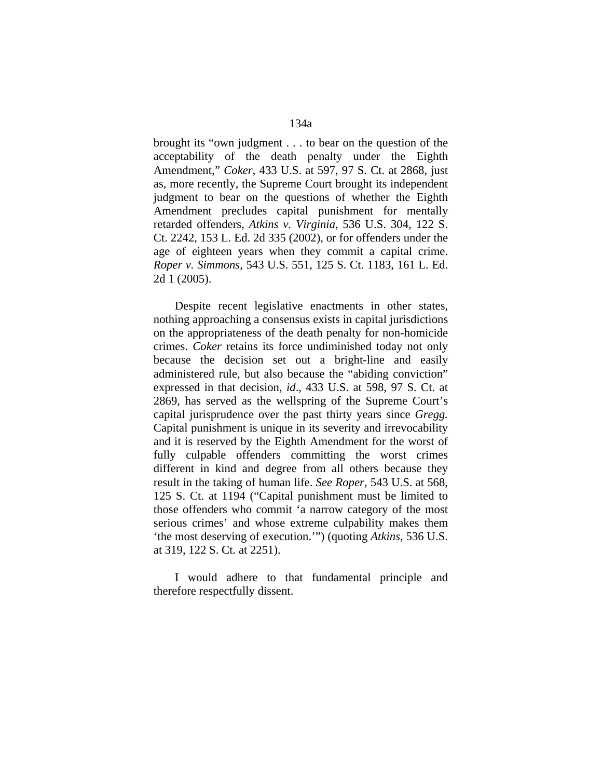brought its "own judgment . . . to bear on the question of the acceptability of the death penalty under the Eighth Amendment," *Coker*, 433 U.S. at 597, 97 S. Ct. at 2868, just as, more recently, the Supreme Court brought its independent judgment to bear on the questions of whether the Eighth Amendment precludes capital punishment for mentally retarded offenders, *Atkins v. Virginia*, 536 U.S. 304, 122 S. Ct. 2242, 153 L. Ed. 2d 335 (2002), or for offenders under the age of eighteen years when they commit a capital crime. *Roper v. Simmons*, 543 U.S. 551, 125 S. Ct. 1183, 161 L. Ed. 2d 1 (2005).

 Despite recent legislative enactments in other states, nothing approaching a consensus exists in capital jurisdictions on the appropriateness of the death penalty for non-homicide crimes. *Coker* retains its force undiminished today not only because the decision set out a bright-line and easily administered rule, but also because the "abiding conviction" expressed in that decision, *id*., 433 U.S. at 598, 97 S. Ct. at 2869, has served as the wellspring of the Supreme Court's capital jurisprudence over the past thirty years since *Gregg.* Capital punishment is unique in its severity and irrevocability and it is reserved by the Eighth Amendment for the worst of fully culpable offenders committing the worst crimes different in kind and degree from all others because they result in the taking of human life. *See Roper*, 543 U.S. at 568, 125 S. Ct. at 1194 ("Capital punishment must be limited to those offenders who commit 'a narrow category of the most serious crimes' and whose extreme culpability makes them 'the most deserving of execution.'") (quoting *Atkins*, 536 U.S. at 319, 122 S. Ct. at 2251).

 I would adhere to that fundamental principle and therefore respectfully dissent.